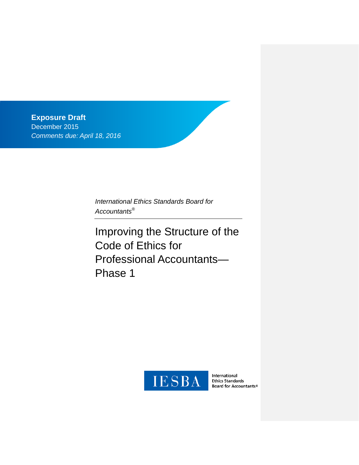**Exposure Draft** December 2015 *Comments due: April 18, 2016*

> *International Ethics Standards Board for Accountants®*

Improving the Structure of the Code of Ethics for Professional Accountants— Phase 1



International Ethics Standards **Board for Accountants®**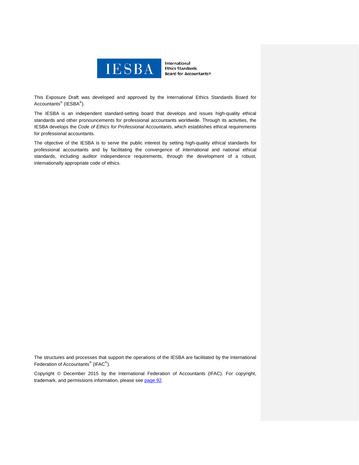

International **Ethics Standards** Board for Accountants®

This Exposure Draft was developed and approved by the International Ethics Standards Board for Accountants<sup>®</sup> (IESBA<sup>®</sup>).

The IESBA is an independent standard-setting board that develops and issues high-quality ethical standards and other pronouncements for professional accountants worldwide. Through its activities, the IESBA develops the *Code of Ethics for Professional Accountants*, which establishes ethical requirements for professional accountants.

The objective of the IESBA is to serve the public interest by setting high-quality ethical standards for professional accountants and by facilitating the convergence of international and national ethical standards, including auditor independence requirements, through the development of a robust, internationally appropriate code of ethics.

The structures and processes that support the operations of the IESBA are facilitated by the International Federation of Accountants® (IFAC®).

Copyright © December 2015 by the International Federation of Accountants (IFAC). For copyright, trademark, and permissions information, please see page 92.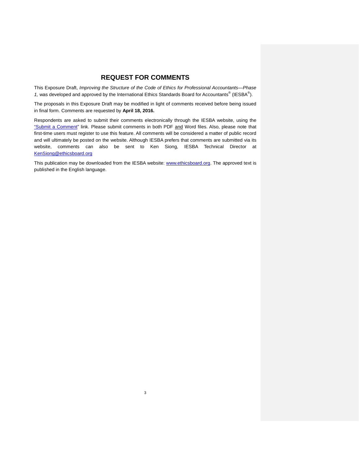# **REQUEST FOR COMMENTS**

This Exposure Draft, *Improving the Structure of the Code of Ethics for Professional Accountants—Phase*  1, was developed and approved by the International Ethics Standards Board for Accountants<sup>®</sup> (IESBA<sup>®</sup>).

The proposals in this Exposure Draft may be modified in light of comments received before being issued in final form. Comments are requested by **April 18, 2016.**

Respondents are asked to submit their comments electronically through the IESBA website, using the "Submit a Comment" link. Please submit comments in both PDF and Word files. Also, please note that first-time users must register to use this feature. All comments will be considered a matter of public record and will ultimately be posted on the website. Although IESBA prefers that comments are submitted via its website, comments can also be sent to Ken Siong, IESBA Technical Director at KenSiong@ethicsboard.org

This publication may be downloaded from the IESBA website: www.ethicsboard.org. The approved text is published in the English language.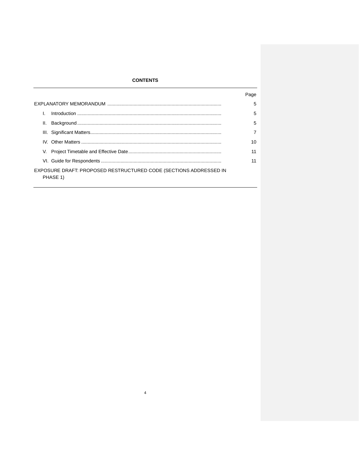# **CONTENTS**

|                                                                               | Page |
|-------------------------------------------------------------------------------|------|
|                                                                               | 5    |
|                                                                               | 5    |
| Ш.                                                                            | 5    |
|                                                                               | 7    |
|                                                                               | 10   |
|                                                                               | 11   |
|                                                                               | 11   |
| EXPOSURE DRAFT: PROPOSED RESTRUCTURED CODE (SECTIONS ADDRESSED IN<br>PHASE 1) |      |

 $\overline{4}$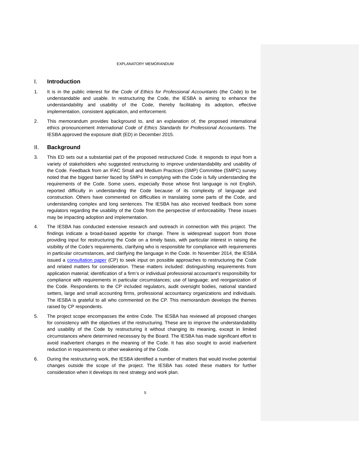# I. **Introduction**

- 1. It is in the public interest for the *Code of Ethics for Professional Accountants* (the Code) to be understandable and usable. In restructuring the Code, the IESBA is aiming to enhance the understandability and usability of the Code, thereby facilitating its adoption, effective implementation, consistent application, and enforcement.
- 2. This memorandum provides background to, and an explanation of, the proposed international ethics pronouncement *International Code of Ethics Standards for Professional Accountants*. The IESBA approved the exposure draft (ED) in December 2015.

## II. **Background**

- 3. This ED sets out a substantial part of the proposed restructured Code. It responds to input from a variety of stakeholders who suggested restructuring to improve understandability and usability of the Code. Feedback from an IFAC Small and Medium Practices (SMP) Committee (SMPC) survey noted that the biggest barrier faced by SMPs in complying with the Code is fully understanding the requirements of the Code. Some users, especially those whose first language is not English, reported difficulty in understanding the Code because of its complexity of language and construction. Others have commented on difficulties in translating some parts of the Code, and understanding complex and long sentences. The IESBA has also received feedback from some regulators regarding the usability of the Code from the perspective of enforceability. These issues may be impacting adoption and implementation.
- 4. The IESBA has conducted extensive research and outreach in connection with this project. The findings indicate a broad-based appetite for change. There is widespread support from those providing input for restructuring the Code on a timely basis, with particular interest in raising the visibility of the Code's requirements, clarifying who is responsible for compliance with requirements in particular circumstances, and clarifying the language in the Code. In November 2014, the IESBA issued a consultation paper (CP) to seek input on possible approaches to restructuring the Code and related matters for consideration. These matters included: distinguishing requirements from application material; identification of a firm's or individual professional accountant's responsibility for compliance with requirements in particular circumstances; use of language; and reorganization of the Code. Respondents to the CP included regulators, audit oversight bodies, national standard setters, large and small accounting firms, professional accountancy organizations and individuals. The IESBA is grateful to all who commented on the CP. This memorandum develops the themes raised by CP respondents.
- 5. The project scope encompasses the entire Code. The IESBA has reviewed all proposed changes for consistency with the objectives of the restructuring. These are to improve the understandability and usability of the Code by restructuring it without changing its meaning, except in limited circumstances where determined necessary by the Board. The IESBA has made significant effort to avoid inadvertent changes in the meaning of the Code. It has also sought to avoid inadvertent reduction in requirements or other weakening of the Code.
- 6. During the restructuring work, the IESBA identified a number of matters that would involve potential changes outside the scope of the project. The IESBA has noted these matters for further consideration when it develops its next strategy and work plan.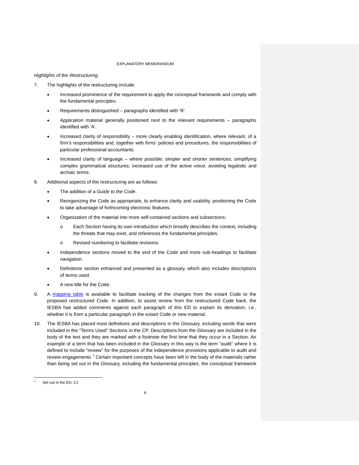## *Highlights of the Restructuring*

- 7. The highlights of the restructuring include:
	- Increased prominence of the requirement to apply the conceptual framework and comply with the fundamental principles.
	- Requirements distinguished paragraphs identified with 'R'.
	- Application material generally positioned next to the relevant requirements paragraphs identified with 'A'.
	- Increased clarity of responsibility more clearly enabling identification, where relevant, of a firm's responsibilities and, together with firms' policies and procedures, the responsibilities of particular professional accountants.
	- Increased clarity of language where possible: simpler and shorter sentences; simplifying complex grammatical structures; increased use of the active voice; avoiding legalistic and archaic terms.
- 8. Additional aspects of the restructuring are as follows:
	- The addition of a *Guide to the Code*.
	- Reorganizing the Code as appropriate, to enhance clarity and usability, positioning the Code to take advantage of forthcoming electronic features.
	- Organization of the material into more self-contained sections and subsections:
		- o Each Section having its own introduction which broadly describes the context, including the threats that may exist, and references the fundamental principles.
		- o Revised numbering to facilitate revisions.
	- Independence sections moved to the end of the Code and more sub-headings to facilitate navigation.
	- Definitions section enhanced and presented as a glossary, which also includes descriptions of terms used.
	- A new title for the Code.
- 9. A mapping table is available to facilitate tracking of the changes from the extant Code to the proposed restructured Code. In addition, to assist review from the restructured Code back, the IESBA has added comments against each paragraph of this ED to explain its derivation, i.e., whether it is from a particular paragraph in the extant Code or new material.
- 10. The IESBA has placed most definitions and descriptions in the Glossary, including words that were included in the "Terms Used" Sections in the CP. Descriptions from the Glossary are included in the body of the text and they are marked with a footnote the first time that they occur in a Section. An example of a term that has been included in the Glossary in this way is the term "audit" where it is defined to include "review" for the purposes of the independence provisions applicable to audit and review engagements.<sup>1</sup> Certain important concepts have been left in the body of the materials rather than being set out in the Glossary, including the fundamental principles, the conceptual framework

Set out in the ED, C1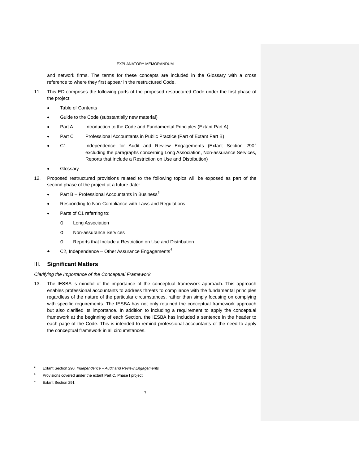and network firms. The terms for these concepts are included in the Glossary with a cross reference to where they first appear in the restructured Code.

- 11. This ED comprises the following parts of the proposed restructured Code under the first phase of the project:
	- Table of Contents
	- Guide to the Code (substantially new material)
	- Part A Introduction to the Code and Fundamental Principles (Extant Part A)
	- Part C Professional Accountants in Public Practice (Part of Extant Part B)
	- C1 Independence for Audit and Review Engagements (Extant Section  $290^2$ excluding the paragraphs concerning Long Association, Non-assurance Services, Reports that Include a Restriction on Use and Distribution)
	- **Glossary**
- 12. Proposed restructured provisions related to the following topics will be exposed as part of the second phase of the project at a future date:
	- Part  $B -$  Professional Accountants in Business<sup>3</sup>
	- Responding to Non-Compliance with Laws and Regulations
	- Parts of C1 referring to:
		- o Long Association
		- o Non-assurance Services
		- o Reports that Include a Restriction on Use and Distribution
	- $\bullet$  C2, Independence Other Assurance Engagements<sup>4</sup>

# III. **Significant Matters**

# *Clarifying the Importance of the Conceptual Framework*

13. The IESBA is mindful of the importance of the conceptual framework approach. This approach enables professional accountants to address threats to compliance with the fundamental principles regardless of the nature of the particular circumstances, rather than simply focusing on complying with specific requirements. The IESBA has not only retained the conceptual framework approach but also clarified its importance. In addition to including a requirement to apply the conceptual framework at the beginning of each Section, the IESBA has included a sentence in the header to each page of the Code. This is intended to remind professional accountants of the need to apply the conceptual framework in all circumstances.

 <sup>2</sup> Extant Section 290, *Independence – Audit and Review Engagements*

<sup>&</sup>lt;sup>3</sup> Provisions covered under the extant Part C, Phase I project

**Extant Section 291**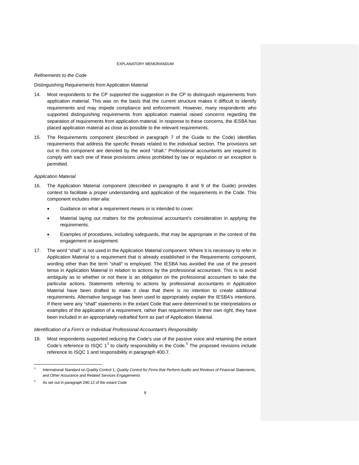#### *Refinements to the Code*

## Distinguishing Requirements from Application Material

- 14. Most respondents to the CP supported the suggestion in the CP to distinguish requirements from application material. This was on the basis that the current structure makes it difficult to identify requirements and may impede compliance and enforcement. However, many respondents who supported distinguishing requirements from application material raised concerns regarding the separation of requirements from application material. In response to these concerns, the IESBA has placed application material as close as possible to the relevant requirements.
- 15. The Requirements component (described in paragraph 7 of the Guide to the Code) identifies requirements that address the specific threats related to the individual section. The provisions set out in this component are denoted by the word "shall." Professional accountants are required to comply with each one of these provisions unless prohibited by law or regulation or an exception is permitted.

#### *Application Material*

- 16. The Application Material component (described in paragraphs 8 and 9 of the Guide) provides context to facilitate a proper understanding and application of the requirements in the Code. This component includes *inter alia*:
	- Guidance on what a requirement means or is intended to cover.
	- Material laying out matters for the professional accountant's consideration in applying the requirements.
	- Examples of procedures, including safeguards, that may be appropriate in the context of the engagement or assignment.
- 17. The word "shall" is not used in the Application Material component. Where it is necessary to refer in Application Material to a requirement that is already established in the Requirements component, wording other than the term "shall" is employed. The IESBA has avoided the use of the present tense in Application Material in relation to actions by the professional accountant. This is to avoid ambiguity as to whether or not there is an obligation on the professional accountant to take the particular actions. Statements referring to actions by professional accountants in Application Material have been drafted to make it clear that there is no intention to create additional requirements. Alternative language has been used to appropriately explain the IESBA's intentions. If there were any "shall" statements in the extant Code that were determined to be interpretations or examples of the application of a requirement, rather than requirements in their own right, they have been included in an appropriately redrafted form as part of Application Material.

# *Identification of a Firm's or Individual Professional Accountant's Responsibility*

18. Most respondents supported reducing the Code's use of the passive voice and retaining the extant Code's reference to ISQC  $1<sup>5</sup>$  to clarify responsibility in the Code.<sup>6</sup> The proposed revisions include reference to ISQC 1 and responsibility in paragraph 400.7.

 <sup>5</sup> International Standard on Quality Control 1, *Quality Control for Firms that Perform Audits and Reviews of Financial Statements, and Other Assurance and Related Services Engagements*

As set out in paragraph 290.12 of the extant Code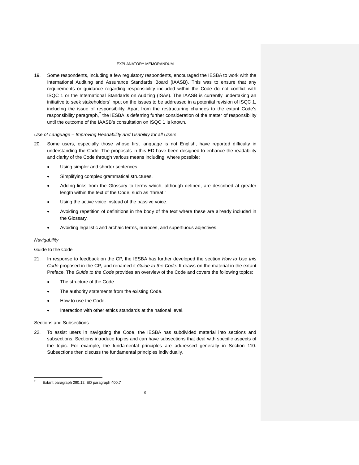19. Some respondents, including a few regulatory respondents, encouraged the IESBA to work with the International Auditing and Assurance Standards Board (IAASB). This was to ensure that any requirements or guidance regarding responsibility included within the Code do not conflict with ISQC 1 or the International Standards on Auditing (ISAs). The IAASB is currently undertaking an initiative to seek stakeholders' input on the issues to be addressed in a potential revision of ISQC 1, including the issue of responsibility. Apart from the restructuring changes to the extant Code's responsibility paragraph, $^7$  the IESBA is deferring further consideration of the matter of responsibility until the outcome of the IAASB's consultation on ISQC 1 is known.

## *Use of Language – Improving Readability and Usability for all Users*

- 20. Some users, especially those whose first language is not English, have reported difficulty in understanding the Code. The proposals in this ED have been designed to enhance the readability and clarity of the Code through various means including, where possible:
	- Using simpler and shorter sentences.
	- Simplifying complex grammatical structures.
	- Adding links from the Glossary to terms which, although defined, are described at greater length within the text of the Code, such as "threat."
	- Using the active voice instead of the passive voice.
	- Avoiding repetition of definitions in the body of the text where these are already included in the Glossary.
	- Avoiding legalistic and archaic terms, nuances, and superfluous adjectives.

# *Navigability*

## Guide to the Code

- 21. In response to feedback on the CP, the IESBA has further developed the section *How to Use this Code* proposed in the CP*,* and renamed it *Guide to the Code.* It draws on the material in the extant Preface. The *Guide to the Code* provides an overview of the Code and covers the following topics:
	- The structure of the Code.
	- The authority statements from the existing Code.
	- How to use the Code.
	- Interaction with other ethics standards at the national level.

## Sections and Subsections

22. To assist users in navigating the Code, the IESBA has subdivided material into sections and subsections. Sections introduce topics and can have subsections that deal with specific aspects of the topic. For example, the fundamental principles are addressed generally in Section 110. Subsections then discuss the fundamental principles individually.

 <sup>7</sup> Extant paragraph 290.12, ED paragraph 400.7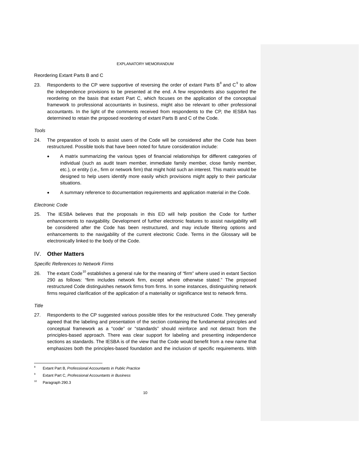Reordering Extant Parts B and C

23. Respondents to the CP were supportive of reversing the order of extant Parts  $B^8$  and  $C^9$  to allow the independence provisions to be presented at the end. A few respondents also supported the reordering on the basis that extant Part C, which focuses on the application of the conceptual framework to professional accountants in business, might also be relevant to other professional accountants. In the light of the comments received from respondents to the CP, the IESBA has determined to retain the proposed reordering of extant Parts B and C of the Code.

## *Tools*

- 24. The preparation of tools to assist users of the Code will be considered after the Code has been restructured. Possible tools that have been noted for future consideration include:
	- A matrix summarizing the various types of financial relationships for different categories of individual (such as audit team member, immediate family member, close family member, etc.), or entity (i.e., firm or network firm) that might hold such an interest. This matrix would be designed to help users identify more easily which provisions might apply to their particular situations.
	- A summary reference to documentation requirements and application material in the Code.

# *Electronic Code*

25. The IESBA believes that the proposals in this ED will help position the Code for further enhancements to navigability. Development of further electronic features to assist navigability will be considered after the Code has been restructured, and may include filtering options and enhancements to the navigability of the current electronic Code. Terms in the Glossary will be electronically linked to the body of the Code.

# IV. **Other Matters**

# *Specific References to Network Firms*

26. The extant Code<sup>10</sup> establishes a general rule for the meaning of "firm" where used in extant Section 290 as follows: "firm includes network firm, except where otherwise stated." The proposed restructured Code distinguishes network firms from firms. In some instances, distinguishing network firms required clarification of the application of a materiality or significance test to network firms.

*Title* 

27. Respondents to the CP suggested various possible titles for the restructured Code. They generally agreed that the labeling and presentation of the section containing the fundamental principles and conceptual framework as a "code" or "standards" should reinforce and not detract from the principles-based approach. There was clear support for labeling and presenting independence sections as standards. The IESBA is of the view that the Code would benefit from a new name that emphasizes both the principles-based foundation and the inclusion of specific requirements. With

 <sup>8</sup> Extant Part B, *Professional Accountants in Public Practice*

<sup>9</sup> Extant Part C, *Professional Accountants in Business*

Paragraph 290.3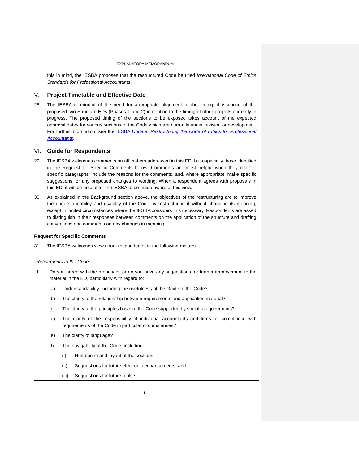this in mind, the IESBA proposes that the restructured Code be titled *International Code of Ethics Standards for Professional Accountants*.

# V. **Project Timetable and Effective Date**

28. The IESBA is mindful of the need for appropriate alignment of the timing of issuance of the proposed two Structure EDs (Phases 1 and 2) in relation to the timing of other projects currently in progress. The proposed timing of the sections to be exposed takes account of the expected approval dates for various sections of the Code which are currently under revision or development. For further information, see the IESBA Update, *Restructuring the Code of Ethics for Professional Accountants.*

# VI. **Guide for Respondents**

- 29. The IESBA welcomes comments on all matters addressed in this ED, but especially those identified in the Request for Specific Comments below. Comments are most helpful when they refer to specific paragraphs, include the reasons for the comments, and, where appropriate, make specific suggestions for any proposed changes to wording. When a respondent agrees with proposals in this ED, it will be helpful for the IESBA to be made aware of this view.
- 30. As explained in the Background section above, the objectives of the restructuring are to improve the understandability and usability of the Code by restructuring it without changing its meaning, except in limited circumstances where the IESBA considers this necessary. Respondents are asked to distinguish in their responses between comments on the application of the structure and drafting conventions and comments on any changes in meaning.

## **Request for Specific Comments**

31. The IESBA welcomes views from respondents on the following matters.

## *Refinements to the Code*

- 1. Do you agree with the proposals, or do you have any suggestions for further improvement to the material in the ED, particularly with regard to:
	- (a) Understandability, including the usefulness of the Guide to the Code?
	- (b) The clarity of the relationship between requirements and application material?
	- (c) The clarity of the principles basis of the Code supported by specific requirements?
	- (d) The clarity of the responsibility of individual accountants and firms for compliance with requirements of the Code in particular circumstances?
	- (e) The clarity of language?
	- (f) The navigability of the Code, including:
		- (i) Numbering and layout of the sections;
		- (ii) Suggestions for future electronic enhancements; and
		- (iii) Suggestions for future tools?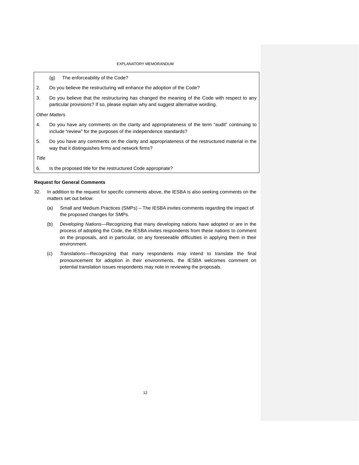(g) The enforceability of the Code?

- 2. Do you believe the restructuring will enhance the adoption of the Code?
- 3. Do you believe that the restructuring has changed the meaning of the Code with respect to any particular provisions? If so, please explain why and suggest alternative wording.

*Other Matters*

- 4. Do you have any comments on the clarity and appropriateness of the term "audit" continuing to include "review" for the purposes of the independence standards?
- 5. Do you have any comments on the clarity and appropriateness of the restructured material in the way that it distinguishes firms and network firms?

*Title*

6. Is the proposed title for the restructured Code appropriate?

## **Request for General Comments**

- 32. In addition to the request for specific comments above, the IESBA is also seeking comments on the matters set out below:
	- (a) Small and Medium Practices (SMPs) The IESBA invites comments regarding the impact of the proposed changes for SMPs.
	- (b) *Developing Nations*—Recognizing that many developing nations have adopted or are in the process of adopting the Code, the IESBA invites respondents from these nations to comment on the proposals, and in particular, on any foreseeable difficulties in applying them in their environment.
	- (c) *Translations*—Recognizing that many respondents may intend to translate the final pronouncement for adoption in their environments, the IESBA welcomes comment on potential translation issues respondents may note in reviewing the proposals.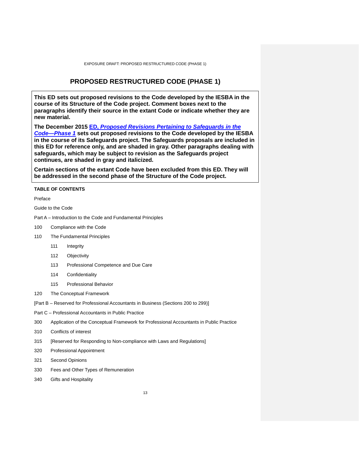# **PROPOSED RESTRUCTURED CODE (PHASE 1)**

**This ED sets out proposed revisions to the Code developed by the IESBA in the course of its Structure of the Code project. Comment boxes next to the paragraphs identify their source in the extant Code or indicate whether they are new material.**

**The December 2015 ED,** *Proposed Revisions Pertaining to Safeguards in the Code—Phase 1* **sets out proposed revisions to the Code developed by the IESBA in the course of its Safeguards project. The Safeguards proposals are included in this ED for reference only, and are shaded in gray. Other paragraphs dealing with safeguards, which may be subject to revision as the Safeguards project continues, are shaded in gray and italicized.**

**Certain sections of the extant Code have been excluded from this ED. They will be addressed in the second phase of the Structure of the Code project.**

# **TABLE OF CONTENTS**

Preface

Guide to the Code

Part A – Introduction to the Code and Fundamental Principles

- 100 Compliance with the Code
- 110 The Fundamental Principles
	- 111 Integrity
	- 112 Objectivity
	- 113 Professional Competence and Due Care
	- 114 Confidentiality
	- 115 Professional Behavior
- 120 The Conceptual Framework

[Part B – Reserved for Professional Accountants in Business (Sections 200 to 299)]

- Part C Professional Accountants in Public Practice
- 300 Application of the Conceptual Framework for Professional Accountants in Public Practice
- 310 Conflicts of interest
- 315 [Reserved for Responding to Non-compliance with Laws and Regulations]
- 320 Professional Appointment
- 321 Second Opinions
- 330 Fees and Other Types of Remuneration
- 340 Gifts and Hospitality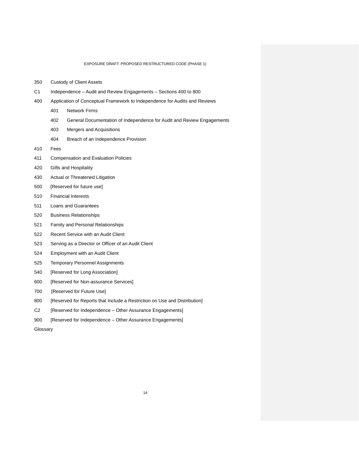- Custody of Client Assets
- C1 Independence Audit and Review Engagements Sections 400 to 800
- Application of Conceptual Framework to Independence for Audits and Reviews
	- Network Firms
	- General Documentation of Independence for Audit and Review Engagements
	- Mergers and Acquisitions
	- Breach of an Independence Provision
- Fees
- Compensation and Evaluation Policies
- Gifts and Hospitality
- Actual or Threatened Litigation
- [Reserved for future use]
- Financial Interests
- Loans and Guarantees
- Business Relationships
- Family and Personal Relationships
- Recent Service with an Audit Client
- Serving as a Director or Officer of an Audit Client
- Employment with an Audit Client
- Temporary Personnel Assignments
- [Reserved for Long Association]
- [Reserved for Non-assurance Services]
- [Reserved for Future Use]
- [Reserved for Reports that Include a Restriction on Use and Distribution]
- C2 [Reserved for Independence Other Assurance Engagements]
- 900 [Reserved for Independence Other Assurance Engagements]

**Glossary**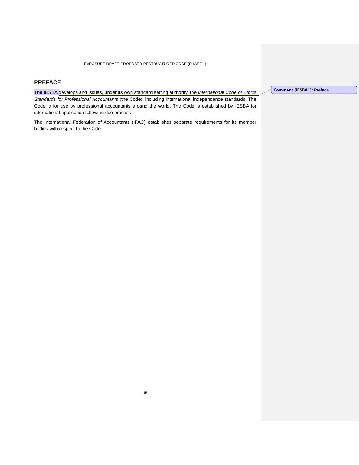# **PREFACE**

The IESBA develops and issues, under its own standard setting authority, the *International Code of Ethics Standards for Professional Accountants* (the Code), including international independence standards. The Code is for use by professional accountants around the world. The Code is established by IESBA for international application following due process.

The International Federation of Accountants (IFAC) establishes separate requirements for its member bodies with respect to the Code.

**Comment [IESBA1]:** Preface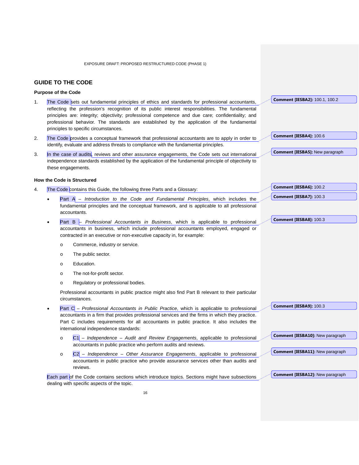# **GUIDE TO THE CODE**

# **Purpose of the Code**

- 1. The Code sets out fundamental principles of ethics and standards for professional accountants, reflecting the profession's recognition of its public interest responsibilities. The fundamental principles are: integrity; objectivity; professional competence and due care; confidentiality; and professional behavior. The standards are established by the application of the fundamental principles to specific circumstances.
- 2. The Code provides a conceptual framework that professional accountants are to apply in order to identify, evaluate and address threats to compliance with the fundamental principles.
- 3. In the case of audits, reviews and other assurance engagements, the Code sets out international independence standards established by the application of the fundamental principle of objectivity to these engagements.

# **How the Code is Structured**

- 4. The Code contains this Guide, the following three Parts and a Glossary:
	- Part A *Introduction to the Code and Fundamental Principles*, which includes the fundamental principles and the conceptual framework, and is applicable to all professional accountants.
	- Part B *Professional Accountants in Business*, which is applicable to professional accountants in business, which include professional accountants employed, engaged or contracted in an executive or non-executive capacity in, for example:
		- o Commerce, industry or service.
		- o The public sector.
		- o Education.
		- o The not-for-profit sector.
		- o Regulatory or professional bodies.

Professional accountants in public practice might also find Part B relevant to their particular circumstances.

- Part C *Professional Accountants in Public Practice*, which is applicable to professional accountants in a firm that provides professional services and the firms in which they practice. Part C includes requirements for all accountants in public practice. It also includes the international independence standards:
	- o C1 *Independence Audit and Review Engagements*, applicable to professional accountants in public practice who perform audits and reviews.
	- o C2 *Independence Other Assurance Engagements*, applicable to professional accountants in public practice who provide assurance services other than audits and reviews.

Each part of the Code contains sections which introduce topics. Sections might have subsections dealing with specific aspects of the topic.

**Comment [IESBA2]:** 100.1, 100.2

**Comment [IESBA4]:** 100.6

**Comment [IESBA5]:** New paragraph

**Comment [IESBA6]:** 100.2

**Comment [IESBA7]:** 100.3

**Comment [IESBA8]:** 100.3

**Comment [IESBA9]:** 100.3

**Comment [IESBA10]:** New paragraph

**Comment [IESBA11]:** New paragraph

**Comment [IESBA12]:** New paragraph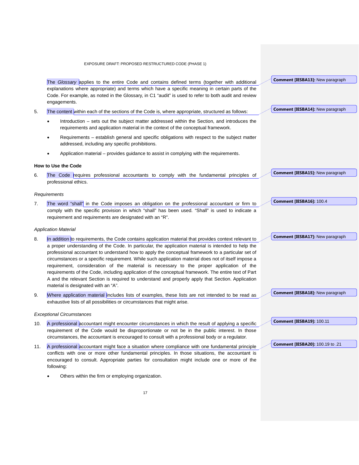The *Glossary* applies to the entire Code and contains defined terms (together with additional explanations where appropriate) and terms which have a specific meaning in certain parts of the Code. For example, as noted in the Glossary, in C1 "audit" is used to refer to both audit and review engagements.

- 5. The content within each of the sections of the Code is, where appropriate, structured as follows:
	- Introduction sets out the subject matter addressed within the Section, and introduces the requirements and application material in the context of the conceptual framework.
	- Requirements establish general and specific obligations with respect to the subject matter addressed, including any specific prohibitions.
	- Application material provides guidance to assist in complying with the requirements.

## **How to Use the Code**

6. The Code requires professional accountants to comply with the fundamental principles of professional ethics.

## *Requirements*

7. The word "shall" in the Code imposes an obligation on the professional accountant or firm to comply with the specific provision in which "shall" has been used. "Shall" is used to indicate a requirement and requirements are designated with an "R".

# *Application Material*

- 8. In addition to requirements, the Code contains application material that provides context relevant to a proper understanding of the Code. In particular, the application material is intended to help the professional accountant to understand how to apply the conceptual framework to a particular set of circumstances or a specific requirement. While such application material does not of itself impose a requirement, consideration of the material is necessary to the proper application of the requirements of the Code, including application of the conceptual framework. The entire text of Part A and the relevant Section is required to understand and properly apply that Section. Application material is designated with an "A".
- 9. Where application material includes lists of examples, these lists are not intended to be read as exhaustive lists of all possibilities or circumstances that might arise.

## *Exceptional Circumstances*

- 10. A professional accountant might encounter circumstances in which the result of applying a specific requirement of the Code would be disproportionate or not be in the public interest. In those circumstances, the accountant is encouraged to consult with a professional body or a regulator.
- 11. A professional accountant might face a situation where compliance with one fundamental principle conflicts with one or more other fundamental principles. In those situations, the accountant is encouraged to consult. Appropriate parties for consultation might include one or more of the following:
	- Others within the firm or employing organization.

**Comment [IESBA13]:** New paragraph

#### **Comment [IESBA14]:** New paragraph

**Comment [IESBA15]:** New paragraph

**Comment [IESBA16]:** 100.4

**Comment [IESBA17]:** New paragraph

**Comment [IESBA18]:** New paragraph

**Comment [IESBA19]:** 100.11

**Comment [IESBA20]:** 100.19 to .21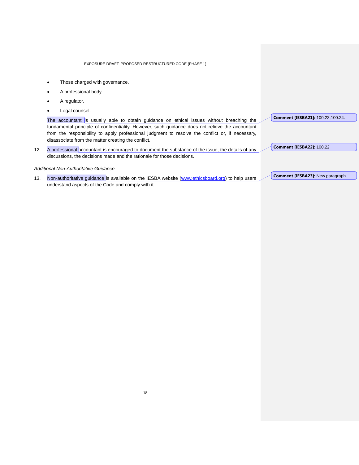- Those charged with governance.
- A professional body.
- A regulator.
- Legal counsel.

The accountant is usually able to obtain guidance on ethical issues without breaching the fundamental principle of confidentiality. However, such guidance does not relieve the accountant from the responsibility to apply professional judgment to resolve the conflict or, if necessary, disassociate from the matter creating the conflict.

12. A professional accountant is encouraged to document the substance of the issue, the details of any discussions, the decisions made and the rationale for those decisions.

## *Additional Non-Authoritative Guidance*

13. Non-authoritative guidance is available on the IESBA website (www.ethicsboard.org) to help users understand aspects of the Code and comply with it.

**Comment [IESBA21]:** 100.23,100.24.

**Comment [IESBA22]:** 100.22

**Comment [IESBA23]:** New paragraph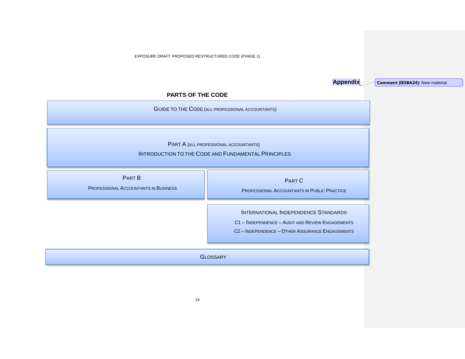**Appendix**

**Comment [IESBA24]:** New material

# **PARTS OF THE CODE** PART A (ALL PROFESSIONAL ACCOUNTANTS) INTRODUCTION TO THE CODE AND FUNDAMENTAL PRINCIPLES **GLOSSARY** PART B PROFESSIONAL ACCOUNTANTS IN BUSINESS PART C PROFESSIONAL ACCOUNTANTS IN PUBLIC PRACTICE INTERNATIONAL INDEPENDENCE STANDARDS C1 – INDEPENDENCE – AUDIT AND REVIEW ENGAGEMENTS C2 – INDEPENDENCE – OTHER ASSURANCE ENGAGEMENTS GUIDE TO THE CODE (ALL PROFESSIONAL ACCOUNTANTS)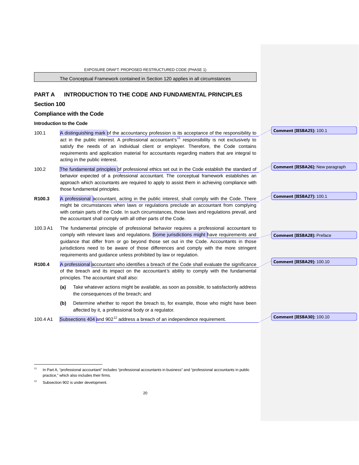# **PART A INTRODUCTION TO THE CODE AND FUNDAMENTAL PRINCIPLES**

# **Section 100**

# **Compliance with the Code**

# **Introduction to the Code**

- 100.1 A distinguishing mark of the accountancy profession is its acceptance of the responsibility to act in the public interest. A professional accountant's<sup>11</sup> responsibility is not exclusively to satisfy the needs of an individual client or employer. Therefore, the Code contains requirements and application material for accountants regarding matters that are integral to acting in the public interest.
- 100.2 The fundamental principles of professional ethics set out in the Code establish the standard of behavior expected of a professional accountant. The conceptual framework establishes an approach which accountants are required to apply to assist them in achieving compliance with those fundamental principles.
- **R100.3** A professional accountant, acting in the public interest, shall comply with the Code. There might be circumstances when laws or regulations preclude an accountant from complying with certain parts of the Code. In such circumstances, those laws and regulations prevail, and the accountant shall comply with all other parts of the Code.
- 100.3 A1 The fundamental principle of professional behavior requires a professional accountant to comply with relevant laws and regulations. Some jurisdictions might have requirements and guidance that differ from or go beyond those set out in the Code. Accountants in those jurisdictions need to be aware of those differences and comply with the more stringent requirements and guidance unless prohibited by law or regulation.
- **R100.4** A professional accountant who identifies a breach of the Code shall evaluate the significance of the breach and its impact on the accountant*'*s ability to comply with the fundamental principles. The accountant shall also:
	- **(a)** Take whatever actions might be available, as soon as possible, to satisfactorily address the consequences of the breach; and
	- **(b)** Determine whether to report the breach to, for example, those who might have been affected by it, a professional body or a regulator.
- 100.4 A1 Subsections 404 and 902<sup>12</sup> address a breach of an independence requirement.

In Part A, "professional accountant" includes "professional accountants in business" and "professional accountants in public practice," which also includes their firms.

Subsection 902 is under development.

**Comment [IESBA26]:** New paragraph

**Comment [IESBA27]:** 100.1

**Comment [IESBA25]:** 100.1

**Comment [IESBA28]:** Preface

**Comment [IESBA29]:** 100.10

**Comment [IESBA30]:** 100.10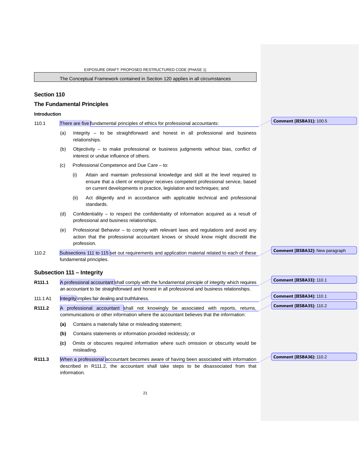The Conceptual Framework contained in Section 120 applies in all circumstances

# **Section 110**

# **The Fundamental Principles**

## **Introduction**

110.1 There are five fundamental principles of ethics for professional accountants: (a) Integrity – to be straightforward and honest in all professional and business

- relationships.
- (b) Objectivity to make professional or business judgments without bias, conflict of interest or undue influence of others.
- (c) Professional Competence and Due Care to:
	- (i) Attain and maintain professional knowledge and skill at the level required to ensure that a client or employer receives competent professional service, based on current developments in practice, legislation and techniques; and
	- (ii) Act diligently and in accordance with applicable technical and professional standards.
- (d) Confidentiality to respect the confidentiality of information acquired as a result of professional and business relationships.
- (e) Professional Behavior to comply with relevant laws and regulations and avoid any action that the professional accountant knows or should know might discredit the profession.
- 110.2 Subsections 111 to 115 set out requirements and application material related to each of these fundamental principles.

# **Subsection 111 – Integrity**

R111.1 A professional accountant shall comply with the fundamental principle of integrity which requires an accountant to be straightforward and honest in all professional and business relationships.

111.1 A1 **Integrity implies fair dealing and truthfulness.** 

- R111.2 A professional accountant shall not knowingly be associated with reports, returns, communications or other information where the accountant believes that the information:
	- **(a)** Contains a materially false or misleading statement;
	- **(b)** Contains statements or information provided recklessly; or
	- **(c)** Omits or obscures required information where such omission or obscurity would be misleading.
- **R111.3** When a professional accountant becomes aware of having been associated with information described in R111.2, the accountant shall take steps to be disassociated from that information.

**Comment [IESBA32]:** New paragraph

**Comment [IESBA33]:** 110.1

**Comment [IESBA34]:** 110.1

**Comment [IESBA35]:** 110.2

**Comment [IESBA36]:** 110.2

**Comment [IESBA31]:** 100.5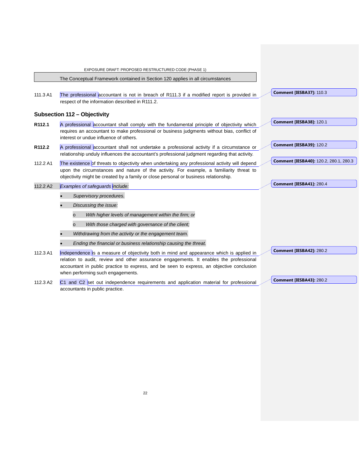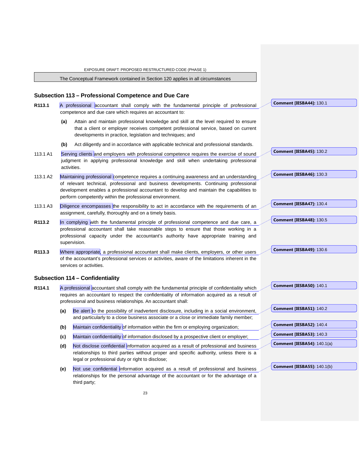|                    |     | EXPOSURE DRAFT: PROPOSED RESTRUCTURED CODE (PHASE 1)                                                                                                                                                                                     |                                    |
|--------------------|-----|------------------------------------------------------------------------------------------------------------------------------------------------------------------------------------------------------------------------------------------|------------------------------------|
|                    |     | The Conceptual Framework contained in Section 120 applies in all circumstances                                                                                                                                                           |                                    |
|                    |     | Subsection 113 - Professional Competence and Due Care                                                                                                                                                                                    |                                    |
| R113.1             |     | A professional accountant shall comply with the fundamental principle of professional                                                                                                                                                    | <b>Comment [IESBA44]: 130.1</b>    |
|                    |     | competence and due care which requires an accountant to:                                                                                                                                                                                 |                                    |
|                    | (a) | Attain and maintain professional knowledge and skill at the level required to ensure<br>that a client or employer receives competent professional service, based on current<br>developments in practice, legislation and techniques; and |                                    |
|                    | (b) | Act diligently and in accordance with applicable technical and professional standards.                                                                                                                                                   |                                    |
| 113.1 A1           |     | Serving clients and employers with professional competence requires the exercise of sound                                                                                                                                                | <b>Comment [IESBA45]: 130.2</b>    |
|                    |     | judgment in applying professional knowledge and skill when undertaking professional<br>activities.                                                                                                                                       |                                    |
| 113.1 A2           |     | Maintaining professional competence requires a continuing awareness and an understanding                                                                                                                                                 | <b>Comment [IESBA46]: 130.3</b>    |
|                    |     | of relevant technical, professional and business developments. Continuing professional                                                                                                                                                   |                                    |
|                    |     | development enables a professional accountant to develop and maintain the capabilities to                                                                                                                                                |                                    |
|                    |     | perform competently within the professional environment.                                                                                                                                                                                 | <b>Comment [IESBA47]: 130.4</b>    |
| 113.1 A3           |     | Diligence encompasses the responsibility to act in accordance with the requirements of an<br>assignment, carefully, thoroughly and on a timely basis.                                                                                    |                                    |
| R113.2             |     | In complying with the fundamental principle of professional competence and due care, a                                                                                                                                                   | <b>Comment [IESBA48]: 130.5</b>    |
|                    |     | professional accountant shall take reasonable steps to ensure that those working in a                                                                                                                                                    |                                    |
|                    |     | professional capacity under the accountant's authority have appropriate training and<br>supervision.                                                                                                                                     |                                    |
|                    |     |                                                                                                                                                                                                                                          | <b>Comment [IESBA49]: 130.6</b>    |
| R <sub>113.3</sub> |     | Where appropriate, a professional accountant shall make clients, employers, or other users<br>of the accountant's professional services or activities, aware of the limitations inherent in the                                          |                                    |
|                    |     | services or activities.                                                                                                                                                                                                                  |                                    |
|                    |     | Subsection 114 - Confidentiality                                                                                                                                                                                                         |                                    |
| R <sub>114.1</sub> |     | A professional accountant shall comply with the fundamental principle of confidentiality which                                                                                                                                           | <b>Comment [IESBA50]: 140.1</b>    |
|                    |     | requires an accountant to respect the confidentiality of information acquired as a result of                                                                                                                                             |                                    |
|                    |     | professional and business relationships. An accountant shall:                                                                                                                                                                            |                                    |
|                    | (a) | Be alert to the possibility of inadvertent disclosure, including in a social environment,                                                                                                                                                | <b>Comment [IESBA51]: 140.2</b>    |
|                    |     | and particularly to a close business associate or a close or immediate family member;                                                                                                                                                    | <b>Comment [IESBA52]: 140.4</b>    |
|                    | (b) | Maintain confidentiality of information within the firm or employing organization;<br>Maintain confidentiality of information disclosed by a prospective client or employer;                                                             | <b>Comment [IESBA53]: 140.3</b>    |
|                    | (c) |                                                                                                                                                                                                                                          | <b>Comment [IESBA54]: 140.1(a)</b> |
|                    | (d) | Not disclose confidential information acquired as a result of professional and business<br>relationships to third parties without proper and specific authority, unless there is a                                                       |                                    |
|                    |     | legal or professional duty or right to disclose;                                                                                                                                                                                         |                                    |
|                    | (e) | Not use confidential information acquired as a result of professional and business                                                                                                                                                       | <b>Comment [IESBA55]: 140.1(b)</b> |
|                    |     | relationships for the personal advantage of the accountant or for the advantage of a<br>third party;                                                                                                                                     |                                    |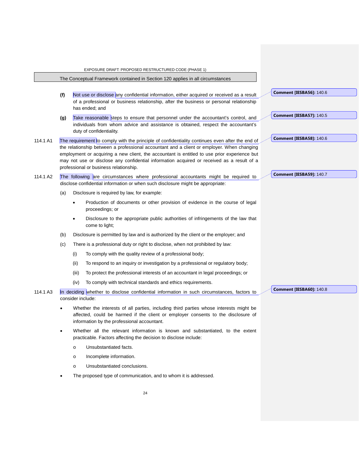|          |     | EXPOSURE DRAFT: PROPOSED RESTRUCTURED CODE (PHASE 1)<br>The Conceptual Framework contained in Section 120 applies in all circumstances                                                                                     |
|----------|-----|----------------------------------------------------------------------------------------------------------------------------------------------------------------------------------------------------------------------------|
|          |     |                                                                                                                                                                                                                            |
|          | (f) | <b>Comment [IESBA56]: 140.6</b><br>Not use or disclose any confidential information, either acquired or received as a result                                                                                               |
|          |     | of a professional or business relationship, after the business or personal relationship<br>has ended; and                                                                                                                  |
|          | (g) | <b>Comment [IESBA57]: 140.5</b><br>Take reasonable steps to ensure that personnel under the accountant's control, and                                                                                                      |
|          |     | individuals from whom advice and assistance is obtained, respect the accountant's                                                                                                                                          |
|          |     | duty of confidentiality.                                                                                                                                                                                                   |
| 114.1 A1 |     | <b>Comment [IESBA58]: 140.6</b><br>The requirement to comply with the principle of confidentiality continues even after the end of                                                                                         |
|          |     | the relationship between a professional accountant and a client or employer. When changing<br>employment or acquiring a new client, the accountant is entitled to use prior experience but                                 |
|          |     | may not use or disclose any confidential information acquired or received as a result of a                                                                                                                                 |
|          |     | professional or business relationship.<br><b>Comment [IESBA59]: 140.7</b>                                                                                                                                                  |
| 114.1 A2 |     | The following are circumstances where professional accountants might be required to<br>disclose confidential information or when such disclosure might be appropriate:                                                     |
|          | (a) | Disclosure is required by law, for example:                                                                                                                                                                                |
|          |     | Production of documents or other provision of evidence in the course of legal                                                                                                                                              |
|          |     | proceedings; or                                                                                                                                                                                                            |
|          |     | Disclosure to the appropriate public authorities of infringements of the law that<br>$\bullet$<br>come to light;                                                                                                           |
|          | (b) | Disclosure is permitted by law and is authorized by the client or the employer; and                                                                                                                                        |
|          | (c) | There is a professional duty or right to disclose, when not prohibited by law:                                                                                                                                             |
|          |     | (i)<br>To comply with the quality review of a professional body;                                                                                                                                                           |
|          |     | To respond to an inquiry or investigation by a professional or regulatory body;<br>(ii)                                                                                                                                    |
|          |     | To protect the professional interests of an accountant in legal proceedings; or<br>(iii)                                                                                                                                   |
|          |     | To comply with technical standards and ethics requirements.<br>(iv)                                                                                                                                                        |
| 114.1 A3 |     | <b>Comment [IESBA60]: 140.8</b><br>In deciding whether to disclose confidential information in such circumstances, factors to<br>consider include:                                                                         |
|          |     | Whether the interests of all parties, including third parties whose interests might be<br>affected, could be harmed if the client or employer consents to the disclosure of<br>information by the professional accountant. |
|          | ٠   | Whether all the relevant information is known and substantiated, to the extent<br>practicable. Factors affecting the decision to disclose include:                                                                         |
|          |     | Unsubstantiated facts.<br>$\circ$                                                                                                                                                                                          |
|          |     | Incomplete information.<br>$\circ$                                                                                                                                                                                         |
|          |     | Unsubstantiated conclusions.<br>$\circ$                                                                                                                                                                                    |
|          |     | The proposed type of communication, and to whom it is addressed.                                                                                                                                                           |
|          |     | 24                                                                                                                                                                                                                         |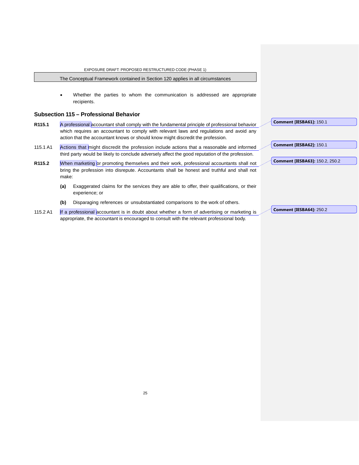|                    | EXPOSURE DRAFT: PROPOSED RESTRUCTURED CODE (PHASE 1)<br>The Conceptual Framework contained in Section 120 applies in all circumstances<br>Whether the parties to whom the communication is addressed are appropriate<br>$\bullet$<br>recipients.                                                                         |                                        |
|--------------------|--------------------------------------------------------------------------------------------------------------------------------------------------------------------------------------------------------------------------------------------------------------------------------------------------------------------------|----------------------------------------|
|                    | Subsection 115 – Professional Behavior                                                                                                                                                                                                                                                                                   |                                        |
| R <sub>115.1</sub> | A professional accountant shall comply with the fundamental principle of professional behavior<br>which requires an accountant to comply with relevant laws and regulations and avoid any<br>action that the accountant knows or should know might discredit the profession.                                             | <b>Comment [IESBA61]: 150.1</b>        |
| 115.1 A1           | Actions that might discredit the profession include actions that a reasonable and informed<br>third party would be likely to conclude adversely affect the good reputation of the profession.                                                                                                                            | <b>Comment [IESBA62]: 150.1</b>        |
| R <sub>115.2</sub> | When marketing or promoting themselves and their work, professional accountants shall not<br>bring the profession into disrepute. Accountants shall be honest and truthful and shall not<br>make:<br>Exaggerated claims for the services they are able to offer, their qualifications, or their<br>(a)<br>experience; or | <b>Comment [IESBA63]: 150.2, 250.2</b> |

- **(b)** Disparaging references or unsubstantiated comparisons to the work of others.
- 115.2 A1 If a professional accountant is in doubt about whether a form of advertising or marketing is appropriate, the accountant is encouraged to consult with the relevant professional body.

**Comment [IESBA64]:** 250.2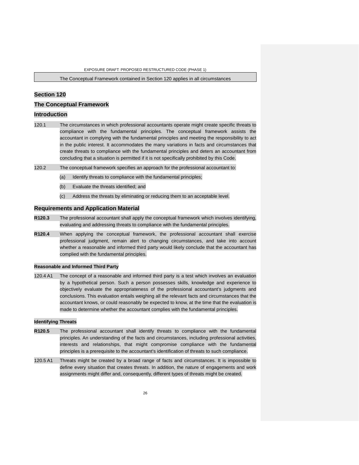# **Section 120**

# **The Conceptual Framework**

## **Introduction**

- 120.1 The circumstances in which professional accountants operate might create specific threats to compliance with the fundamental principles. The conceptual framework assists the accountant in complying with the fundamental principles and meeting the responsibility to act in the public interest. It accommodates the many variations in facts and circumstances that create threats to compliance with the fundamental principles and deters an accountant from concluding that a situation is permitted if it is not specifically prohibited by this Code.
- 120.2 The conceptual framework specifies an approach for the professional accountant to:
	- (a) Identify threats to compliance with the fundamental principles;
	- (b) Evaluate the threats identified; and
	- (c) Address the threats by eliminating or reducing them to an acceptable level.

## **Requirements and Application Material**

- **R120.3** The professional accountant shall apply the conceptual framework which involves identifying, evaluating and addressing threats to compliance with the fundamental principles.
- **R120.4** When applying the conceptual framework, the professional accountant shall exercise professional judgment, remain alert to changing circumstances, and take into account whether a reasonable and informed third party would likely conclude that the accountant has complied with the fundamental principles.

## **Reasonable and Informed Third Party**

120.4 A1 The concept of a reasonable and informed third party is a test which involves an evaluation by a hypothetical person. Such a person possesses skills, knowledge and experience to objectively evaluate the appropriateness of the professional accountant's judgments and conclusions. This evaluation entails weighing all the relevant facts and circumstances that the accountant knows, or could reasonably be expected to know, at the time that the evaluation is made to determine whether the accountant complies with the fundamental principles.

## **Identifying Threats**

- **R120.5** The professional accountant shall identify threats to compliance with the fundamental principles. An understanding of the facts and circumstances, including professional activities, interests and relationships, that might compromise compliance with the fundamental principles is a prerequisite to the accountant's identification of threats to such compliance.
- 120.5 A1 Threats might be created by a broad range of facts and circumstances. It is impossible to define every situation that creates threats. In addition, the nature of engagements and work assignments might differ and, consequently, different types of threats might be created.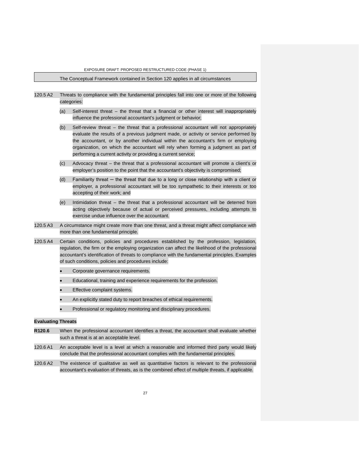| 120.5 A2 |     | Threats to compliance with the fundamental principles fall into one or more of the following<br>categories:                                                                                                                                                                                                                                                                                                                 |
|----------|-----|-----------------------------------------------------------------------------------------------------------------------------------------------------------------------------------------------------------------------------------------------------------------------------------------------------------------------------------------------------------------------------------------------------------------------------|
|          | (a) | Self-interest threat – the threat that a financial or other interest will inappropriately<br>influence the professional accountant's judgment or behavior;                                                                                                                                                                                                                                                                  |
|          | (b) | Self-review threat – the threat that a professional accountant will not appropriately<br>evaluate the results of a previous judgment made, or activity or service performed by<br>the accountant, or by another individual within the accountant's firm or employing<br>organization, on which the accountant will rely when forming a judgment as part of<br>performing a current activity or providing a current service; |
|          | (c) | Advocacy threat – the threat that a professional accountant will promote a client's or<br>employer's position to the point that the accountant's objectivity is compromised;                                                                                                                                                                                                                                                |
|          | (d) | Familiarity threat $-$ the threat that due to a long or close relationship with a client or<br>employer, a professional accountant will be too sympathetic to their interests or too<br>accepting of their work; and                                                                                                                                                                                                        |
|          | (e) | Intimidation threat – the threat that a professional accountant will be deterred from<br>acting objectively because of actual or perceived pressures, including attempts to                                                                                                                                                                                                                                                 |

- exercise undue influence over the accountant. 120.5 A3 A circumstance might create more than one threat, and a threat might affect compliance with more than one fundamental principle.
- 120.5 A4 Certain conditions, policies and procedures established by the profession, legislation, regulation, the firm or the employing organization can affect the likelihood of the professional accountant's identification of threats to compliance with the fundamental principles. Examples of such conditions, policies and procedures include:
	- Corporate governance requirements.
	- Educational, training and experience requirements for the profession.
	- Effective complaint systems.
	- An explicitly stated duty to report breaches of ethical requirements.
	- Professional or regulatory monitoring and disciplinary procedures.

# **Evaluating Threats**

- **R120.6** When the professional accountant identifies a threat, the accountant shall evaluate whether such a threat is at an acceptable level.
- 120.6 A1 An acceptable level is a level at which a reasonable and informed third party would likely conclude that the professional accountant complies with the fundamental principles.
- 120.6 A2 The existence of qualitative as well as quantitative factors is relevant to the professional accountant's evaluation of threats, as is the combined effect of multiple threats, if applicable.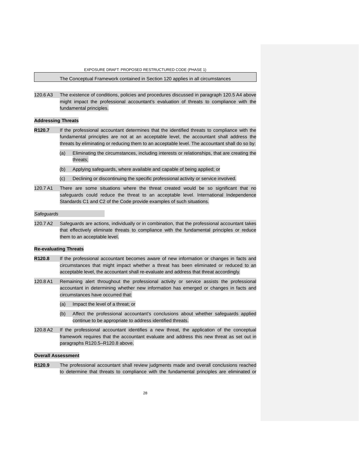#### The Conceptual Framework contained in Section 120 applies in all circumstances

120.6 A3 The existence of conditions, policies and procedures discussed in paragraph 120.5 A4 above might impact the professional accountant's evaluation of threats to compliance with the fundamental principles.

## **Addressing Threats**

- **R120.7** If the professional accountant determines that the identified threats to compliance with the fundamental principles are not at an acceptable level, the accountant shall address the threats by eliminating or reducing them to an acceptable level. The accountant shall do so by:
	- (a) Eliminating the circumstances, including interests or relationships, that are creating the threats;
	- (b) Applying safeguards, where available and capable of being applied; or
	- (c) Declining or discontinuing the specific professional activity or service involved.
- 120.7 A1 There are some situations where the threat created would be so significant that no safeguards could reduce the threat to an acceptable level. International Independence Standards C1 and C2 of the Code provide examples of such situations.

# *Safeguards*

120.7 A2 Safeguards are actions, individually or in combination, that the professional accountant takes that effectively eliminate threats to compliance with the fundamental principles or reduce them to an acceptable level.

#### **Re-evaluating Threats**

- **R120.8** If the professional accountant becomes aware of new information or changes in facts and circumstances that might impact whether a threat has been eliminated or reduced to an acceptable level, the accountant shall re-evaluate and address that threat accordingly.
- 120.8 A1 Remaining alert throughout the professional activity or service assists the professional accountant in determining whether new information has emerged or changes in facts and circumstances have occurred that:
	- (a) Impact the level of a threat; or
	- (b) Affect the professional accountant's conclusions about whether safeguards applied continue to be appropriate to address identified threats.
- 120.8 A2 If the professional accountant identifies a new threat, the application of the conceptual framework requires that the accountant evaluate and address this new threat as set out in paragraphs R120.5–R120.8 above.

## **Overall Assessment**

**R120.9** The professional accountant shall review judgments made and overall conclusions reached to determine that threats to compliance with the fundamental principles are eliminated or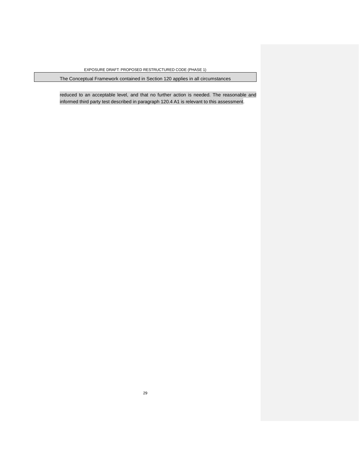The Conceptual Framework contained in Section 120 applies in all circumstances

reduced to an acceptable level, and that no further action is needed. The reasonable and informed third party test described in paragraph 120.4 A1 is relevant to this assessment.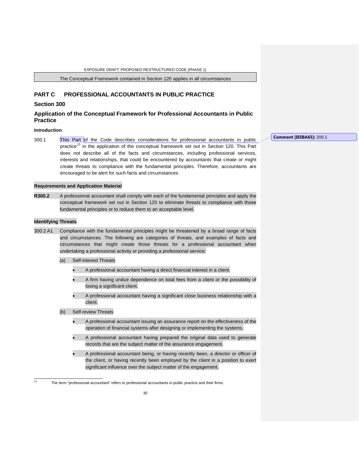# **PART C PROFESSIONAL ACCOUNTANTS IN PUBLIC PRACTICE**

# **Section 300**

# **Application of the Conceptual Framework for Professional Accountants in Public Practice**

# **Introduction**

300.1 This Part of the Code describes considerations for professional accountants in public practice<sup>13</sup> in the application of the conceptual framework set out in Section 120. This Part does not describe all of the facts and circumstances, including professional services, interests and relationships, that could be encountered by accountants that create or might create threats to compliance with the fundamental principles. Therefore, accountants are encouraged to be alert for such facts and circumstances.

## **Requirements and Application Material**

**R300.2** A professional accountant shall comply with each of the fundamental principles and apply the conceptual framework set out in Section 120 to eliminate threats to compliance with those fundamental principles or to reduce them to an acceptable level.

## **Identifying Threats**

- 300.2 A1 Compliance with the fundamental principles might be threatened by a broad range of facts and circumstances. The following are categories of threats, and examples of facts and circumstances that might create those threats for a professional accountant when undertaking a professional activity or providing a professional service:
	- (a) Self-interest Threats
		- A professional accountant having a direct financial interest in a client.
		- A firm having undue dependence on total fees from a client or the possibility of losing a significant client.
		- A professional accountant having a significant close business relationship with a client.
	- (b) Self-review Threats
		- A professional accountant issuing an assurance report on the effectiveness of the operation of financial systems after designing or implementing the systems.
		- A professional accountant having prepared the original data used to generate records that are the subject matter of the assurance engagement.
		- A professional accountant being, or having recently been, a director or officer of the client, or having recently been employed by the client in a position to exert significant influence over the subject matter of the engagement.

**Comment [IESBA65]:** 200.1

<sup>13</sup> The term "professional accountant" refers to professional accountants in public practice and their firms.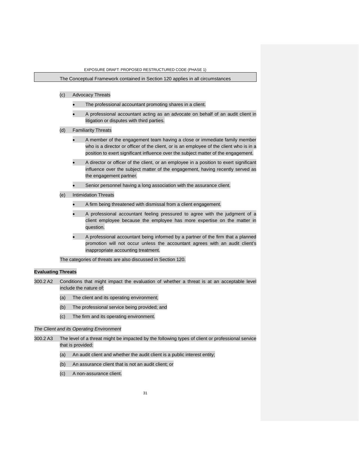- (c) Advocacy Threats
	- The professional accountant promoting shares in a client.
	- A professional accountant acting as an advocate on behalf of an audit client in litigation or disputes with third parties.
- (d) Familiarity Threats
	- A member of the engagement team having a close or immediate family member who is a director or officer of the client, or is an employee of the client who is in a position to exert significant influence over the subject matter of the engagement.
	- A director or officer of the client, or an employee in a position to exert significant influence over the subject matter of the engagement, having recently served as the engagement partner.
	- Senior personnel having a long association with the assurance client.
- (e) Intimidation Threats
	- A firm being threatened with dismissal from a client engagement.
	- A professional accountant feeling pressured to agree with the judgment of a client employee because the employee has more expertise on the matter in question.
	- A professional accountant being informed by a partner of the firm that a planned promotion will not occur unless the accountant agrees with an audit client's inappropriate accounting treatment.

The categories of threats are also discussed in Section 120.

# **Evaluating Threats**

- (a) The client and its operating environment;
- (b) The professional service being provided; and
- (c) The firm and its operating environment.

# *The Client and its Operating Environment*

- 300.2 A3 The level of a threat might be impacted by the following types of client or professional service that is provided:
	- (a) An audit client and whether the audit client is a public interest entity;
	- (b) An assurance client that is not an audit client; or
	- (c) A non-assurance client.

<sup>300.2</sup> A2 Conditions that might impact the evaluation of whether a threat is at an acceptable level include the nature of: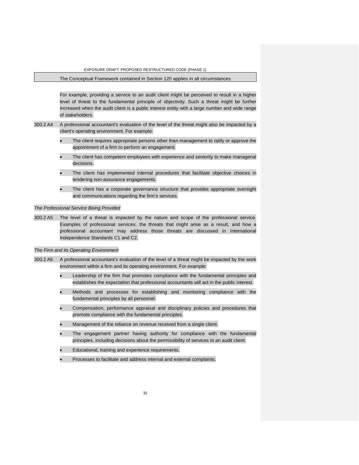For example, providing a service to an audit client might be perceived to result in a higher level of threat to the fundamental principle of objectivity. Such a threat might be further increased when the audit client is a public interest entity with a large number and wide range of stakeholders.

- 300.2 A4 A professional accountant's evaluation of the level of the threat might also be impacted by a client's operating environment. For example:
	- The client requires appropriate persons other than management to ratify or approve the appointment of a firm to perform an engagement.
	- The client has competent employees with experience and seniority to make managerial decisions.
	- The client has implemented internal procedures that facilitate objective choices in tendering non-assurance engagements.
	- The client has a corporate governance structure that provides appropriate oversight and communications regarding the firm's services.

## *The Professional Service Being Provided*

300.2 A5 The level of a threat is impacted by the nature and scope of the professional service. Examples of professional services, the threats that might arise as a result, and how a professional accountant may address those threats are discussed in International Independence Standards C1 and C2.

# *The Firm and its Operating Environment*

- 300.2 A6 A professional accountant's evaluation of the level of a threat might be impacted by the work environment within a firm and its operating environment. For example:
	- Leadership of the firm that promotes compliance with the fundamental principles and establishes the expectation that professional accountants will act in the public interest.
	- Methods and processes for establishing and monitoring compliance with the fundamental principles by all personnel.
	- Compensation, performance appraisal and disciplinary policies and procedures that promote compliance with the fundamental principles.
	- Management of the reliance on revenue received from a single client.
	- The engagement partner having authority for compliance with the fundamental principles, including decisions about the permissibility of services to an audit client.
	- Educational, training and experience requirements.
	- Processes to facilitate and address internal and external complaints.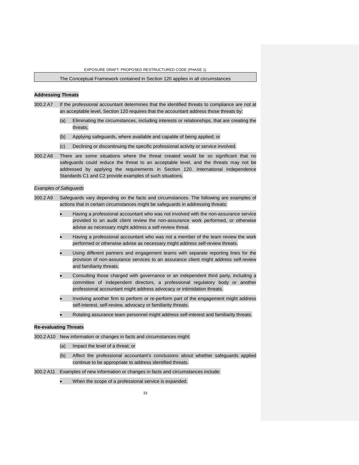# **Addressing Threats**

- 300.2 A7 If the professional accountant determines that the identified threats to compliance are not at an acceptable level, Section 120 requires that the accountant address those threats by:
	- (a) Eliminating the circumstances, including interests or relationships, that are creating the threats;
	- (b) Applying safeguards, where available and capable of being applied; or
	- (c) Declining or discontinuing the specific professional activity or service involved.
- 300.2 A8 There are some situations where the threat created would be so significant that no safeguards could reduce the threat to an acceptable level, and the threats may not be addressed by applying the requirements in Section 120. International Independence Standards C1 and C2 provide examples of such situations.

## *Examples of Safeguards*

- 300.2 A9 Safeguards vary depending on the facts and circumstances. The following are examples of actions that in certain circumstances might be safeguards in addressing threats:
	- Having a professional accountant who was not involved with the non-assurance service provided to an audit client review the non-assurance work performed, or otherwise advise as necessary might address a self-review threat.
	- Having a professional accountant who was not a member of the team review the work performed or otherwise advise as necessary might address self-review threats.
	- Using different partners and engagement teams with separate reporting lines for the provision of non-assurance services to an assurance client might address self-review and familiarity threats.
	- Consulting those charged with governance or an independent third party, including a committee of independent directors, a professional regulatory body or another professional accountant might address advocacy or intimidation threats.
	- Involving another firm to perform or re-perform part of the engagement might address self-interest, self-review, advocacy or familiarity threats.
	- Rotating assurance team personnel might address self-interest and familiarity threats.

## **Re-evaluating Threats**

300.2 A10 New information or changes in facts and circumstances might:

- (a) Impact the level of a threat; or
- (b) Affect the professional accountant's conclusions about whether safeguards applied continue to be appropriate to address identified threats.
- 300.2 A11 Examples of new information or changes in facts and circumstances include:
	- When the scope of a professional service is expanded.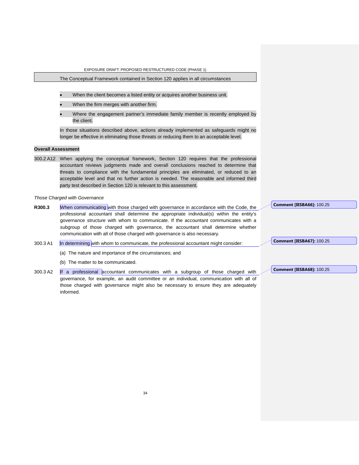- When the client becomes a listed entity or acquires another business unit.
- When the firm merges with another firm.
- Where the engagement partner's immediate family member is recently employed by the client.

In those situations described above, actions already implemented as safeguards might no longer be effective in eliminating those threats or reducing them to an acceptable level.

## **Overall Assessment**

300.2 A12 When applying the conceptual framework, Section 120 requires that the professional accountant reviews judgments made and overall conclusions reached to determine that threats to compliance with the fundamental principles are eliminated, or reduced to an acceptable level and that no further action is needed. The reasonable and informed third party test described in Section 120 is relevant to this assessment.

## *Those Charged with Governance*

- **R300.3** When communicating with those charged with governance in accordance with the Code, the professional accountant shall determine the appropriate individual(s) within the entity's governance structure with whom to communicate. If the accountant communicates with a subgroup of those charged with governance, the accountant shall determine whether communication with all of those charged with governance is also necessary.
- 300.3 A1 In determining with whom to communicate, the professional accountant might consider:

(a) The nature and importance of the circumstances; and

- (b) The matter to be communicated.
- 300.3 A2 If a professional accountant communicates with a subgroup of those charged with governance, for example, an audit committee or an individual, communication with all of those charged with governance might also be necessary to ensure they are adequately informed.

**Comment [IESBA66]:** 100.25

**Comment [IESBA67]:** 100.25

**Comment [IESBA68]:** 100.25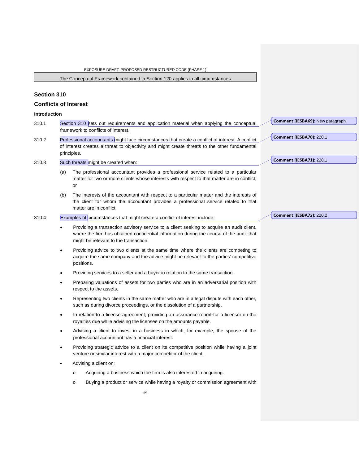|                              |           | EXPOSURE DRAFT: PROPOSED RESTRUCTURED CODE (PHASE 1)                                                                                                                                                                          |                                 |  |  |  |
|------------------------------|-----------|-------------------------------------------------------------------------------------------------------------------------------------------------------------------------------------------------------------------------------|---------------------------------|--|--|--|
|                              |           | The Conceptual Framework contained in Section 120 applies in all circumstances                                                                                                                                                |                                 |  |  |  |
| Section 310                  |           |                                                                                                                                                                                                                               |                                 |  |  |  |
| <b>Conflicts of Interest</b> |           |                                                                                                                                                                                                                               |                                 |  |  |  |
| <b>Introduction</b>          |           |                                                                                                                                                                                                                               |                                 |  |  |  |
| 310.1                        |           | Comment [IESBA69]: New paragraph<br>Section 310 sets out requirements and application material when applying the conceptual<br>framework to conflicts of interest.                                                            |                                 |  |  |  |
| 310.2                        |           | Professional accountants might face circumstances that create a conflict of interest. A conflict<br>of interest creates a threat to objectivity and might create threats to the other fundamental<br>principles.              | <b>Comment [IESBA70]: 220.1</b> |  |  |  |
| 310.3                        |           | Such threats might be created when:                                                                                                                                                                                           | <b>Comment [IESBA71]: 220.1</b> |  |  |  |
|                              | (a)       | The professional accountant provides a professional service related to a particular<br>matter for two or more clients whose interests with respect to that matter are in conflict;<br>or                                      |                                 |  |  |  |
|                              | (b)       | The interests of the accountant with respect to a particular matter and the interests of<br>the client for whom the accountant provides a professional service related to that<br>matter are in conflict.                     |                                 |  |  |  |
| 310.4                        |           | Examples of circumstances that might create a conflict of interest include:                                                                                                                                                   | <b>Comment [IESBA72]: 220.2</b> |  |  |  |
|                              | $\bullet$ | Providing a transaction advisory service to a client seeking to acquire an audit client,<br>where the firm has obtained confidential information during the course of the audit that<br>might be relevant to the transaction. |                                 |  |  |  |
|                              | $\bullet$ | Providing advice to two clients at the same time where the clients are competing to<br>acquire the same company and the advice might be relevant to the parties' competitive<br>positions.                                    |                                 |  |  |  |
|                              | ٠         | Providing services to a seller and a buyer in relation to the same transaction.                                                                                                                                               |                                 |  |  |  |
|                              | $\bullet$ | Preparing valuations of assets for two parties who are in an adversarial position with<br>respect to the assets.                                                                                                              |                                 |  |  |  |
|                              | ٠         | Representing two clients in the same matter who are in a legal dispute with each other,<br>such as during divorce proceedings, or the dissolution of a partnership.                                                           |                                 |  |  |  |
|                              | ٠         | In relation to a license agreement, providing an assurance report for a licensor on the<br>royalties due while advising the licensee on the amounts payable.                                                                  |                                 |  |  |  |
|                              | $\bullet$ | Advising a client to invest in a business in which, for example, the spouse of the<br>professional accountant has a financial interest.                                                                                       |                                 |  |  |  |
|                              | ٠         | Providing strategic advice to a client on its competitive position while having a joint<br>venture or similar interest with a major competitor of the client.                                                                 |                                 |  |  |  |
|                              |           | Advising a client on:                                                                                                                                                                                                         |                                 |  |  |  |
|                              |           | Acquiring a business which the firm is also interested in acquiring.<br>O                                                                                                                                                     |                                 |  |  |  |
|                              |           | Buying a product or service while having a royalty or commission agreement with<br>$\circ$                                                                                                                                    |                                 |  |  |  |
|                              |           | 35                                                                                                                                                                                                                            |                                 |  |  |  |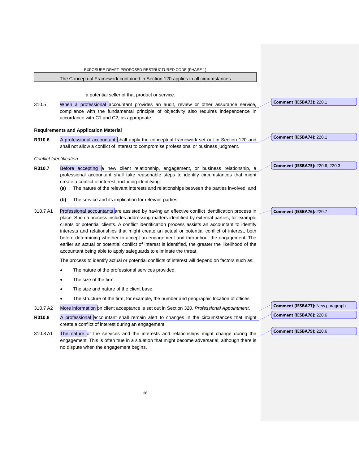

- **R310.8** A professional accountant shall remain alert to changes in the circumstances that might create a conflict of interest during an engagement.
- 310.8 A1 The nature of the services and the interests and relationships might change during the engagement. This is often true in a situation that might become adversarial, although there is no dispute when the engagement begins.

**Comment [IESBA79]:** 220.6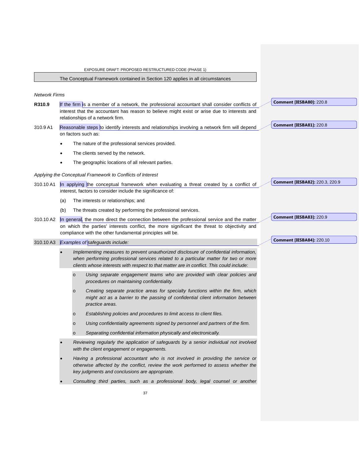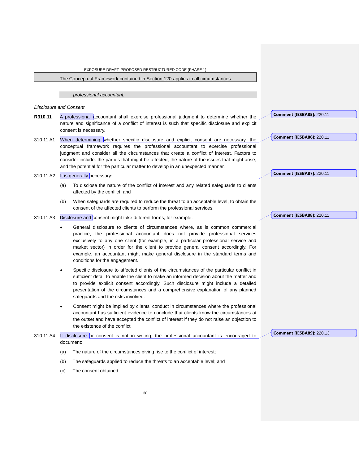|                               |     | EXPOSURE DRAFT: PROPOSED RESTRUCTURED CODE (PHASE 1)                                                                                                                                                                                                                                                                                                                                                                                                            |                                  |
|-------------------------------|-----|-----------------------------------------------------------------------------------------------------------------------------------------------------------------------------------------------------------------------------------------------------------------------------------------------------------------------------------------------------------------------------------------------------------------------------------------------------------------|----------------------------------|
|                               |     | The Conceptual Framework contained in Section 120 applies in all circumstances                                                                                                                                                                                                                                                                                                                                                                                  |                                  |
|                               |     | professional accountant.                                                                                                                                                                                                                                                                                                                                                                                                                                        |                                  |
|                               |     |                                                                                                                                                                                                                                                                                                                                                                                                                                                                 |                                  |
| <b>Disclosure and Consent</b> |     |                                                                                                                                                                                                                                                                                                                                                                                                                                                                 | <b>Comment [IESBA85]: 220.11</b> |
| R310.11                       |     | A professional accountant shall exercise professional judgment to determine whether the<br>nature and significance of a conflict of interest is such that specific disclosure and explicit<br>consent is necessary.                                                                                                                                                                                                                                             |                                  |
| 310.11 A1                     |     | When determining whether specific disclosure and explicit consent are necessary, the                                                                                                                                                                                                                                                                                                                                                                            | <b>Comment [IESBA86]: 220.11</b> |
|                               |     | conceptual framework requires the professional accountant to exercise professional                                                                                                                                                                                                                                                                                                                                                                              |                                  |
|                               |     | judgment and consider all the circumstances that create a conflict of interest. Factors to<br>consider include: the parties that might be affected; the nature of the issues that might arise;                                                                                                                                                                                                                                                                  |                                  |
|                               |     | and the potential for the particular matter to develop in an unexpected manner.                                                                                                                                                                                                                                                                                                                                                                                 |                                  |
| 310.11 A2                     |     | It is generally necessary:                                                                                                                                                                                                                                                                                                                                                                                                                                      | <b>Comment [IESBA87]: 220.11</b> |
|                               | (a) | To disclose the nature of the conflict of interest and any related safeguards to clients<br>affected by the conflict; and                                                                                                                                                                                                                                                                                                                                       |                                  |
|                               | (b) | When safeguards are required to reduce the threat to an acceptable level, to obtain the<br>consent of the affected clients to perform the professional services.                                                                                                                                                                                                                                                                                                |                                  |
| 310.11 A3                     |     | Disclosure and consent might take different forms, for example:                                                                                                                                                                                                                                                                                                                                                                                                 | <b>Comment [IESBA88]: 220.11</b> |
|                               |     | General disclosure to clients of circumstances where, as is common commercial<br>practice, the professional accountant does not provide professional services<br>exclusively to any one client (for example, in a particular professional service and<br>market sector) in order for the client to provide general consent accordingly. For<br>example, an accountant might make general disclosure in the standard terms and<br>conditions for the engagement. |                                  |
|                               |     | Specific disclosure to affected clients of the circumstances of the particular conflict in<br>sufficient detail to enable the client to make an informed decision about the matter and<br>to provide explicit consent accordingly. Such disclosure might include a detailed<br>presentation of the circumstances and a comprehensive explanation of any planned<br>safeguards and the risks involved.                                                           |                                  |
|                               |     | Consent might be implied by clients' conduct in circumstances where the professional<br>accountant has sufficient evidence to conclude that clients know the circumstances at<br>the outset and have accepted the conflict of interest if they do not raise an objection to<br>the existence of the conflict.                                                                                                                                                   |                                  |
| 310.11 A4                     |     | If disclosure or consent is not in writing, the professional accountant is encouraged to<br>document:                                                                                                                                                                                                                                                                                                                                                           | <b>Comment [IESBA89]: 220.13</b> |
|                               | (a) | The nature of the circumstances giving rise to the conflict of interest;                                                                                                                                                                                                                                                                                                                                                                                        |                                  |
|                               | (b) | The safeguards applied to reduce the threats to an acceptable level; and                                                                                                                                                                                                                                                                                                                                                                                        |                                  |
|                               | (c) | The consent obtained.                                                                                                                                                                                                                                                                                                                                                                                                                                           |                                  |
|                               |     |                                                                                                                                                                                                                                                                                                                                                                                                                                                                 |                                  |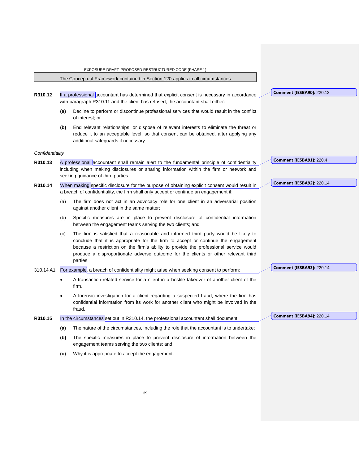- **R310.12** If a professional accountant has determined that explicit consent is necessary in accordance with paragraph R310.11 and the client has refused, the accountant shall either:
	- **(a)** Decline to perform or discontinue professional services that would result in the conflict of interest; or
	- **(b)** End relevant relationships, or dispose of relevant interests to eliminate the threat or reduce it to an acceptable level, so that consent can be obtained, after applying any additional safeguards if necessary.

#### *Confidentiality*

- **R310.13** A professional accountant shall remain alert to the fundamental principle of confidentiality including when making disclosures or sharing information within the firm or network and seeking guidance of third parties.
- **R310.14** When making specific disclosure for the purpose of obtaining explicit consent would result in a breach of confidentiality, the firm shall only accept or continue an engagement if:
	- (a) The firm does not act in an advocacy role for one client in an adversarial position against another client in the same matter;
	- (b) Specific measures are in place to prevent disclosure of confidential information between the engagement teams serving the two clients; and
	- (c) The firm is satisfied that a reasonable and informed third party would be likely to conclude that it is appropriate for the firm to accept or continue the engagement because a restriction on the firm's ability to provide the professional service would produce a disproportionate adverse outcome for the clients or other relevant third parties.

#### 310.14 A1 For example, a breach of confidentiality might arise when seeking consent to perform:

- A transaction-related service for a client in a hostile takeover of another client of the firm.
- A forensic investigation for a client regarding a suspected fraud, where the firm has confidential information from its work for another client who might be involved in the fraud.
- **R310.15** In the circumstances set out in R310.14, the professional accountant shall document:
	- **(a)** The nature of the circumstances, including the role that the accountant is to undertake;
	- **(b)** The specific measures in place to prevent disclosure of information between the engagement teams serving the two clients; and
	- **(c)** Why it is appropriate to accept the engagement.

|  | <b>Comment [IESBA90]: 220.12</b> |
|--|----------------------------------|
|--|----------------------------------|

**Comment [IESBA91]:** 220.4

**Comment [IESBA92]:** 220.14

**Comment [IESBA93]:** 220.14

**Comment [IESBA94]:** 220.14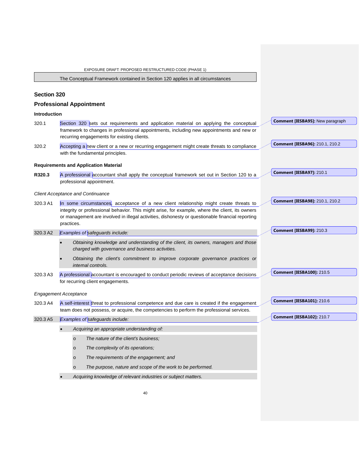|                     | EXPOSURE DRAFT: PROPOSED RESTRUCTURED CODE (PHASE 1)                                                                                    |                                         |
|---------------------|-----------------------------------------------------------------------------------------------------------------------------------------|-----------------------------------------|
|                     | The Conceptual Framework contained in Section 120 applies in all circumstances                                                          |                                         |
|                     |                                                                                                                                         |                                         |
| <b>Section 320</b>  |                                                                                                                                         |                                         |
|                     | <b>Professional Appointment</b>                                                                                                         |                                         |
| <b>Introduction</b> |                                                                                                                                         |                                         |
| 320.1               | Section 320 sets out requirements and application material on applying the conceptual                                                   | <b>Comment [IESBA95]: New paragraph</b> |
|                     | framework to changes in professional appointments, including new appointments and new or<br>recurring engagements for existing clients. |                                         |
| 320.2               | Accepting a new client or a new or recurring engagement might create threats to compliance                                              | <b>Comment [IESBA96]: 210.1, 210.2</b>  |
|                     | with the fundamental principles.                                                                                                        |                                         |
|                     | <b>Requirements and Application Material</b>                                                                                            |                                         |
| R320.3              | A professional accountant shall apply the conceptual framework set out in Section 120 to a                                              | <b>Comment [IESBA97]: 210.1</b>         |
|                     | professional appointment.                                                                                                               |                                         |
|                     | <b>Client Acceptance and Continuance</b>                                                                                                |                                         |
| 320.3 A1            | In some circumstances, acceptance of a new client relationship might create threats to                                                  | <b>Comment [IESBA98]: 210.1, 210.2</b>  |
|                     | integrity or professional behavior. This might arise, for example, where the client, its owners                                         |                                         |
|                     | or management are involved in illegal activities, dishonesty or questionable financial reporting<br>practices.                          |                                         |
| 320.3 A2            | Examples of safeguards include:                                                                                                         | <b>Comment [IESBA99]: 210.3</b>         |
|                     | Obtaining knowledge and understanding of the client, its owners, managers and those                                                     |                                         |
|                     | charged with governance and business activities.                                                                                        |                                         |
|                     | Obtaining the client's commitment to improve corporate governance practices or<br>internal controls.                                    |                                         |
| 320.3 A3            | A professional accountant is encouraged to conduct periodic reviews of acceptance decisions                                             | <b>Comment [IESBA100]: 210.5</b>        |
|                     | for recurring client engagements.                                                                                                       |                                         |
|                     | <b>Engagement Acceptance</b>                                                                                                            |                                         |
| 320.3 A4            | A self-interest threat to professional competence and due care is created if the engagement                                             | <b>Comment [IESBA101]: 210.6</b>        |
|                     | team does not possess, or acquire, the competencies to perform the professional services.                                               |                                         |
| 320.3 A5            | Examples of safeguards include:                                                                                                         | <b>Comment [IESBA102]: 210.7</b>        |
|                     | Acquiring an appropriate understanding of:                                                                                              |                                         |
|                     | The nature of the client's business;<br>$\circ$                                                                                         |                                         |
|                     | The complexity of its operations;<br>$\circ$                                                                                            |                                         |
|                     | The requirements of the engagement; and<br>$\circ$                                                                                      |                                         |
|                     | The purpose, nature and scope of the work to be performed.<br>$\circ$                                                                   |                                         |
|                     | Acquiring knowledge of relevant industries or subject matters.                                                                          |                                         |
|                     |                                                                                                                                         |                                         |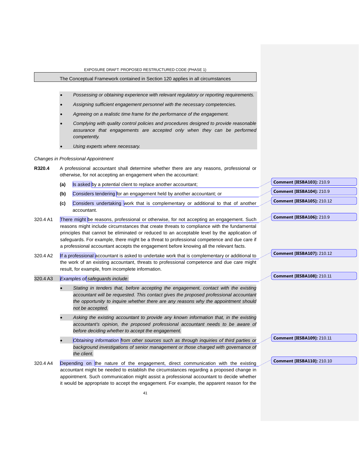- *Possessing or obtaining experience with relevant regulatory or reporting requirements.*
- *Assigning sufficient engagement personnel with the necessary competencies.*
- *Agreeing on a realistic time frame for the performance of the engagement.*
- *Complying with quality control policies and procedures designed to provide reasonable assurance that engagements are accepted only when they can be performed competently.*
- *Using experts where necessary.*

### *Changes in Professional Appointment*

- **R320.4** A professional accountant shall determine whether there are any reasons, professional or otherwise, for not accepting an engagement when the accountant:
	- **(a)** Is asked by a potential client to replace another accountant;
	- **(b)** Considers tendering for an engagement held by another accountant; or
	- **(c)** Considers undertaking work that is complementary or additional to that of another accountant.
- 320.4 A1 There might be reasons, professional or otherwise, for not accepting an engagement. Such reasons might include circumstances that create threats to compliance with the fundamental principles that cannot be eliminated or reduced to an acceptable level by the application of safeguards. For example, there might be a threat to professional competence and due care if a professional accountant accepts the engagement before knowing all the relevant facts.
- 320.4 A2 If a professional accountant is asked to undertake work that is complementary or additional to the work of an existing accountant, threats to professional competence and due care might result, for example, from incomplete information.

#### 320.4 A3 *Examples of safeguards include:*

- *Stating in tenders that, before accepting the engagement, contact with the existing accountant will be requested. This contact gives the proposed professional accountant the opportunity to inquire whether there are any reasons why the appointment should not be accepted.*
- *Asking the existing accountant to provide any known information that, in the existing accountant's opinion, the proposed professional accountant needs to be aware of before deciding whether to accept the engagement.*
- *Obtaining information from other sources such as through inquiries of third parties or background investigations of senior management or those charged with governance of the client.*
- 320.4 A4 Depending on the nature of the engagement, direct communication with the existing accountant might be needed to establish the circumstances regarding a proposed change in appointment. Such communication might assist a professional accountant to decide whether it would be appropriate to accept the engagement. For example, the apparent reason for the



**Comment [IESBA105]:** 210.12

**Comment [IESBA106]:** 210.9

**Comment [IESBA107]:** 210.12

**Comment [IESBA108]:** 210.11

**Comment [IESBA109]:** 210.11

**Comment [IESBA110]:** 210.10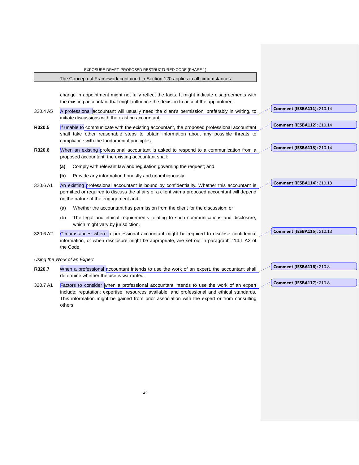

others.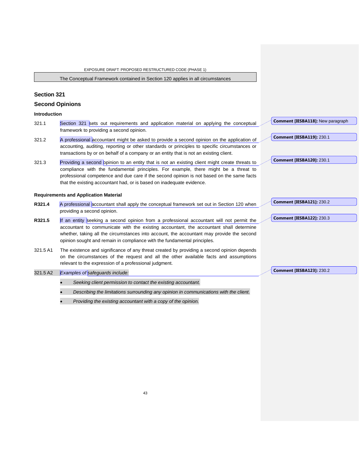|                     | EXPOSURE DRAFT: PROPOSED RESTRUCTURED CODE (PHASE 1)                                                                                                                                                                                                                                                                                                        |                                   |
|---------------------|-------------------------------------------------------------------------------------------------------------------------------------------------------------------------------------------------------------------------------------------------------------------------------------------------------------------------------------------------------------|-----------------------------------|
|                     | The Conceptual Framework contained in Section 120 applies in all circumstances                                                                                                                                                                                                                                                                              |                                   |
|                     |                                                                                                                                                                                                                                                                                                                                                             |                                   |
| <b>Section 321</b>  |                                                                                                                                                                                                                                                                                                                                                             |                                   |
|                     | <b>Second Opinions</b>                                                                                                                                                                                                                                                                                                                                      |                                   |
| <b>Introduction</b> |                                                                                                                                                                                                                                                                                                                                                             |                                   |
| 321.1               | Section 321 sets out requirements and application material on applying the conceptual<br>framework to providing a second opinion.                                                                                                                                                                                                                           | Comment [IESBA118]: New paragraph |
| 321.2               | A professional accountant might be asked to provide a second opinion on the application of<br>accounting, auditing, reporting or other standards or principles to specific circumstances or<br>transactions by or on behalf of a company or an entity that is not an existing client.                                                                       | <b>Comment [IESBA119]: 230.1</b>  |
| 321.3               | Providing a second opinion to an entity that is not an existing client might create threats to<br>compliance with the fundamental principles. For example, there might be a threat to<br>professional competence and due care if the second opinion is not based on the same facts<br>that the existing accountant had, or is based on inadequate evidence. | <b>Comment [IESBA120]: 230.1</b>  |
|                     | <b>Requirements and Application Material</b>                                                                                                                                                                                                                                                                                                                |                                   |
| R321.4              | A professional accountant shall apply the conceptual framework set out in Section 120 when<br>providing a second opinion.                                                                                                                                                                                                                                   | <b>Comment [IESBA121]: 230.2</b>  |
| R321.5              | If an entity seeking a second opinion from a professional accountant will not permit the<br>accountant to communicate with the existing accountant, the accountant shall determine<br>whether, taking all the circumstances into account, the accountant may provide the second<br>opinion sought and remain in compliance with the fundamental principles. | <b>Comment [IESBA122]: 230.3</b>  |
| 321.5 A1            | The existence and significance of any threat created by providing a second opinion depends<br>on the circumstances of the request and all the other available facts and assumptions<br>relevant to the expression of a professional judgment.                                                                                                               |                                   |
| 321.5 A2            | Examples of safeguards include:                                                                                                                                                                                                                                                                                                                             | <b>Comment [IESBA123]: 230.2</b>  |
|                     | Seeking client permission to contact the existing accountant.                                                                                                                                                                                                                                                                                               |                                   |
|                     | Describing the limitations surrounding any opinion in communications with the client.                                                                                                                                                                                                                                                                       |                                   |

• *Providing the existing accountant with a copy of the opinion.*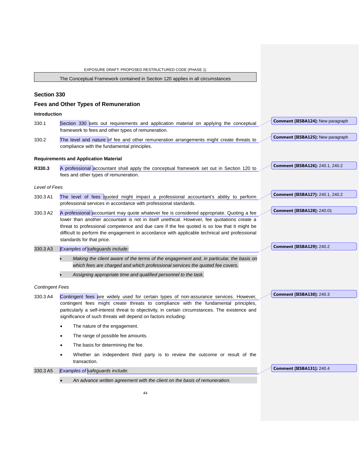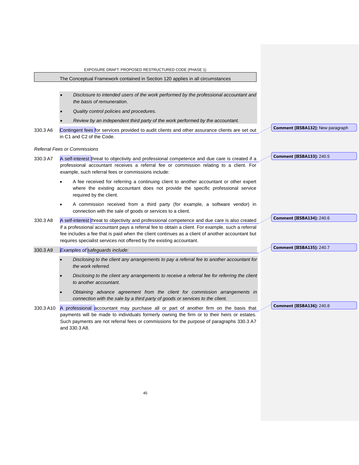|           | EXPOSURE DRAFT: PROPOSED RESTRUCTURED CODE (PHASE 1)                                                                                                                                                      |                                   |
|-----------|-----------------------------------------------------------------------------------------------------------------------------------------------------------------------------------------------------------|-----------------------------------|
|           | The Conceptual Framework contained in Section 120 applies in all circumstances                                                                                                                            |                                   |
|           |                                                                                                                                                                                                           |                                   |
|           | Disclosure to intended users of the work performed by the professional accountant and<br>the basis of remuneration.                                                                                       |                                   |
|           | Quality control policies and procedures.                                                                                                                                                                  |                                   |
|           | Review by an independent third party of the work performed by the accountant.                                                                                                                             |                                   |
| 330.3 A6  | Contingent fees for services provided to audit clients and other assurance clients are set out                                                                                                            | Comment [IESBA132]: New paragraph |
|           | in C1 and C2 of the Code.                                                                                                                                                                                 |                                   |
|           | <b>Referral Fees or Commissions</b>                                                                                                                                                                       |                                   |
| 330.3 A7  | A self-interest threat to objectivity and professional competence and due care is created if a                                                                                                            | <b>Comment [IESBA133]: 240.5</b>  |
|           | professional accountant receives a referral fee or commission relating to a client. For<br>example, such referral fees or commissions include:                                                            |                                   |
|           | A fee received for referring a continuing client to another accountant or other expert<br>where the existing accountant does not provide the specific professional service<br>required by the client.     |                                   |
|           | A commission received from a third party (for example, a software vendor) in<br>$\bullet$<br>connection with the sale of goods or services to a client.                                                   |                                   |
| 330.3 A8  | A self-interest threat to objectivity and professional competence and due care is also created                                                                                                            | <b>Comment [IESBA134]: 240.6</b>  |
|           | if a professional accountant pays a referral fee to obtain a client. For example, such a referral                                                                                                         |                                   |
|           | fee includes a fee that is paid when the client continues as a client of another accountant but<br>requires specialist services not offered by the existing accountant.                                   |                                   |
| 330.3 A9  | Examples of safeguards include:                                                                                                                                                                           | <b>Comment [IESBA135]: 240.7</b>  |
|           | Disclosing to the client any arrangements to pay a referral fee to another accountant for<br>the work referred.                                                                                           |                                   |
|           | Disclosing to the client any arrangements to receive a referral fee for referring the client<br>to another accountant.                                                                                    |                                   |
|           | Obtaining advance agreement from the client for commission arrangements in<br>connection with the sale by a third party of goods or services to the client.                                               |                                   |
| 330.3 A10 | A professional accountant may purchase all or part of another firm on the basis that                                                                                                                      | <b>Comment [IESBA136]: 240.8</b>  |
|           | payments will be made to individuals formerly owning the firm or to their heirs or estates.<br>Such payments are not referral fees or commissions for the purpose of paragraphs 330.3 A7<br>and 330.3 A8. |                                   |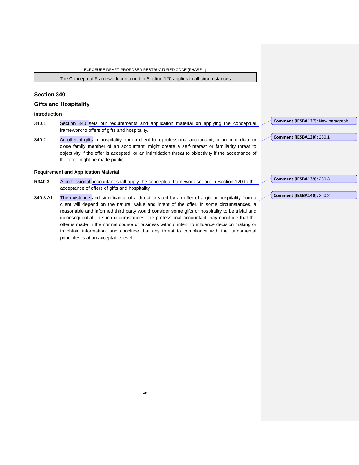The Conceptual Framework contained in Section 120 applies in all circumstances

# **Section 340**

### **Gifts and Hospitality**

### **Introduction**

- 340.1 Section 340 sets out requirements and application material on applying the conceptual framework to offers of gifts and hospitality.
- 340.2 An offer of gifts or hospitality from a client to a professional accountant, or an immediate or close family member of an accountant, might create a self-interest or familiarity threat to objectivity if the offer is accepted, or an intimidation threat to objectivity if the acceptance of the offer might be made public.

### **Requirement and Application Material**

- **R340.3** A professional accountant shall apply the conceptual framework set out in Section 120 to the acceptance of offers of gifts and hospitality.
- 340.3 A1 The existence and significance of a threat created by an offer of a gift or hospitality from a client will depend on the nature, value and intent of the offer. In some circumstances, a reasonable and informed third party would consider some gifts or hospitality to be trivial and inconsequential. In such circumstances, the professional accountant may conclude that the offer is made in the normal course of business without intent to influence decision making or to obtain information, and conclude that any threat to compliance with the fundamental principles is at an acceptable level.

**Comment [IESBA137]:** New paragraph

**Comment [IESBA138]:** 260.1

**Comment [IESBA139]:** 260.3

**Comment [IESBA140]:** 260.2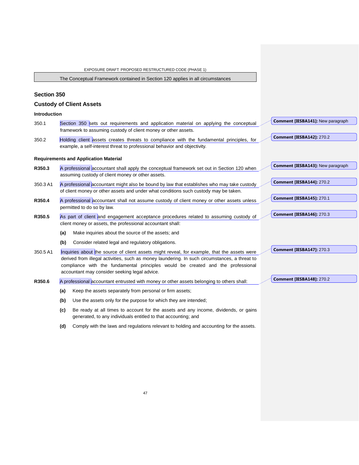|                     | EXPOSURE DRAFT: PROPOSED RESTRUCTURED CODE (PHASE 1)                                                                                                                                                                                                                                                                                                                  |
|---------------------|-----------------------------------------------------------------------------------------------------------------------------------------------------------------------------------------------------------------------------------------------------------------------------------------------------------------------------------------------------------------------|
|                     | The Conceptual Framework contained in Section 120 applies in all circumstances                                                                                                                                                                                                                                                                                        |
| Section 350         |                                                                                                                                                                                                                                                                                                                                                                       |
|                     | <b>Custody of Client Assets</b>                                                                                                                                                                                                                                                                                                                                       |
| <b>Introduction</b> |                                                                                                                                                                                                                                                                                                                                                                       |
| 350.1               | Comment [IESBA141]: New paragraph<br>Section 350 sets out requirements and application material on applying the conceptual<br>framework to assuming custody of client money or other assets.                                                                                                                                                                          |
| 350.2               | <b>Comment [IESBA142]: 270.2</b><br>Holding client assets creates threats to compliance with the fundamental principles, for<br>example, a self-interest threat to professional behavior and objectivity.                                                                                                                                                             |
|                     | <b>Requirements and Application Material</b>                                                                                                                                                                                                                                                                                                                          |
| R350.3              | Comment [IESBA143]: New paragraph<br>A professional accountant shall apply the conceptual framework set out in Section 120 when<br>assuming custody of client money or other assets.                                                                                                                                                                                  |
| 350.3 A1            | <b>Comment [IESBA144]: 270.2</b><br>A professional accountant might also be bound by law that establishes who may take custody<br>of client money or other assets and under what conditions such custody may be taken.                                                                                                                                                |
| R350.4              | <b>Comment [IESBA145]: 270.1</b><br>A professional accountant shall not assume custody of client money or other assets unless<br>permitted to do so by law.                                                                                                                                                                                                           |
| R350.5              | <b>Comment [IESBA146]: 270.3</b><br>As part of client and engagement acceptance procedures related to assuming custody of<br>client money or assets, the professional accountant shall:                                                                                                                                                                               |
|                     | Make inquiries about the source of the assets; and<br>(a)                                                                                                                                                                                                                                                                                                             |
|                     | Consider related legal and regulatory obligations.<br>(b)                                                                                                                                                                                                                                                                                                             |
| 350.5 A1            | <b>Comment [IESBA147]: 270.3</b><br>Inquiries about the source of client assets might reveal, for example, that the assets were<br>derived from illegal activities, such as money laundering. In such circumstances, a threat to<br>compliance with the fundamental principles would be created and the professional<br>accountant may consider seeking legal advice. |
| R350.6              | <b>Comment [IESBA148]: 270.2</b><br>A professional accountant entrusted with money or other assets belonging to others shall:                                                                                                                                                                                                                                         |
|                     | Keep the assets separately from personal or firm assets;<br>(a)                                                                                                                                                                                                                                                                                                       |
|                     | Use the assets only for the purpose for which they are intended;<br>(b)                                                                                                                                                                                                                                                                                               |
|                     | Be ready at all times to account for the assets and any income, dividends, or gains<br>(c)<br>generated, to any individuals entitled to that accounting; and                                                                                                                                                                                                          |

**(d)** Comply with the laws and regulations relevant to holding and accounting for the assets.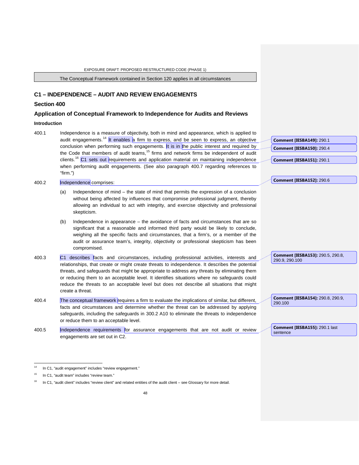

 <sup>14</sup> In C1, "audit engagement" includes "review engagement."

<sup>&</sup>lt;sup>15</sup> In C1, "audit team" includes "review team."

<sup>&</sup>lt;sup>16</sup> In C1, "audit client" includes "review client" and related entities of the audit client – see Glossary for more detail.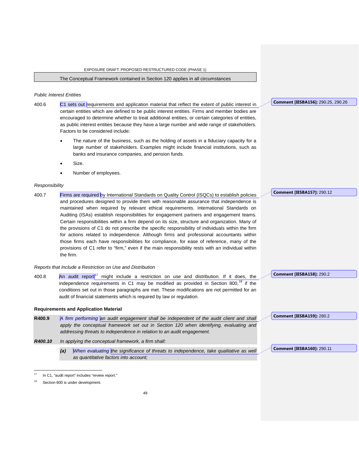### *Public Interest Entities*

400.6 C1 sets out requirements and application material that reflect the extent of public interest in certain entities which are defined to be public interest entities. Firms and member bodies are encouraged to determine whether to treat additional entities, or certain categories of entities, as public interest entities because they have a large number and wide range of stakeholders. Factors to be considered include:

- The nature of the business, such as the holding of assets in a fiduciary capacity for a large number of stakeholders. Examples might include financial institutions, such as banks and insurance companies, and pension funds.
- Size.
- Number of employees.

### *Responsibility*

400.7 Firms are required by International Standards on Quality Control (ISQCs) to establish policies and procedures designed to provide them with reasonable assurance that independence is maintained when required by relevant ethical requirements. International Standards on Auditing (ISAs) establish responsibilities for engagement partners and engagement teams. Certain responsibilities within a firm depend on its size, structure and organization. Many of the provisions of C1 do not prescribe the specific responsibility of individuals within the firm for actions related to independence. Although firms and professional accountants within those firms each have responsibilities for compliance, for ease of reference, many of the provisions of C1 refer to "firm," even if the main responsibility rests with an individual within the firm.

# *Reports that Include a Restriction on Use and Distribution*

400.8  $\quad$  An audit report<sup>17</sup> might include a restriction on use and distribution. If it does, the independence requirements in C1 may be modified as provided in Section 800,<sup>18</sup> if the conditions set out in those paragraphs are met. These modifications are not permitted for an audit of financial statements which is required by law or regulation.

### **Requirements and Application Material**

- **R400.9** *A firm performing an audit engagement shall be independent of the audit client and shall apply the conceptual framework set out in Section 120 when identifying, evaluating and addressing threats to independence in relation to an audit engagement.*
- *R400.10 In applying the conceptual framework, a firm shall:* 
	- **(a)** When evaluating the significance of threats to independence, take qualitative as well *as quantitative factors into account;*

**Comment [IESBA156]:** 290.25, 290.26

**Comment [IESBA157]:** 290.12

**Comment [IESBA159]:** 280.2

**Comment [IESBA158]:** 290.2

**Comment [IESBA160]:** 290.11

<sup>&</sup>lt;sup>17</sup> In C1, "audit report" includes "review report."

Section 800 is under development.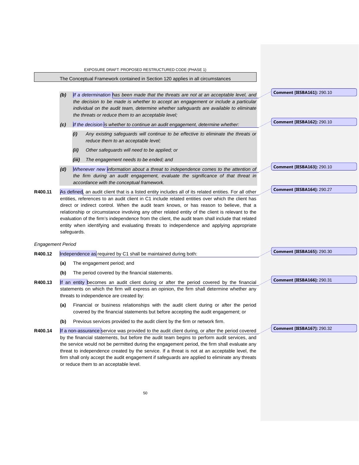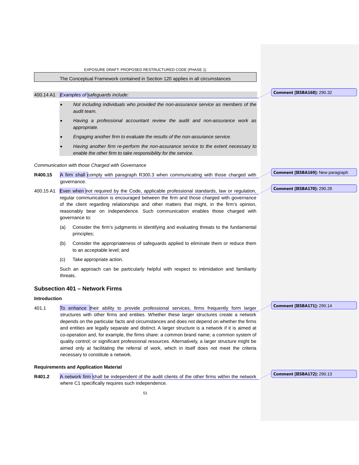#### The Conceptual Framework contained in Section 120 applies in all circumstances

### 400.14 A1 *Examples of safeguards include:*

- *Not including individuals who provided the non-assurance service as members of the audit team.*
- *Having a professional accountant review the audit and non-assurance work as appropriate.*
- *Engaging another firm to evaluate the results of the non-assurance service.*
- *Having another firm re-perform the non-assurance service to the extent necessary to enable the other firm to take responsibility for the service.*

### *Communication with those Charged with Governance*

- **R400.15** A firm shall comply with paragraph R300.3 when communicating with those charged with governance.
- 400.15 A1 Even when not required by the Code, applicable professional standards, law or regulation, regular communication is encouraged between the firm and those charged with governance of the client regarding relationships and other matters that might, in the firm's opinion, reasonably bear on independence. Such communication enables those charged with governance to:
	- (a) Consider the firm's judgments in identifying and evaluating threats to the fundamental principles;
	- (b) Consider the appropriateness of safeguards applied to eliminate them or reduce them to an acceptable level; and
	- (c) Take appropriate action.

Such an approach can be particularly helpful with respect to intimidation and familiarity threats.

# **Subsection 401 – Network Firms**

#### **Introduction**

401.1 To enhance their ability to provide professional services, firms frequently form larger structures with other firms and entities. Whether these larger structures create a network depends on the particular facts and circumstances and does not depend on whether the firms and entities are legally separate and distinct. A larger structure is a network if it is aimed at co-operation and, for example, the firms share: a common brand name; a common system of quality control; or significant professional resources. Alternatively, a larger structure might be aimed only at facilitating the referral of work, which in itself does not meet the criteria necessary to constitute a network.

### **Requirements and Application Material**

**R401.2** A network firm shall be independent of the audit clients of the other firms within the network where C1 specifically requires such independence.

**Comment [IESBA172]:** 290.13

**Comment [IESBA171]:** 290.14

**Comment [IESBA168]:** 290.32

**Comment [IESBA169]:** New paragraph

**Comment [IESBA170]:** 290.28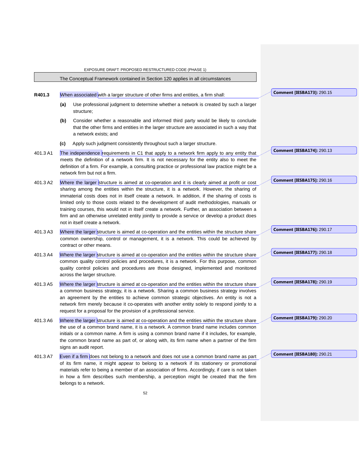|          | EXPOSURE DRAFT: PROPOSED RESTRUCTURED CODE (PHASE 1)                                                                                                                                                                                                                                                                                                                                                                                                                                                                                                                                                                           |                                   |
|----------|--------------------------------------------------------------------------------------------------------------------------------------------------------------------------------------------------------------------------------------------------------------------------------------------------------------------------------------------------------------------------------------------------------------------------------------------------------------------------------------------------------------------------------------------------------------------------------------------------------------------------------|-----------------------------------|
|          | The Conceptual Framework contained in Section 120 applies in all circumstances                                                                                                                                                                                                                                                                                                                                                                                                                                                                                                                                                 |                                   |
| R401.3   | When associated with a larger structure of other firms and entities, a firm shall:                                                                                                                                                                                                                                                                                                                                                                                                                                                                                                                                             | <b>Comment [IESBA173]: 290.15</b> |
|          | Use professional judgment to determine whether a network is created by such a larger<br>(a)<br>structure;                                                                                                                                                                                                                                                                                                                                                                                                                                                                                                                      |                                   |
|          | Consider whether a reasonable and informed third party would be likely to conclude<br>(b)<br>that the other firms and entities in the larger structure are associated in such a way that<br>a network exists; and                                                                                                                                                                                                                                                                                                                                                                                                              |                                   |
|          | Apply such judgment consistently throughout such a larger structure.<br>(c)                                                                                                                                                                                                                                                                                                                                                                                                                                                                                                                                                    |                                   |
| 401.3 A1 | The independence requirements in C1 that apply to a network firm apply to any entity that<br>meets the definition of a network firm. It is not necessary for the entity also to meet the<br>definition of a firm. For example, a consulting practice or professional law practice might be a<br>network firm but not a firm.                                                                                                                                                                                                                                                                                                   | <b>Comment [IESBA174]: 290.13</b> |
| 401.3 A2 | Where the larger structure is aimed at co-operation and it is clearly aimed at profit or cost<br>sharing among the entities within the structure, it is a network. However, the sharing of<br>immaterial costs does not in itself create a network. In addition, if the sharing of costs is<br>limited only to those costs related to the development of audit methodologies, manuals or<br>training courses, this would not in itself create a network. Further, an association between a<br>firm and an otherwise unrelated entity jointly to provide a service or develop a product does<br>not in itself create a network. | <b>Comment [IESBA175]: 290.16</b> |
| 401.3 A3 | Where the larger structure is aimed at co-operation and the entities within the structure share<br>common ownership, control or management, it is a network. This could be achieved by<br>contract or other means.                                                                                                                                                                                                                                                                                                                                                                                                             | <b>Comment [IESBA176]: 290.17</b> |
| 401.3 A4 | Where the larger structure is aimed at co-operation and the entities within the structure share<br>common quality control policies and procedures, it is a network. For this purpose, common<br>quality control policies and procedures are those designed, implemented and monitored<br>across the larger structure.                                                                                                                                                                                                                                                                                                          | <b>Comment [IESBA177]: 290.18</b> |
| 401.3 A5 | Where the larger structure is aimed at co-operation and the entities within the structure share<br>a common business strategy, it is a network. Sharing a common business strategy involves<br>an agreement by the entities to achieve common strategic objectives. An entity is not a<br>network firm merely because it co-operates with another entity solely to respond jointly to a<br>request for a proposal for the provision of a professional service.                                                                                                                                                                 | <b>Comment [IESBA178]: 290.19</b> |
| 401.3 A6 | Where the larger structure is aimed at co-operation and the entities within the structure share<br>the use of a common brand name, it is a network. A common brand name includes common<br>initials or a common name. A firm is using a common brand name if it includes, for example,<br>the common brand name as part of, or along with, its firm name when a partner of the firm<br>signs an audit report.                                                                                                                                                                                                                  | <b>Comment [IESBA179]: 290.20</b> |
| 401.3 A7 | Even if a firm does not belong to a network and does not use a common brand name as part<br>of its firm name, it might appear to belong to a network if its stationery or promotional<br>materials refer to being a member of an association of firms. Accordingly, if care is not taken<br>in how a firm describes such membership, a perception might be created that the firm<br>belongs to a network.                                                                                                                                                                                                                      | <b>Comment [IESBA180]: 290.21</b> |
|          | 52                                                                                                                                                                                                                                                                                                                                                                                                                                                                                                                                                                                                                             |                                   |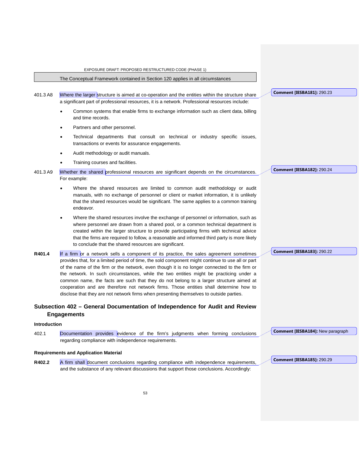- 401.3 A8 Where the larger structure is aimed at co-operation and the entities within the structure share a significant part of professional resources, it is a network. Professional resources include:
	- Common systems that enable firms to exchange information such as client data, billing and time records.
	- Partners and other personnel.
	- Technical departments that consult on technical or industry specific issues, transactions or events for assurance engagements.
	- Audit methodology or audit manuals.
	- Training courses and facilities.
- 401.3 A9 Whether the shared professional resources are significant depends on the circumstances. For example:
	- Where the shared resources are limited to common audit methodology or audit manuals, with no exchange of personnel or client or market information, it is unlikely that the shared resources would be significant. The same applies to a common training endeavor.
	- Where the shared resources involve the exchange of personnel or information, such as where personnel are drawn from a shared pool, or a common technical department is created within the larger structure to provide participating firms with technical advice that the firms are required to follow, a reasonable and informed third party is more likely to conclude that the shared resources are significant.
- **R401.4** If a firm or a network sells a component of its practice, the sales agreement sometimes provides that, for a limited period of time, the sold component might continue to use all or part of the name of the firm or the network, even though it is no longer connected to the firm or the network. In such circumstances, while the two entities might be practicing under a common name, the facts are such that they do not belong to a larger structure aimed at cooperation and are therefore not network firms. Those entities shall determine how to disclose that they are not network firms when presenting themselves to outside parties.

# **Subsection 402 – General Documentation of Independence for Audit and Review Engagements**

### **Introduction**

402.1 Documentation provides evidence of the firm's judgments when forming conclusions regarding compliance with independence requirements.

### **Requirements and Application Material**

**R402.2** A firm shall document conclusions regarding compliance with independence requirements, and the substance of any relevant discussions that support those conclusions. Accordingly:

**Comment [IESBA181]:** 290.23

**Comment [IESBA182]:** 290.24

**Comment [IESBA183]:** 290.22

**Comment [IESBA184]:** New paragraph

**Comment [IESBA185]:** 290.29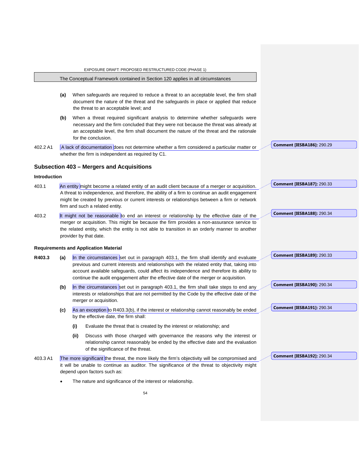- **(a)** When safeguards are required to reduce a threat to an acceptable level, the firm shall document the nature of the threat and the safeguards in place or applied that reduce the threat to an acceptable level; and
- **(b)** When a threat required significant analysis to determine whether safeguards were necessary and the firm concluded that they were not because the threat was already at an acceptable level, the firm shall document the nature of the threat and the rationale for the conclusion.
- 402.2 A1 A lack of documentation does not determine whether a firm considered a particular matter or whether the firm is independent as required by C1.

### **Subsection 403 – Mergers and Acquisitions**

### **Introduction**

- 403.1 An entity might become a related entity of an audit client because of a merger or acquisition. A threat to independence, and therefore, the ability of a firm to continue an audit engagement might be created by previous or current interests or relationships between a firm or network firm and such a related entity.
- 403.2 It might not be reasonable to end an interest or relationship by the effective date of the merger or acquisition. This might be because the firm provides a non-assurance service to the related entity, which the entity is not able to transition in an orderly manner to another provider by that date.

### **Requirements and Application Material**

- **R403.3 (a)** In the circumstances set out in paragraph 403.1, the firm shall identify and evaluate previous and current interests and relationships with the related entity that, taking into account available safeguards, could affect its independence and therefore its ability to continue the audit engagement after the effective date of the merger or acquisition.
	- (b) In the circumstances set out in paragraph 403.1, the firm shall take steps to end any interests or relationships that are not permitted by the Code by the effective date of the merger or acquisition.
	- **(c)** As an exception to R403.3(b), if the interest or relationship cannot reasonably be ended by the effective date, the firm shall:
		- **(i)** Evaluate the threat that is created by the interest or relationship; and
		- **(ii)** Discuss with those charged with governance the reasons why the interest or relationship cannot reasonably be ended by the effective date and the evaluation of the significance of the threat.
- 403.3 A1 The more significant the threat, the more likely the firm's objectivity will be compromised and it will be unable to continue as auditor. The significance of the threat to objectivity might depend upon factors such as:
	- The nature and significance of the interest or relationship.

**Comment [IESBA186]:** 290.29

**Comment [IESBA187]:** 290.33

**Comment [IESBA188]:** 290.34

**Comment [IESBA189]:** 290.33

**Comment [IESBA190]:** 290.34

**Comment [IESBA191]:** 290.34

**Comment [IESBA192]:** 290.34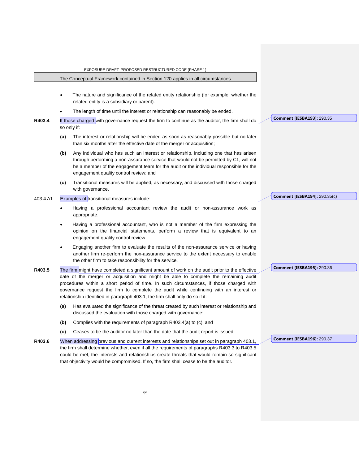|          | EXPOSURE DRAFT: PROPOSED RESTRUCTURED CODE (PHASE 1)                                                                                                                                                                                                                                                                                                                                                                                                      |                                      |
|----------|-----------------------------------------------------------------------------------------------------------------------------------------------------------------------------------------------------------------------------------------------------------------------------------------------------------------------------------------------------------------------------------------------------------------------------------------------------------|--------------------------------------|
|          | The Conceptual Framework contained in Section 120 applies in all circumstances                                                                                                                                                                                                                                                                                                                                                                            |                                      |
|          | The nature and significance of the related entity relationship (for example, whether the<br>$\bullet$<br>related entity is a subsidiary or parent).                                                                                                                                                                                                                                                                                                       |                                      |
|          | The length of time until the interest or relationship can reasonably be ended.                                                                                                                                                                                                                                                                                                                                                                            |                                      |
| R403.4   | If those charged with governance request the firm to continue as the auditor, the firm shall do<br>so only if:                                                                                                                                                                                                                                                                                                                                            | <b>Comment [IESBA193]: 290.35</b>    |
|          | The interest or relationship will be ended as soon as reasonably possible but no later<br>(a)<br>than six months after the effective date of the merger or acquisition;                                                                                                                                                                                                                                                                                   |                                      |
|          | Any individual who has such an interest or relationship, including one that has arisen<br>(b)<br>through performing a non-assurance service that would not be permitted by C1, will not<br>be a member of the engagement team for the audit or the individual responsible for the<br>engagement quality control review; and                                                                                                                               |                                      |
|          | Transitional measures will be applied, as necessary, and discussed with those charged<br>(c)<br>with governance.                                                                                                                                                                                                                                                                                                                                          |                                      |
| 403.4 A1 | Examples of transitional measures include:                                                                                                                                                                                                                                                                                                                                                                                                                | <b>Comment [IESBA194]: 290.35(c)</b> |
|          | Having a professional accountant review the audit or non-assurance work as<br>appropriate.                                                                                                                                                                                                                                                                                                                                                                |                                      |
|          | Having a professional accountant, who is not a member of the firm expressing the<br>opinion on the financial statements, perform a review that is equivalent to an<br>engagement quality control review.                                                                                                                                                                                                                                                  |                                      |
|          | Engaging another firm to evaluate the results of the non-assurance service or having<br>$\bullet$<br>another firm re-perform the non-assurance service to the extent necessary to enable<br>the other firm to take responsibility for the service.                                                                                                                                                                                                        |                                      |
| R403.5   | The firm might have completed a significant amount of work on the audit prior to the effective<br>date of the merger or acquisition and might be able to complete the remaining audit<br>procedures within a short period of time. In such circumstances, if those charged with<br>governance request the firm to complete the audit while continuing with an interest or<br>relationship identified in paragraph 403.1, the firm shall only do so if it: | <b>Comment [IESBA195]: 290.36</b>    |
|          | Has evaluated the significance of the threat created by such interest or relationship and<br>(a)<br>discussed the evaluation with those charged with governance;                                                                                                                                                                                                                                                                                          |                                      |
|          | Complies with the requirements of paragraph R403.4(a) to (c); and<br>(b)                                                                                                                                                                                                                                                                                                                                                                                  |                                      |
|          | Ceases to be the auditor no later than the date that the audit report is issued.<br>(c)                                                                                                                                                                                                                                                                                                                                                                   |                                      |
| R403.6   | When addressing previous and current interests and relationships set out in paragraph 403.1,<br>the firm shall determine whether, even if all the requirements of paragraphs R403.3 to R403.5<br>could be met, the interests and relationships create threats that would remain so significant<br>that objectivity would be compromised. If so, the firm shall cease to be the auditor.                                                                   | <b>Comment [IESBA196]: 290.37</b>    |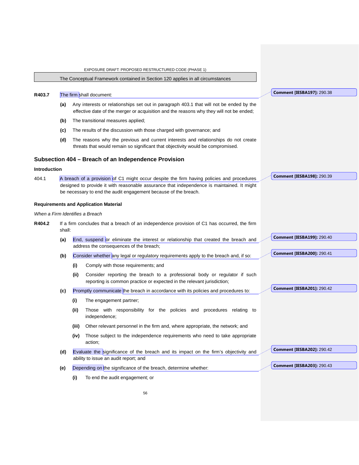|                                                                                |                                                                                                                                                                                           |                                                                                                                               | EXPOSURE DRAFT: PROPOSED RESTRUCTURED CODE (PHASE 1)                                                                                                                  |  |                                   |
|--------------------------------------------------------------------------------|-------------------------------------------------------------------------------------------------------------------------------------------------------------------------------------------|-------------------------------------------------------------------------------------------------------------------------------|-----------------------------------------------------------------------------------------------------------------------------------------------------------------------|--|-----------------------------------|
| The Conceptual Framework contained in Section 120 applies in all circumstances |                                                                                                                                                                                           |                                                                                                                               |                                                                                                                                                                       |  |                                   |
|                                                                                |                                                                                                                                                                                           |                                                                                                                               |                                                                                                                                                                       |  | <b>Comment [IESBA197]: 290.38</b> |
| R403.7                                                                         |                                                                                                                                                                                           | The firm shall document:                                                                                                      |                                                                                                                                                                       |  |                                   |
|                                                                                | Any interests or relationships set out in paragraph 403.1 that will not be ended by the<br>(a)<br>effective date of the merger or acquisition and the reasons why they will not be ended; |                                                                                                                               |                                                                                                                                                                       |  |                                   |
|                                                                                | (b)                                                                                                                                                                                       |                                                                                                                               | The transitional measures applied;                                                                                                                                    |  |                                   |
|                                                                                | (C)                                                                                                                                                                                       |                                                                                                                               | The results of the discussion with those charged with governance; and                                                                                                 |  |                                   |
|                                                                                | (d)                                                                                                                                                                                       |                                                                                                                               | The reasons why the previous and current interests and relationships do not create<br>threats that would remain so significant that objectivity would be compromised. |  |                                   |
|                                                                                |                                                                                                                                                                                           |                                                                                                                               | Subsection 404 - Breach of an Independence Provision                                                                                                                  |  |                                   |
| <b>Introduction</b>                                                            |                                                                                                                                                                                           |                                                                                                                               |                                                                                                                                                                       |  |                                   |
| 404.1                                                                          |                                                                                                                                                                                           |                                                                                                                               | A breach of a provision of C1 might occur despite the firm having policies and procedures                                                                             |  | <b>Comment [IESBA198]: 290.39</b> |
|                                                                                |                                                                                                                                                                                           |                                                                                                                               | designed to provide it with reasonable assurance that independence is maintained. It might<br>be necessary to end the audit engagement because of the breach.         |  |                                   |
|                                                                                |                                                                                                                                                                                           |                                                                                                                               | <b>Requirements and Application Material</b>                                                                                                                          |  |                                   |
| When a Firm Identifies a Breach                                                |                                                                                                                                                                                           |                                                                                                                               |                                                                                                                                                                       |  |                                   |
| R404.2                                                                         | shall:                                                                                                                                                                                    |                                                                                                                               | If a firm concludes that a breach of an independence provision of C1 has occurred, the firm                                                                           |  |                                   |
|                                                                                | (a)                                                                                                                                                                                       |                                                                                                                               | End, suspend or eliminate the interest or relationship that created the breach and<br>address the consequences of the breach;                                         |  | <b>Comment [IESBA199]: 290.40</b> |
|                                                                                | (b)                                                                                                                                                                                       |                                                                                                                               | Consider whether any legal or regulatory requirements apply to the breach and, if so:                                                                                 |  | <b>Comment [IESBA200]: 290.41</b> |
|                                                                                |                                                                                                                                                                                           | (i)                                                                                                                           | Comply with those requirements; and                                                                                                                                   |  |                                   |
|                                                                                |                                                                                                                                                                                           | (ii)                                                                                                                          | Consider reporting the breach to a professional body or regulator if such<br>reporting is common practice or expected in the relevant jurisdiction;                   |  |                                   |
|                                                                                | (c)                                                                                                                                                                                       |                                                                                                                               | Promptly communicate the breach in accordance with its policies and procedures to:                                                                                    |  | <b>Comment [IESBA201]: 290.42</b> |
|                                                                                |                                                                                                                                                                                           | (i)                                                                                                                           | The engagement partner;                                                                                                                                               |  |                                   |
|                                                                                | Those with responsibility for the policies and procedures relating to<br>(ii)<br>independence;                                                                                            |                                                                                                                               |                                                                                                                                                                       |  |                                   |
|                                                                                |                                                                                                                                                                                           |                                                                                                                               | Other relevant personnel in the firm and, where appropriate, the network; and                                                                                         |  |                                   |
|                                                                                |                                                                                                                                                                                           | (iv)                                                                                                                          | Those subject to the independence requirements who need to take appropriate<br>action;                                                                                |  |                                   |
|                                                                                | (d)                                                                                                                                                                                       | Evaluate the significance of the breach and its impact on the firm's objectivity and<br>ability to issue an audit report; and |                                                                                                                                                                       |  | <b>Comment [IESBA202]: 290.42</b> |
|                                                                                | (e)                                                                                                                                                                                       |                                                                                                                               | Depending on the significance of the breach, determine whether:                                                                                                       |  | <b>Comment [IESBA203]: 290.43</b> |
|                                                                                |                                                                                                                                                                                           | (i)                                                                                                                           | To end the audit engagement; or                                                                                                                                       |  |                                   |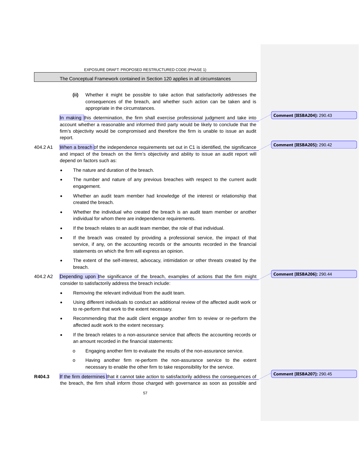**(ii)** Whether it might be possible to take action that satisfactorily addresses the consequences of the breach, and whether such action can be taken and is appropriate in the circumstances.

In making this determination, the firm shall exercise professional judgment and take into account whether a reasonable and informed third party would be likely to conclude that the firm's objectivity would be compromised and therefore the firm is unable to issue an audit report.

- 404.2 A1 When a breach of the independence requirements set out in C1 is identified, the significance and impact of the breach on the firm's objectivity and ability to issue an audit report will depend on factors such as:
	- The nature and duration of the breach.
	- The number and nature of any previous breaches with respect to the current audit engagement.
	- Whether an audit team member had knowledge of the interest or relationship that created the breach.
	- Whether the individual who created the breach is an audit team member or another individual for whom there are independence requirements.
	- If the breach relates to an audit team member, the role of that individual.
	- If the breach was created by providing a professional service, the impact of that service, if any, on the accounting records or the amounts recorded in the financial statements on which the firm will express an opinion.
	- The extent of the self-interest, advocacy, intimidation or other threats created by the breach.
- 404.2 A2 Depending upon the significance of the breach, examples of actions that the firm might consider to satisfactorily address the breach include:
	- Removing the relevant individual from the audit team.
	- Using different individuals to conduct an additional review of the affected audit work or to re-perform that work to the extent necessary.
	- Recommending that the audit client engage another firm to review or re-perform the affected audit work to the extent necessary.
	- If the breach relates to a non-assurance service that affects the accounting records or an amount recorded in the financial statements:
		- o Engaging another firm to evaluate the results of the non-assurance service.
		- o Having another firm re-perform the non-assurance service to the extent necessary to enable the other firm to take responsibility for the service.
- **R404.3** If the firm determines that it cannot take action to satisfactorily address the consequences of the breach, the firm shall inform those charged with governance as soon as possible and

**Comment [IESBA207]:** 290.45

**Comment [IESBA206]:** 290.44

**Comment [IESBA204]:** 290.43

**Comment [IESBA205]:** 290.42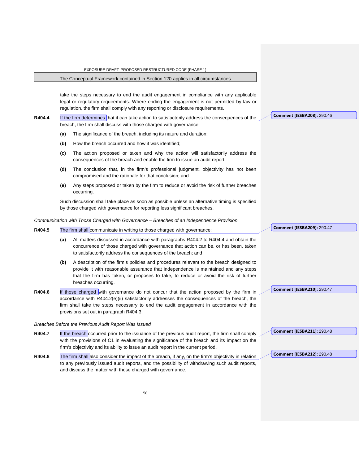take the steps necessary to end the audit engagement in compliance with any applicable legal or regulatory requirements. Where ending the engagement is not permitted by law or regulation, the firm shall comply with any reporting or disclosure requirements.

**R404.4** If the firm determines that it can take action to satisfactorily address the consequences of the breach, the firm shall discuss with those charged with governance:

- **(a)** The significance of the breach, including its nature and duration;
- **(b)** How the breach occurred and how it was identified;
- **(c)** The action proposed or taken and why the action will satisfactorily address the consequences of the breach and enable the firm to issue an audit report;
- **(d)** The conclusion that, in the firm's professional judgment, objectivity has not been compromised and the rationale for that conclusion; and
- **(e)** Any steps proposed or taken by the firm to reduce or avoid the risk of further breaches occurring.

Such discussion shall take place as soon as possible unless an alternative timing is specified by those charged with governance for reporting less significant breaches.

*Communication with Those Charged with Governance – Breaches of an Independence Provision*

- **R404.5** The firm shall communicate in writing to those charged with governance:
	- **(a)** All matters discussed in accordance with paragraphs R404.2 to R404.4 and obtain the concurrence of those charged with governance that action can be, or has been, taken to satisfactorily address the consequences of the breach; and
	- **(b)** A description of the firm's policies and procedures relevant to the breach designed to provide it with reasonable assurance that independence is maintained and any steps that the firm has taken, or proposes to take, to reduce or avoid the risk of further breaches occurring.
- **R404.6** If those charged with governance do not concur that the action proposed by the firm in accordance with R404.2(e)(ii) satisfactorily addresses the consequences of the breach, the firm shall take the steps necessary to end the audit engagement in accordance with the provisions set out in paragraph R404.3.

*Breaches Before the Previous Audit Report Was Issued*

- **R404.7** If the breach occurred prior to the issuance of the previous audit report, the firm shall comply with the provisions of C1 in evaluating the significance of the breach and its impact on the firm's objectivity and its ability to issue an audit report in the current period.
- **R404.8** The firm shall also consider the impact of the breach, if any, on the firm's objectivity in relation to any previously issued audit reports, and the possibility of withdrawing such audit reports, and discuss the matter with those charged with governance.

**Comment [IESBA208]:** 290.46

**Comment [IESBA209]:** 290.47

**Comment [IESBA210]:** 290.47

**Comment [IESBA211]:** 290.48

**Comment [IESBA212]:** 290.48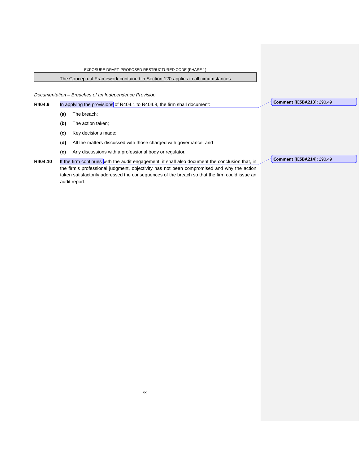The Conceptual Framework contained in Section 120 applies in all circumstances

*Documentation – Breaches of an Independence Provision*

**R404.9** In applying the provisions of R404.1 to R404.8, the firm shall document:

- **(a)** The breach;
- **(b)** The action taken;
- **(c)** Key decisions made;
- **(d)** All the matters discussed with those charged with governance; and
- **(e)** Any discussions with a professional body or regulator.
- **R404.10** If the firm continues with the audit engagement, it shall also document the conclusion that, in the firm's professional judgment, objectivity has not been compromised and why the action taken satisfactorily addressed the consequences of the breach so that the firm could issue an audit report.

**Comment [IESBA213]:** 290.49

**Comment [IESBA214]:** 290.49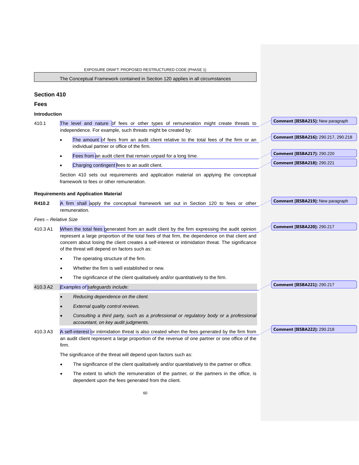|                      | EXPOSURE DRAFT: PROPOSED RESTRUCTURED CODE (PHASE 1)                                                                                                                                                                                                                                                                                               |                                      |
|----------------------|----------------------------------------------------------------------------------------------------------------------------------------------------------------------------------------------------------------------------------------------------------------------------------------------------------------------------------------------------|--------------------------------------|
|                      | The Conceptual Framework contained in Section 120 applies in all circumstances                                                                                                                                                                                                                                                                     |                                      |
|                      |                                                                                                                                                                                                                                                                                                                                                    |                                      |
| <b>Section 410</b>   |                                                                                                                                                                                                                                                                                                                                                    |                                      |
| <b>Fees</b>          |                                                                                                                                                                                                                                                                                                                                                    |                                      |
| <b>Introduction</b>  |                                                                                                                                                                                                                                                                                                                                                    | Comment [IESBA215]: New paragraph    |
| 410.1                | The level and nature of fees or other types of remuneration might create threats to<br>independence. For example, such threats might be created by:                                                                                                                                                                                                |                                      |
|                      | The amount of fees from an audit client relative to the total fees of the firm or an<br>individual partner or office of the firm.                                                                                                                                                                                                                  | Comment [IESBA216]: 290.217, 290.218 |
|                      | Fees from an audit client that remain unpaid for a long time.                                                                                                                                                                                                                                                                                      | <b>Comment [IESBA217]: 290.220</b>   |
|                      | Charging contingent fees to an audit client.                                                                                                                                                                                                                                                                                                       | Comment [IESBA218]: 290.221          |
|                      | Section 410 sets out requirements and application material on applying the conceptual<br>framework to fees or other remuneration.                                                                                                                                                                                                                  |                                      |
|                      | <b>Requirements and Application Material</b>                                                                                                                                                                                                                                                                                                       |                                      |
| R410.2               | A firm shall apply the conceptual framework set out in Section 120 to fees or other                                                                                                                                                                                                                                                                | Comment [IESBA219]: New paragraph    |
|                      | remuneration.                                                                                                                                                                                                                                                                                                                                      |                                      |
| Fees - Relative Size |                                                                                                                                                                                                                                                                                                                                                    |                                      |
| 410.3 A1             | When the total fees generated from an audit client by the firm expressing the audit opinion<br>represent a large proportion of the total fees of that firm, the dependence on that client and<br>concern about losing the client creates a self-interest or intimidation threat. The significance<br>of the threat will depend on factors such as: | <b>Comment [IESBA220]: 290.217</b>   |
|                      | The operating structure of the firm.                                                                                                                                                                                                                                                                                                               |                                      |
|                      | Whether the firm is well established or new.                                                                                                                                                                                                                                                                                                       |                                      |
|                      | The significance of the client qualitatively and/or quantitatively to the firm.                                                                                                                                                                                                                                                                    |                                      |
| 410.3 A2             | Examples of safeguards include:                                                                                                                                                                                                                                                                                                                    | Comment [IESBA221]: 290.217          |
|                      | Reducing dependence on the client.                                                                                                                                                                                                                                                                                                                 |                                      |
|                      | External quality control reviews.                                                                                                                                                                                                                                                                                                                  |                                      |
|                      | Consulting a third party, such as a professional or regulatory body or a professional<br>accountant, on key audit judgments.                                                                                                                                                                                                                       |                                      |
| 410.3 A3             | A self-interest or intimidation threat is also created when the fees generated by the firm from<br>an audit client represent a large proportion of the revenue of one partner or one office of the<br>firm.                                                                                                                                        | <b>Comment [IESBA222]: 290.218</b>   |
|                      | The significance of the threat will depend upon factors such as:                                                                                                                                                                                                                                                                                   |                                      |
|                      | The significance of the client qualitatively and/or quantitatively to the partner or office.                                                                                                                                                                                                                                                       |                                      |
|                      | The extent to which the remuneration of the partner, or the partners in the office, is<br>dependent upon the fees generated from the client.                                                                                                                                                                                                       |                                      |
|                      | 60                                                                                                                                                                                                                                                                                                                                                 |                                      |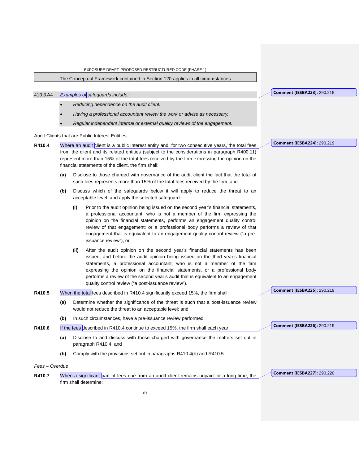### 410.3 A4 *Examples of safeguards include:*

- *Reducing dependence on the audit client.*
- *Having a professional accountant review the work or advise as necessary.*
- *Regular independent internal or external quality reviews of the engagement.*

#### Audit Clients that are Public Interest Entities

- **R410.4** Where an audit client is a public interest entity and, for two consecutive years, the total fees from the client and its related entities (subject to the considerations in paragraph R400.11) represent more than 15% of the total fees received by the firm expressing the opinion on the financial statements of the client, the firm shall:
	- **(a)** Disclose to those charged with governance of the audit client the fact that the total of such fees represents more than 15% of the total fees received by the firm; and
	- **(b)** Discuss which of the safeguards below it will apply to reduce the threat to an acceptable level, and apply the selected safeguard:
		- **(i)** Prior to the audit opinion being issued on the second year's financial statements, a professional accountant, who is not a member of the firm expressing the opinion on the financial statements, performs an engagement quality control review of that engagement; or a professional body performs a review of that engagement that is equivalent to an engagement quality control review ("a preissuance review"); or
		- **(ii)** After the audit opinion on the second year's financial statements has been issued, and before the audit opinion being issued on the third year's financial statements, a professional accountant, who is not a member of the firm expressing the opinion on the financial statements, or a professional body performs a review of the second year's audit that is equivalent to an engagement quality control review ("a post-issuance review").

#### **R410.5** When the total fees described in R410.4 significantly exceed 15%, the firm shall:

- **(a)** Determine whether the significance of the threat is such that a post-issuance review would not reduce the threat to an acceptable level; and
- **(b)** In such circumstances, have a pre-issuance review performed.

**R410.6** If the fees described in R410.4 continue to exceed 15%, the firm shall each year:

- **(a)** Disclose to and discuss with those charged with governance the matters set out in paragraph R410.4; and
- **(b)** Comply with the provisions set out in paragraphs R410.4(b) and R410.5.

### *Fees – Overdue*

**R410.7** When a significant part of fees due from an audit client remains unpaid for a long time, the firm shall determine:

**Comment [IESBA227]:** 290.220

**Comment [IESBA225]:** 290.219

**Comment [IESBA226]:** 290.219

**Comment [IESBA223]:** 290.218

**Comment [IESBA224]:** 290.219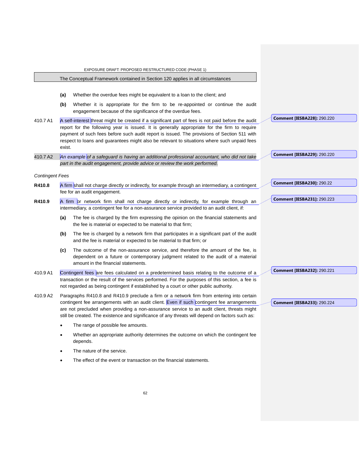|                        |                                                                                                              | EXPOSURE DRAFT: PROPOSED RESTRUCTURED CODE (PHASE 1)                                                                                                                                                                                                                                                                                                                                             |  |                                    |
|------------------------|--------------------------------------------------------------------------------------------------------------|--------------------------------------------------------------------------------------------------------------------------------------------------------------------------------------------------------------------------------------------------------------------------------------------------------------------------------------------------------------------------------------------------|--|------------------------------------|
|                        |                                                                                                              | The Conceptual Framework contained in Section 120 applies in all circumstances                                                                                                                                                                                                                                                                                                                   |  |                                    |
|                        | Whether the overdue fees might be equivalent to a loan to the client; and<br>(a)                             |                                                                                                                                                                                                                                                                                                                                                                                                  |  |                                    |
|                        | (b)                                                                                                          | Whether it is appropriate for the firm to be re-appointed or continue the audit<br>engagement because of the significance of the overdue fees.                                                                                                                                                                                                                                                   |  |                                    |
| 410.7 A1               | exist.                                                                                                       | A self-interest threat might be created if a significant part of fees is not paid before the audit<br>report for the following year is issued. It is generally appropriate for the firm to require<br>payment of such fees before such audit report is issued. The provisions of Section 511 with<br>respect to loans and guarantees might also be relevant to situations where such unpaid fees |  | <b>Comment [IESBA228]: 290.220</b> |
| 410.7 A2               |                                                                                                              | An example of a safeguard is having an additional professional accountant, who did not take<br>part in the audit engagement, provide advice or review the work performed.                                                                                                                                                                                                                        |  | <b>Comment [IESBA229]: 290.220</b> |
| <b>Contingent Fees</b> |                                                                                                              |                                                                                                                                                                                                                                                                                                                                                                                                  |  |                                    |
| R410.8                 |                                                                                                              | A firm shall not charge directly or indirectly, for example through an intermediary, a contingent<br>fee for an audit engagement.                                                                                                                                                                                                                                                                |  | <b>Comment [IESBA230]: 290.22</b>  |
| R410.9                 |                                                                                                              | A firm or network firm shall not charge directly or indirectly, for example through an<br>intermediary, a contingent fee for a non-assurance service provided to an audit client, if:                                                                                                                                                                                                            |  | <b>Comment [IESBA231]: 290.223</b> |
|                        | (a)                                                                                                          | The fee is charged by the firm expressing the opinion on the financial statements and<br>the fee is material or expected to be material to that firm;                                                                                                                                                                                                                                            |  |                                    |
|                        | (b)                                                                                                          | The fee is charged by a network firm that participates in a significant part of the audit<br>and the fee is material or expected to be material to that firm; or                                                                                                                                                                                                                                 |  |                                    |
|                        | (c)                                                                                                          | The outcome of the non-assurance service, and therefore the amount of the fee, is<br>dependent on a future or contemporary judgment related to the audit of a material<br>amount in the financial statements.                                                                                                                                                                                    |  |                                    |
| 410.9 A1               |                                                                                                              | Contingent fees are fees calculated on a predetermined basis relating to the outcome of a<br>transaction or the result of the services performed. For the purposes of this section, a fee is<br>not regarded as being contingent if established by a court or other public authority.                                                                                                            |  | Comment [IESBA232]: 290.221        |
| 410.9 A2               |                                                                                                              | Paragraphs R410.8 and R410.9 preclude a firm or a network firm from entering into certain<br>contingent fee arrangements with an audit client. Even if such contingent fee arrangements<br>are not precluded when providing a non-assurance service to an audit client, threats might<br>still be created. The existence and significance of any threats will depend on factors such as:         |  | <b>Comment [IESBA233]: 290.224</b> |
|                        | ٠                                                                                                            | The range of possible fee amounts.                                                                                                                                                                                                                                                                                                                                                               |  |                                    |
|                        | Whether an appropriate authority determines the outcome on which the contingent fee<br>$\bullet$<br>depends. |                                                                                                                                                                                                                                                                                                                                                                                                  |  |                                    |
|                        | $\bullet$                                                                                                    | The nature of the service.                                                                                                                                                                                                                                                                                                                                                                       |  |                                    |
|                        | $\bullet$                                                                                                    | The effect of the event or transaction on the financial statements.                                                                                                                                                                                                                                                                                                                              |  |                                    |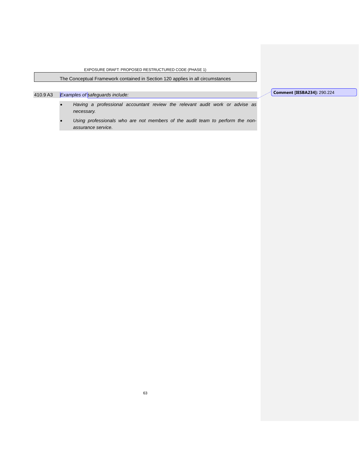# The Conceptual Framework contained in Section 120 applies in all circumstances

# 410.9 A3 *Examples of safeguards include:*

- *Having a professional accountant review the relevant audit work or advise as necessary.*
- Using professionals who are not members of the audit team to perform the non*assurance service.*

**Comment [IESBA234]:** 290.224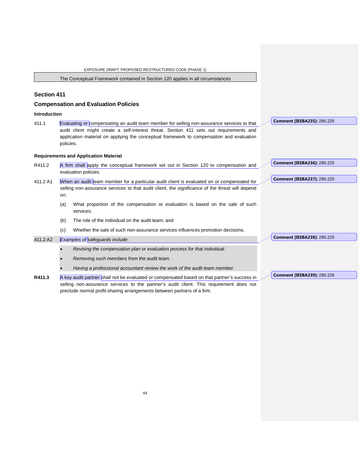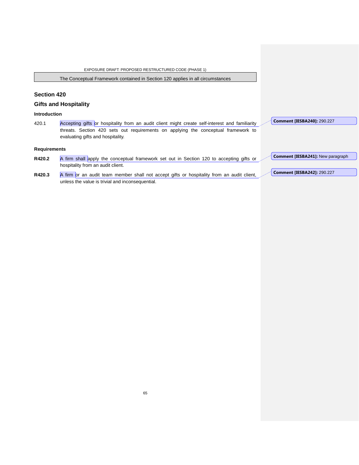| <b>Section 420</b>  | EXPOSURE DRAFT: PROPOSED RESTRUCTURED CODE (PHASE 1)<br>The Conceptual Framework contained in Section 120 applies in all circumstances<br><b>Gifts and Hospitality</b>                                                    |                                          |
|---------------------|---------------------------------------------------------------------------------------------------------------------------------------------------------------------------------------------------------------------------|------------------------------------------|
| <b>Introduction</b> |                                                                                                                                                                                                                           |                                          |
|                     |                                                                                                                                                                                                                           |                                          |
| 420.1               | Accepting gifts or hospitality from an audit client might create self-interest and familiarity<br>threats. Section 420 sets out requirements on applying the conceptual framework to<br>evaluating gifts and hospitality. | <b>Comment [IESBA240]: 290.227</b>       |
| <b>Requirements</b> |                                                                                                                                                                                                                           |                                          |
| R420.2              | A firm shall apply the conceptual framework set out in Section 120 to accepting gifts or<br>hospitality from an audit client.                                                                                             | <b>Comment [IESBA241]:</b> New paragraph |
| R420.3              | A firm or an audit team member shall not accept gifts or hospitality from an audit client,<br>unless the value is trivial and inconsequential.                                                                            | <b>Comment [IESBA242]: 290.227</b>       |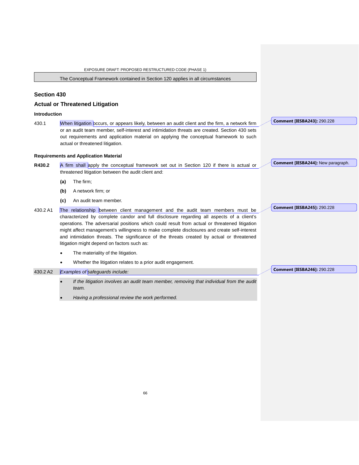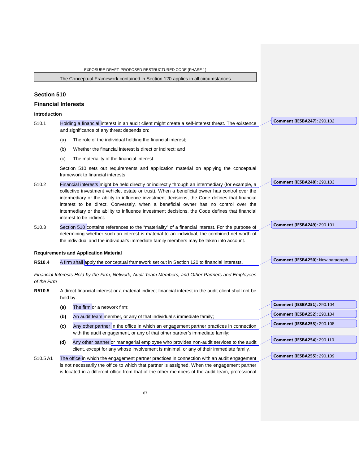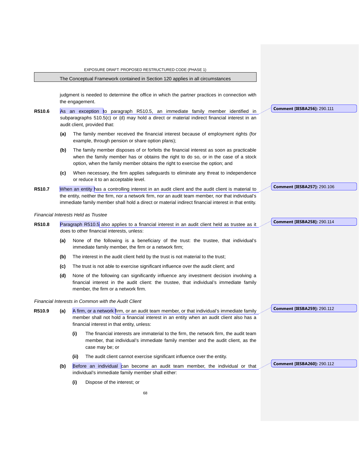#### The Conceptual Framework contained in Section 120 applies in all circumstances

judgment is needed to determine the office in which the partner practices in connection with the engagement.

- **R510.6** As an exception to paragraph R510.5, an immediate family member identified in subparagraphs 510.5(c) or (d) may hold a direct or material indirect financial interest in an audit client, provided that:
	- **(a)** The family member received the financial interest because of employment rights (for example, through pension or share option plans);
	- **(b)** The family member disposes of or forfeits the financial interest as soon as practicable when the family member has or obtains the right to do so, or in the case of a stock option, when the family member obtains the right to exercise the option; and
	- **(c)** When necessary, the firm applies safeguards to eliminate any threat to independence or reduce it to an acceptable level.
- **R510.7** When an entity has a controlling interest in an audit client and the audit client is material to the entity, neither the firm, nor a network firm, nor an audit team member, nor that individual's immediate family member shall hold a direct or material indirect financial interest in that entity.

### *Financial Interests Held as Trustee*

- **R510.8** Paragraph R510.5 also applies to a financial interest in an audit client held as trustee as it does to other financial interests, unless:
	- **(a)** None of the following is a beneficiary of the trust: the trustee, that individual's immediate family member, the firm or a network firm;
	- **(b)** The interest in the audit client held by the trust is not material to the trust;
	- **(c)** The trust is not able to exercise significant influence over the audit client; and
	- **(d)** None of the following can significantly influence any investment decision involving a financial interest in the audit client: the trustee, that individual's immediate family member, the firm or a network firm.

*Financial Interests in Common with the Audit Client*

- **R510.9 (a)** A firm, or a network firm, or an audit team member, or that individual's immediate family member shall not hold a financial interest in an entity when an audit client also has a financial interest in that entity, unless:
	- **(i)** The financial interests are immaterial to the firm, the network firm, the audit team member, that individual's immediate family member and the audit client, as the case may be; or
	- **(ii)** The audit client cannot exercise significant influence over the entity.
	- **(b)** Before an individual can become an audit team member, the individual or that individual's immediate family member shall either:

**Comment [IESBA259]:** 290.112

**Comment [IESBA260]:** 290.112

**(i)** Dispose of the interest; or

**Comment [IESBA256]:** 290.111

**Comment [IESBA257]:** 290.106

**Comment [IESBA258]:** 290.114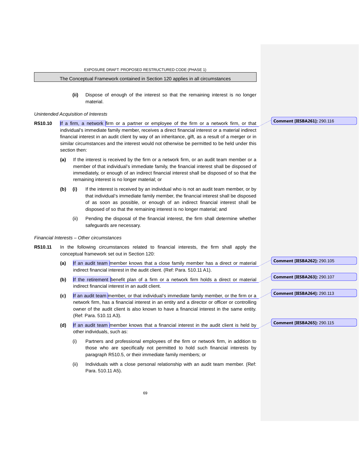**(ii)** Dispose of enough of the interest so that the remaining interest is no longer material.

#### *Unintended Acquisition of Interests*

- **R510.10** If a firm, a network firm or a partner or employee of the firm or a network firm, or that individual's immediate family member, receives a direct financial interest or a material indirect financial interest in an audit client by way of an inheritance, gift, as a result of a merger or in similar circumstances and the interest would not otherwise be permitted to be held under this section then:
	- **(a)** If the interest is received by the firm or a network firm, or an audit team member or a member of that individual's immediate family, the financial interest shall be disposed of immediately, or enough of an indirect financial interest shall be disposed of so that the remaining interest is no longer material; or
	- **(b) (i)** If the interest is received by an individual who is not an audit team member, or by that individual's immediate family member, the financial interest shall be disposed of as soon as possible, or enough of an indirect financial interest shall be disposed of so that the remaining interest is no longer material; and
		- (ii) Pending the disposal of the financial interest, the firm shall determine whether safeguards are necessary.

#### *Financial Interests – Other circumstances*

- **R510.11** In the following circumstances related to financial interests, the firm shall apply the conceptual framework set out in Section 120:
	- **(a)** If an audit team member knows that a close family member has a direct or material indirect financial interest in the audit client. (Ref: Para. 510.11 A1).
	- **(b)** If the retirement benefit plan of a firm or a network firm holds a direct or material indirect financial interest in an audit client.
	- **(c)** If an audit team member, or that individual's immediate family member, or the firm or a network firm, has a financial interest in an entity and a director or officer or controlling owner of the audit client is also known to have a financial interest in the same entity. (Ref: Para. 510.11 A3).
	- **(d)** If an audit team member knows that a financial interest in the audit client is held by other individuals, such as:
		- (i) Partners and professional employees of the firm or network firm, in addition to those who are specifically not permitted to hold such financial interests by paragraph R510.5, or their immediate family members; or
		- (ii) Individuals with a close personal relationship with an audit team member. (Ref: Para. 510.11 A5).

**Comment [IESBA261]:** 290.116

**Comment [IESBA262]:** 290.105

**Comment [IESBA263]:** 290.107

**Comment [IESBA264]:** 290.113

**Comment [IESBA265]:** 290.115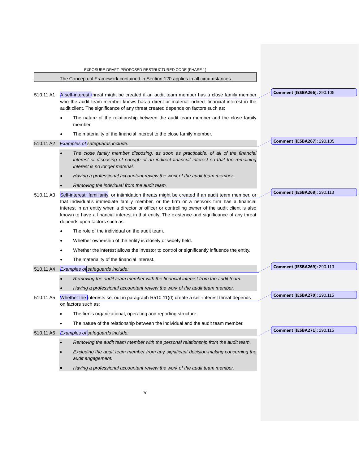|           | EXPOSURE DRAFT: PROPOSED RESTRUCTURED CODE (PHASE 1)                                                                                                                                                                                                                                                                                                                                                                                  |                                    |
|-----------|---------------------------------------------------------------------------------------------------------------------------------------------------------------------------------------------------------------------------------------------------------------------------------------------------------------------------------------------------------------------------------------------------------------------------------------|------------------------------------|
|           | The Conceptual Framework contained in Section 120 applies in all circumstances                                                                                                                                                                                                                                                                                                                                                        |                                    |
| 510.11 A1 | A self-interest threat might be created if an audit team member has a close family member<br>who the audit team member knows has a direct or material indirect financial interest in the<br>audit client. The significance of any threat created depends on factors such as:                                                                                                                                                          | <b>Comment [IESBA266]: 290.105</b> |
|           | The nature of the relationship between the audit team member and the close family<br>member.                                                                                                                                                                                                                                                                                                                                          |                                    |
|           | The materiality of the financial interest to the close family member.                                                                                                                                                                                                                                                                                                                                                                 |                                    |
|           | 510.11 A2 Examples of safeguards include:                                                                                                                                                                                                                                                                                                                                                                                             | <b>Comment [IESBA267]: 290.105</b> |
|           | The close family member disposing, as soon as practicable, of all of the financial<br>interest or disposing of enough of an indirect financial interest so that the remaining<br>interest is no longer material.                                                                                                                                                                                                                      |                                    |
|           | Having a professional accountant review the work of the audit team member.                                                                                                                                                                                                                                                                                                                                                            |                                    |
|           | Removing the individual from the audit team.                                                                                                                                                                                                                                                                                                                                                                                          |                                    |
| 510.11 A3 | Self-interest, familiarity, or intimidation threats might be created if an audit team member, or<br>that individual's immediate family member, or the firm or a network firm has a financial<br>interest in an entity when a director or officer or controlling owner of the audit client is also<br>known to have a financial interest in that entity. The existence and significance of any threat<br>depends upon factors such as: | <b>Comment [IESBA268]: 290.113</b> |
|           | The role of the individual on the audit team.                                                                                                                                                                                                                                                                                                                                                                                         |                                    |
|           | Whether ownership of the entity is closely or widely held.                                                                                                                                                                                                                                                                                                                                                                            |                                    |
|           | Whether the interest allows the investor to control or significantly influence the entity.                                                                                                                                                                                                                                                                                                                                            |                                    |
|           | The materiality of the financial interest.                                                                                                                                                                                                                                                                                                                                                                                            |                                    |
| 510.11 A4 | Examples of safeguards include:                                                                                                                                                                                                                                                                                                                                                                                                       | Comment [IESBA269]: 290.113        |
|           | Removing the audit team member with the financial interest from the audit team.                                                                                                                                                                                                                                                                                                                                                       |                                    |
|           | Having a professional accountant review the work of the audit team member.                                                                                                                                                                                                                                                                                                                                                            |                                    |
| 510.11 A5 | Whether the interests set out in paragraph R510.11(d) create a self-interest threat depends<br>on factors such as:                                                                                                                                                                                                                                                                                                                    | <b>Comment [IESBA270]: 290.115</b> |
|           | The firm's organizational, operating and reporting structure.                                                                                                                                                                                                                                                                                                                                                                         |                                    |
|           | The nature of the relationship between the individual and the audit team member.                                                                                                                                                                                                                                                                                                                                                      |                                    |
| 510.11 A6 | Examples of safeguards include:                                                                                                                                                                                                                                                                                                                                                                                                       | <b>Comment [IESBA271]: 290.115</b> |
|           | Removing the audit team member with the personal relationship from the audit team.                                                                                                                                                                                                                                                                                                                                                    |                                    |
|           | Excluding the audit team member from any significant decision-making concerning the<br>audit engagement.                                                                                                                                                                                                                                                                                                                              |                                    |
|           | Having a professional accountant review the work of the audit team member.                                                                                                                                                                                                                                                                                                                                                            |                                    |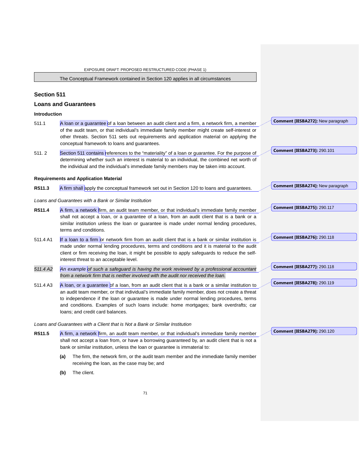

- **R511.5** A firm, a network firm, an audit team member, or that individual's immediate family member shall not accept a loan from, or have a borrowing guaranteed by, an audit client that is not a bank or similar institution, unless the loan or guarantee is immaterial to:
	- **(a)** The firm, the network firm, or the audit team member and the immediate family member receiving the loan, as the case may be; and
	- **(b)** The client.

71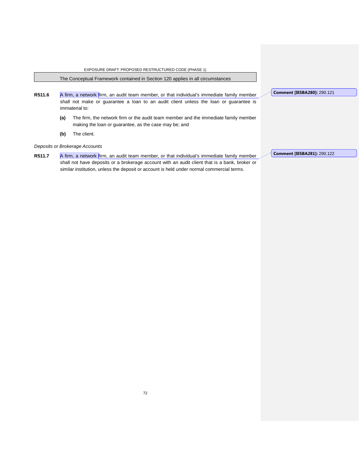The Conceptual Framework contained in Section 120 applies in all circumstances

- **R511.6** A firm, a network firm, an audit team member, or that individual's immediate family member shall not make or guarantee a loan to an audit client unless the loan or guarantee is immaterial to:
	- **(a)** The firm, the network firm or the audit team member and the immediate family member making the loan or guarantee, as the case may be; and
	- **(b)** The client.

# *Deposits or Brokerage Accounts*

**R511.7** A firm, a network firm, an audit team member, or that individual's immediate family member shall not have deposits or a brokerage account with an audit client that is a bank, broker or similar institution, unless the deposit or account is held under normal commercial terms.

**Comment [IESBA280]:** 290.121

**Comment [IESBA281]:** 290.122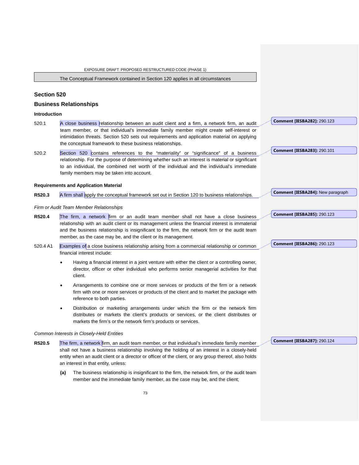

## *Common Interests in Closely-Held Entities*

**R520.5** The firm, a network firm, an audit team member, or that individual's immediate family member shall not have a business relationship involving the holding of an interest in a closely-held entity when an audit client or a director or officer of the client, or any group thereof, also holds an interest in that entity, unless:

> **(a)** The business relationship is insignificant to the firm, the network firm, or the audit team member and the immediate family member, as the case may be, and the client;

**Comment [IESBA287]:** 290.124

73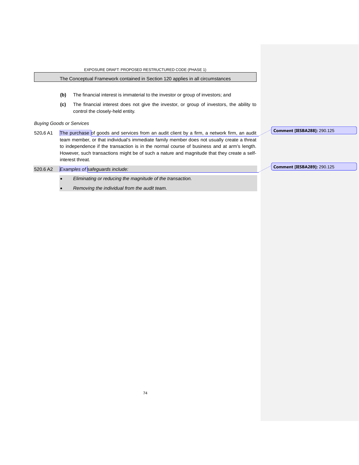- **(b)** The financial interest is immaterial to the investor or group of investors; and
- **(c)** The financial interest does not give the investor, or group of investors, the ability to control the closely-held entity.

### *Buying Goods or Services*

520**.**6 A1 The purchase of goods and services from an audit client by a firm, a network firm, an audit team member, or that individual's immediate family member does not usually create a threat to independence if the transaction is in the normal course of business and at arm's length. However, such transactions might be of such a nature and magnitude that they create a selfinterest threat.

#### 520.6 A2 *Examples of safeguards include:*

- *Eliminating or reducing the magnitude of the transaction.*
- *Removing the individual from the audit team.*

**Comment [IESBA288]:** 290.125

**Comment [IESBA289]:** 290.125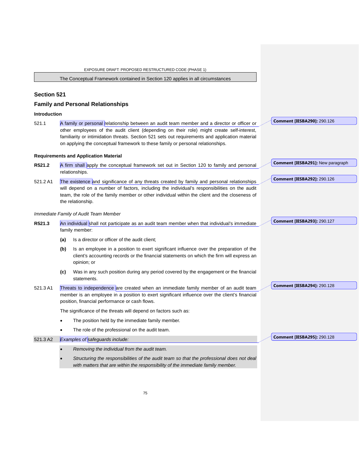|                     | EXPOSURE DRAFT: PROPOSED RESTRUCTURED CODE (PHASE 1)                                                                                                                                                                                                                                                                                                                                                                 |                                    |  |  |  |  |
|---------------------|----------------------------------------------------------------------------------------------------------------------------------------------------------------------------------------------------------------------------------------------------------------------------------------------------------------------------------------------------------------------------------------------------------------------|------------------------------------|--|--|--|--|
|                     | The Conceptual Framework contained in Section 120 applies in all circumstances                                                                                                                                                                                                                                                                                                                                       |                                    |  |  |  |  |
| <b>Section 521</b>  |                                                                                                                                                                                                                                                                                                                                                                                                                      |                                    |  |  |  |  |
|                     | <b>Family and Personal Relationships</b>                                                                                                                                                                                                                                                                                                                                                                             |                                    |  |  |  |  |
| <b>Introduction</b> |                                                                                                                                                                                                                                                                                                                                                                                                                      |                                    |  |  |  |  |
| 521.1               | <b>Comment [IESBA290]: 290.126</b><br>A family or personal relationship between an audit team member and a director or officer or<br>other employees of the audit client (depending on their role) might create self-interest,<br>familiarity or intimidation threats. Section 521 sets out requirements and application material<br>on applying the conceptual framework to these family or personal relationships. |                                    |  |  |  |  |
|                     | <b>Requirements and Application Material</b>                                                                                                                                                                                                                                                                                                                                                                         |                                    |  |  |  |  |
| R521.2              | A firm shall apply the conceptual framework set out in Section 120 to family and personal<br>relationships.                                                                                                                                                                                                                                                                                                          | Comment [IESBA291]: New paragraph  |  |  |  |  |
| 521.2 A1            | Comment [IESBA292]: 290.126<br>The existence and significance of any threats created by family and personal relationships<br>will depend on a number of factors, including the individual's responsibilities on the audit<br>team, the role of the family member or other individual within the client and the closeness of<br>the relationship.                                                                     |                                    |  |  |  |  |
|                     | Immediate Family of Audit Team Member                                                                                                                                                                                                                                                                                                                                                                                |                                    |  |  |  |  |
| R521.3              | An individual shall not participate as an audit team member when that individual's immediate<br>family member:                                                                                                                                                                                                                                                                                                       | <b>Comment [IESBA293]: 290.127</b> |  |  |  |  |
|                     | Is a director or officer of the audit client;<br>(a)                                                                                                                                                                                                                                                                                                                                                                 |                                    |  |  |  |  |
|                     | Is an employee in a position to exert significant influence over the preparation of the<br>(b)<br>client's accounting records or the financial statements on which the firm will express an<br>opinion; or                                                                                                                                                                                                           |                                    |  |  |  |  |
|                     | Was in any such position during any period covered by the engagement or the financial<br>(c)<br>statements.                                                                                                                                                                                                                                                                                                          |                                    |  |  |  |  |
| 521.3 A1            | Threats to independence are created when an immediate family member of an audit team<br>member is an employee in a position to exert significant influence over the client's financial<br>position, financial performance or cash flows.                                                                                                                                                                             | <b>Comment [IESBA294]: 290.128</b> |  |  |  |  |
|                     | The significance of the threats will depend on factors such as:                                                                                                                                                                                                                                                                                                                                                      |                                    |  |  |  |  |
|                     | The position held by the immediate family member.                                                                                                                                                                                                                                                                                                                                                                    |                                    |  |  |  |  |
|                     | The role of the professional on the audit team.                                                                                                                                                                                                                                                                                                                                                                      |                                    |  |  |  |  |
| 521.3 A2            | Examples of safeguards include:                                                                                                                                                                                                                                                                                                                                                                                      | <b>Comment [IESBA295]: 290.128</b> |  |  |  |  |
|                     | Removing the individual from the audit team.                                                                                                                                                                                                                                                                                                                                                                         |                                    |  |  |  |  |
|                     | Structuring the responsibilities of the audit team so that the professional does not deal<br>with matters that are within the responsibility of the immediate family member.                                                                                                                                                                                                                                         |                                    |  |  |  |  |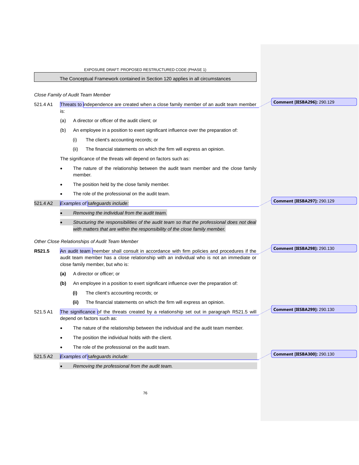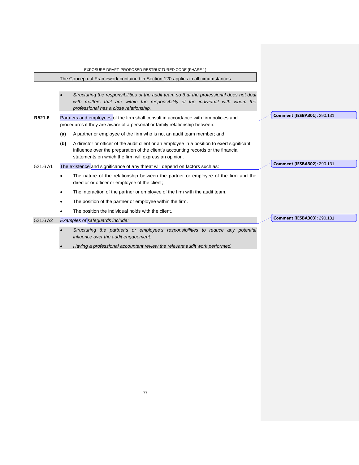|          |           | EXPOSURE DRAFT: PROPOSED RESTRUCTURED CODE (PHASE 1)                                                                                                                                                                                       |                                    |
|----------|-----------|--------------------------------------------------------------------------------------------------------------------------------------------------------------------------------------------------------------------------------------------|------------------------------------|
|          |           | The Conceptual Framework contained in Section 120 applies in all circumstances                                                                                                                                                             |                                    |
|          |           |                                                                                                                                                                                                                                            |                                    |
|          |           | Structuring the responsibilities of the audit team so that the professional does not deal<br>with matters that are within the responsibility of the individual with whom the<br>professional has a close relationship.                     |                                    |
| R521.6   |           | Partners and employees of the firm shall consult in accordance with firm policies and<br>procedures if they are aware of a personal or family relationship between:                                                                        | <b>Comment [IESBA301]: 290.131</b> |
|          | (a)       | A partner or employee of the firm who is not an audit team member; and                                                                                                                                                                     |                                    |
|          | (b)       | A director or officer of the audit client or an employee in a position to exert significant<br>influence over the preparation of the client's accounting records or the financial<br>statements on which the firm will express an opinion. |                                    |
| 521.6 A1 |           | The existence and significance of any threat will depend on factors such as:                                                                                                                                                               | Comment [IESBA302]: 290.131        |
|          |           | The nature of the relationship between the partner or employee of the firm and the<br>director or officer or employee of the client;                                                                                                       |                                    |
|          | $\bullet$ | The interaction of the partner or employee of the firm with the audit team.                                                                                                                                                                |                                    |
|          | ٠         | The position of the partner or employee within the firm.                                                                                                                                                                                   |                                    |
|          | ٠         | The position the individual holds with the client.                                                                                                                                                                                         |                                    |
| 521.6 A2 |           | Examples of safeguards include:                                                                                                                                                                                                            | <b>Comment [IESBA303]: 290.131</b> |
|          |           | Structuring the partner's or employee's responsibilities to reduce any potential<br>influence over the audit engagement.                                                                                                                   |                                    |
|          |           | Having a professional accountant review the relevant audit work performed.                                                                                                                                                                 |                                    |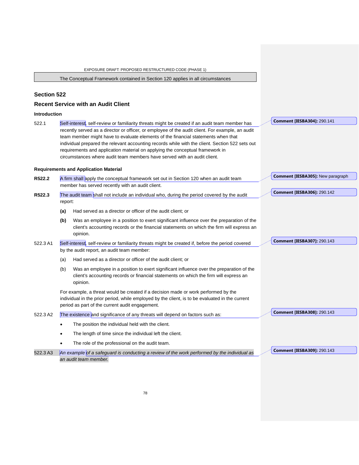|                     |           | EXPOSURE DRAFT: PROPOSED RESTRUCTURED CODE (PHASE 1)                                                                                                                                                                                                                                                                                                                                                                                                                                                                                                    |                                    |
|---------------------|-----------|---------------------------------------------------------------------------------------------------------------------------------------------------------------------------------------------------------------------------------------------------------------------------------------------------------------------------------------------------------------------------------------------------------------------------------------------------------------------------------------------------------------------------------------------------------|------------------------------------|
|                     |           | The Conceptual Framework contained in Section 120 applies in all circumstances                                                                                                                                                                                                                                                                                                                                                                                                                                                                          |                                    |
| <b>Section 522</b>  |           |                                                                                                                                                                                                                                                                                                                                                                                                                                                                                                                                                         |                                    |
|                     |           | <b>Recent Service with an Audit Client</b>                                                                                                                                                                                                                                                                                                                                                                                                                                                                                                              |                                    |
| <b>Introduction</b> |           |                                                                                                                                                                                                                                                                                                                                                                                                                                                                                                                                                         |                                    |
| 522.1               |           | Self-interest, self-review or familiarity threats might be created if an audit team member has<br>recently served as a director or officer, or employee of the audit client. For example, an audit<br>team member might have to evaluate elements of the financial statements when that<br>individual prepared the relevant accounting records while with the client. Section 522 sets out<br>requirements and application material on applying the conceptual framework in<br>circumstances where audit team members have served with an audit client. | <b>Comment [IESBA304]: 290.141</b> |
|                     |           | <b>Requirements and Application Material</b>                                                                                                                                                                                                                                                                                                                                                                                                                                                                                                            |                                    |
| R522.2              |           | A firm shall apply the conceptual framework set out in Section 120 when an audit team<br>member has served recently with an audit client.                                                                                                                                                                                                                                                                                                                                                                                                               | Comment [IESBA305]: New paragraph  |
| R522.3              | report:   | The audit team shall not include an individual who, during the period covered by the audit                                                                                                                                                                                                                                                                                                                                                                                                                                                              | <b>Comment [IESBA306]: 290.142</b> |
|                     | (a)       | Had served as a director or officer of the audit client; or                                                                                                                                                                                                                                                                                                                                                                                                                                                                                             |                                    |
|                     | (b)       | Was an employee in a position to exert significant influence over the preparation of the<br>client's accounting records or the financial statements on which the firm will express an<br>opinion.                                                                                                                                                                                                                                                                                                                                                       |                                    |
| 522.3 A1            |           | Self-interest, self-review or familiarity threats might be created if, before the period covered<br>by the audit report, an audit team member:                                                                                                                                                                                                                                                                                                                                                                                                          | Comment [IESBA307]: 290.143        |
|                     | (a)       | Had served as a director or officer of the audit client; or                                                                                                                                                                                                                                                                                                                                                                                                                                                                                             |                                    |
|                     | (b)       | Was an employee in a position to exert significant influence over the preparation of the<br>client's accounting records or financial statements on which the firm will express an<br>opinion.                                                                                                                                                                                                                                                                                                                                                           |                                    |
|                     |           | For example, a threat would be created if a decision made or work performed by the<br>individual in the prior period, while employed by the client, is to be evaluated in the current<br>period as part of the current audit engagement.                                                                                                                                                                                                                                                                                                                |                                    |
| 522.3 A2            |           | The existence and significance of any threats will depend on factors such as:                                                                                                                                                                                                                                                                                                                                                                                                                                                                           | Comment [IESBA308]: 290.143        |
|                     | $\bullet$ | The position the individual held with the client.                                                                                                                                                                                                                                                                                                                                                                                                                                                                                                       |                                    |
|                     |           | The length of time since the individual left the client.                                                                                                                                                                                                                                                                                                                                                                                                                                                                                                |                                    |
|                     |           | The role of the professional on the audit team.                                                                                                                                                                                                                                                                                                                                                                                                                                                                                                         |                                    |
| 522.3 A3            |           | An example of a safeguard is conducting a review of the work performed by the individual as                                                                                                                                                                                                                                                                                                                                                                                                                                                             | <b>Comment [IESBA309]: 290.143</b> |

*an audit team member.*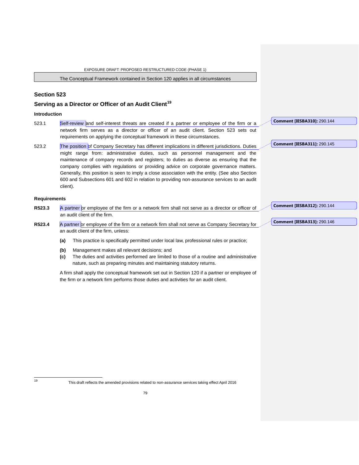

## **Section 523**

# **Serving as a Director or Officer of an Audit Client<sup>19</sup>**

#### **Introduction**

- 523.1 Self-review and self-interest threats are created if a partner or employee of the firm or a network firm serves as a director or officer of an audit client. Section 523 sets out requirements on applying the conceptual framework in these circumstances.
- 523.2 The position of Company Secretary has different implications in different jurisdictions. Duties might range from: administrative duties, such as personnel management and the maintenance of company records and registers; to duties as diverse as ensuring that the company complies with regulations or providing advice on corporate governance matters. Generally, this position is seen to imply a close association with the entity. (See also Section 600 and Subsections 601 and 602 in relation to providing non-assurance services to an audit client).

#### **Requirements**

- **R523.3** A partner or employee of the firm or a network firm shall not serve as a director or officer of an audit client of the firm.
- **R523.4** A partner or employee of the firm or a network firm shall not serve as Company Secretary for an audit client of the firm, unless:
	- **(a)** This practice is specifically permitted under local law, professional rules or practice;
	- **(b)** Management makes all relevant decisions; and
	- **(c)** The duties and activities performed are limited to those of a routine and administrative nature, such as preparing minutes and maintaining statutory returns.

A firm shall apply the conceptual framework set out in Section 120 if a partner or employee of the firm or a network firm performs those duties and activities for an audit client.

**Comment [IESBA310]:** 290.144

**Comment [IESBA311]:** 290.145

**Comment [IESBA312]:** 290.144

**Comment [IESBA313]:** 290.146

19 This draft reflects the amended provisions related to non-assurance services taking effect April 2016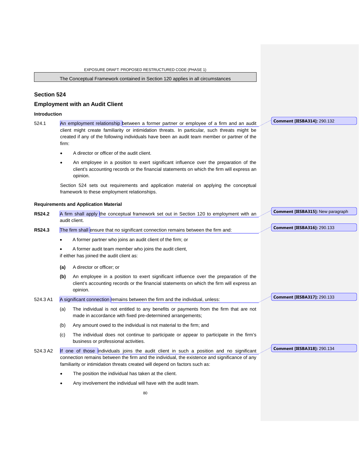EXPOSURE DRAFT: PROPOSED RESTRUCTURED CODE (PHASE 1) The Conceptual Framework contained in Section 120 applies in all circumstances **Section 524 Employment with an Audit Client Introduction**  524.1 An employment relationship between a former partner or employee of a firm and an audit client might create familiarity or intimidation threats. In particular, such threats might be created if any of the following individuals have been an audit team member or partner of the firm: • A director or officer of the audit client. • An employee in a position to exert significant influence over the preparation of the client's accounting records or the financial statements on which the firm will express an opinion. Section 524 sets out requirements and application material on applying the conceptual framework to these employment relationships. **Requirements and Application Material R524.2** A firm shall apply the conceptual framework set out in Section 120 to employment with an audit client. **R524.3** The firm shall ensure that no significant connection remains between the firm and: • A former partner who joins an audit client of the firm; or • A former audit team member who joins the audit client, if either has joined the audit client as: **(a)** A director or officer; or **(b)** An employee in a position to exert significant influence over the preparation of the client's accounting records or the financial statements on which the firm will express an opinion. 524.3 A1  $\overline{a}$  A significant connection remains between the firm and the individual, unless: (a) The individual is not entitled to any benefits or payments from the firm that are not made in accordance with fixed pre-determined arrangements; (b) Any amount owed to the individual is not material to the firm; and (c) The individual does not continue to participate or appear to participate in the firm's business or professional activities. 524.3 A2 If one of those individuals joins the audit client in such a position and no significant connection remains between the firm and the individual, the existence and significance of any familiarity or intimidation threats created will depend on factors such as: The position the individual has taken at the client. Any involvement the individual will have with the audit team. **Comment [IESBA314]:** 290.132 **Comment [IESBA315]:** New paragraph **Comment [IESBA316]:** 290.133 **Comment [IESBA317]:** 290.133 **Comment [IESBA318]:** 290.134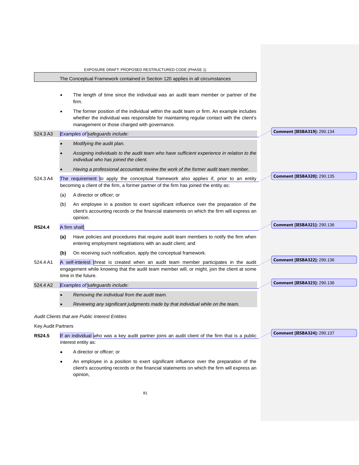|                           |     | EXPOSURE DRAFT: PROPOSED RESTRUCTURED CODE (PHASE 1)                                                                                                                                                        |                                    |  |
|---------------------------|-----|-------------------------------------------------------------------------------------------------------------------------------------------------------------------------------------------------------------|------------------------------------|--|
|                           |     | The Conceptual Framework contained in Section 120 applies in all circumstances                                                                                                                              |                                    |  |
|                           | ٠   | The length of time since the individual was an audit team member or partner of the<br>firm.<br>The former position of the individual within the audit team or firm. An example includes                     |                                    |  |
|                           |     | whether the individual was responsible for maintaining regular contact with the client's<br>management or those charged with governance.                                                                    |                                    |  |
| 524.3 A3                  |     | Examples of safeguards include:                                                                                                                                                                             | Comment [IESBA319]: 290.134        |  |
|                           |     | Modifying the audit plan.                                                                                                                                                                                   |                                    |  |
|                           |     | Assigning individuals to the audit team who have sufficient experience in relation to the<br>individual who has joined the client.                                                                          |                                    |  |
|                           |     | Having a professional accountant review the work of the former audit team member.                                                                                                                           |                                    |  |
| 524.3 A4                  |     | The requirement to apply the conceptual framework also applies if, prior to an entity<br>becoming a client of the firm, a former partner of the firm has joined the entity as:                              | <b>Comment [IESBA320]: 290.135</b> |  |
|                           | (a) | A director or officer; or                                                                                                                                                                                   |                                    |  |
|                           | (b) | An employee in a position to exert significant influence over the preparation of the<br>client's accounting records or the financial statements on which the firm will express an<br>opinion.               |                                    |  |
| R524.4                    |     | A firm shall:                                                                                                                                                                                               | Comment [IESBA321]: 290.136        |  |
|                           | (a) | Have policies and procedures that require audit team members to notify the firm when<br>entering employment negotiations with an audit client; and                                                          |                                    |  |
|                           | (b) | On receiving such notification, apply the conceptual framework.                                                                                                                                             |                                    |  |
| 524.4 A1                  |     | A self-interest threat is created when an audit team member participates in the audit<br>engagement while knowing that the audit team member will, or might, join the client at some<br>time in the future. | <b>Comment [IESBA322]: 290.136</b> |  |
| 524.4 A2                  |     | Examples of safeguards include:                                                                                                                                                                             | Comment [IESBA323]: 290.136        |  |
|                           |     | Removing the individual from the audit team.                                                                                                                                                                |                                    |  |
|                           |     | Reviewing any significant judgments made by that individual while on the team.                                                                                                                              |                                    |  |
|                           |     | <b>Audit Clients that are Public Interest Entities</b>                                                                                                                                                      |                                    |  |
| <b>Key Audit Partners</b> |     |                                                                                                                                                                                                             |                                    |  |
| R524.5                    |     | If an individual who was a key audit partner joins an audit client of the firm that is a public<br>interest entity as:                                                                                      | <b>Comment [IESBA324]: 290.137</b> |  |
|                           | ٠   | A director or officer; or                                                                                                                                                                                   |                                    |  |
|                           |     | An employee in a position to exert significant influence over the preparation of the<br>client's accounting records or the financial statements on which the firm will express an<br>opinion,               |                                    |  |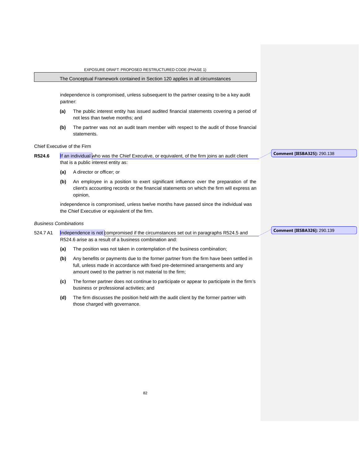independence is compromised, unless subsequent to the partner ceasing to be a key audit partner:

- **(a)** The public interest entity has issued audited financial statements covering a period of not less than twelve months; and
- **(b)** The partner was not an audit team member with respect to the audit of those financial statements.

### Chief Executive of the Firm

**R524.6** If an individual who was the Chief Executive, or equivalent, of the firm joins an audit client that is a public interest entity as:

- **(a)** A director or officer; or
- **(b)** An employee in a position to exert significant influence over the preparation of the client's accounting records or the financial statements on which the firm will express an opinion,

independence is compromised, unless twelve months have passed since the individual was the Chief Executive or equivalent of the firm.

#### *Business Combinations*

524.7 A1 |Independence is not compromised if the circumstances set out in paragraphs R524.5 and R524.6 arise as a result of a business combination and:

**(a)** The position was not taken in contemplation of the business combination;

**(b)** Any benefits or payments due to the former partner from the firm have been settled in full, unless made in accordance with fixed pre-determined arrangements and any amount owed to the partner is not material to the firm;

- **(c)** The former partner does not continue to participate or appear to participate in the firm's business or professional activities; and
- **(d)** The firm discusses the position held with the audit client by the former partner with those charged with governance.

**Comment [IESBA325]:** 290.138

**Comment [IESBA326]:** 290.139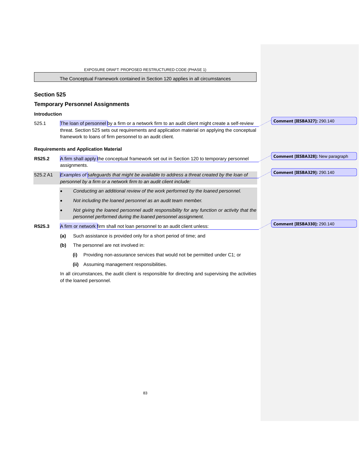|                    | EXPOSURE DRAFT: PROPOSED RESTRUCTURED CODE (PHASE 1)                                                                                                                                                                              |                                    |  |  |
|--------------------|-----------------------------------------------------------------------------------------------------------------------------------------------------------------------------------------------------------------------------------|------------------------------------|--|--|
|                    | The Conceptual Framework contained in Section 120 applies in all circumstances                                                                                                                                                    |                                    |  |  |
|                    |                                                                                                                                                                                                                                   |                                    |  |  |
| <b>Section 525</b> |                                                                                                                                                                                                                                   |                                    |  |  |
|                    | <b>Temporary Personnel Assignments</b>                                                                                                                                                                                            |                                    |  |  |
| Introduction       |                                                                                                                                                                                                                                   |                                    |  |  |
| 525.1              | The loan of personnel by a firm or a network firm to an audit client might create a self-review                                                                                                                                   | <b>Comment [IESBA327]: 290.140</b> |  |  |
|                    | threat. Section 525 sets out requirements and application material on applying the conceptual                                                                                                                                     |                                    |  |  |
|                    | framework to loans of firm personnel to an audit client.                                                                                                                                                                          |                                    |  |  |
|                    | <b>Requirements and Application Material</b>                                                                                                                                                                                      |                                    |  |  |
| R525.2             | A firm shall apply the conceptual framework set out in Section 120 to temporary personnel                                                                                                                                         | Comment [IESBA328]: New paragraph  |  |  |
| assignments.       |                                                                                                                                                                                                                                   |                                    |  |  |
| 525.2 A1           | Examples of safeguards that might be available to address a threat created by the loan of                                                                                                                                         | Comment [IESBA329]: 290.140        |  |  |
|                    | personnel by a firm or a network firm to an audit client include:                                                                                                                                                                 |                                    |  |  |
|                    | Conducting an additional review of the work performed by the loaned personnel.                                                                                                                                                    |                                    |  |  |
|                    | Not including the loaned personnel as an audit team member.                                                                                                                                                                       |                                    |  |  |
|                    | Not giving the loaned personnel audit responsibility for any function or activity that the                                                                                                                                        |                                    |  |  |
|                    | personnel performed during the loaned personnel assignment.                                                                                                                                                                       |                                    |  |  |
| R525.3             | A firm or network firm shall not loan personnel to an audit client unless:                                                                                                                                                        | <b>Comment [IESBA330]: 290.140</b> |  |  |
|                    | Such assistance is provided only for a short period of time; and<br>(a)                                                                                                                                                           |                                    |  |  |
|                    | (b)<br>The personnel are not involved in:                                                                                                                                                                                         |                                    |  |  |
|                    | Providing non-assurance services that would not be permitted under C1; or<br>(i)                                                                                                                                                  |                                    |  |  |
|                    | $\mathbf{A}$ that a construction of the company of the contract of the first of the set of the set of the set of the set of the set of the set of the set of the set of the set of the set of the set of the set of the set of th |                                    |  |  |

**(ii)** Assuming management responsibilities.

In all circumstances, the audit client is responsible for directing and supervising the activities of the loaned personnel.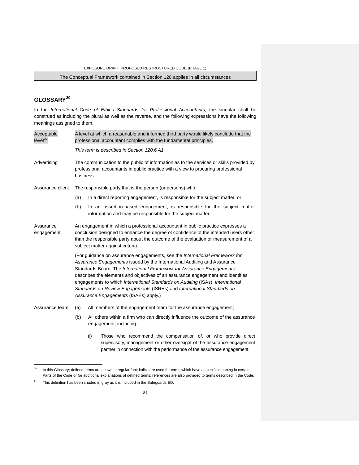# **GLOSSARY<sup>20</sup>**

In the *International Code of Ethics Standards for Professional Accountants*, the singular shall be construed as including the plural as well as the reverse, and the following expressions have the following meanings assigned to them.

| Acceptable<br>level <sup>21</sup> | A level at which a reasonable and informed third party would likely conclude that the<br>professional accountant complies with the fundamental principles.<br>This term is described in Section 120.6 A1                                                                                         |                                                                                                                                                                                                                                                                                                                                                                                                                                                                                                                           |  |  |  |
|-----------------------------------|--------------------------------------------------------------------------------------------------------------------------------------------------------------------------------------------------------------------------------------------------------------------------------------------------|---------------------------------------------------------------------------------------------------------------------------------------------------------------------------------------------------------------------------------------------------------------------------------------------------------------------------------------------------------------------------------------------------------------------------------------------------------------------------------------------------------------------------|--|--|--|
| Advertising                       | The communication to the public of information as to the services or skills provided by<br>professional accountants in public practice with a view to procuring professional<br>business.                                                                                                        |                                                                                                                                                                                                                                                                                                                                                                                                                                                                                                                           |  |  |  |
| Assurance client                  |                                                                                                                                                                                                                                                                                                  | The responsible party that is the person (or persons) who:                                                                                                                                                                                                                                                                                                                                                                                                                                                                |  |  |  |
|                                   | (a)                                                                                                                                                                                                                                                                                              | In a direct reporting engagement, is responsible for the subject matter; or                                                                                                                                                                                                                                                                                                                                                                                                                                               |  |  |  |
|                                   | (b)                                                                                                                                                                                                                                                                                              | In an assertion-based engagement, is responsible for the subject matter<br>information and may be responsible for the subject matter.                                                                                                                                                                                                                                                                                                                                                                                     |  |  |  |
| Assurance<br>engagement           | An engagement in which a professional accountant in public practice expresses a<br>conclusion designed to enhance the degree of confidence of the intended users other<br>than the responsible party about the outcome of the evaluation or measurement of a<br>subject matter against criteria. |                                                                                                                                                                                                                                                                                                                                                                                                                                                                                                                           |  |  |  |
|                                   |                                                                                                                                                                                                                                                                                                  | (For guidance on assurance engagements, see the International Framework for<br>Assurance Engagements issued by the International Auditing and Assurance<br>Standards Board. The International Framework for Assurance Engagements<br>describes the elements and objectives of an assurance engagement and identifies<br>engagements to which International Standards on Auditing (ISAs), International<br>Standards on Review Engagements (ISREs) and International Standards on<br>Assurance Engagements (ISAEs) apply.) |  |  |  |
| Assurance team                    | (a)                                                                                                                                                                                                                                                                                              | All members of the engagement team for the assurance engagement;                                                                                                                                                                                                                                                                                                                                                                                                                                                          |  |  |  |
|                                   | (b)                                                                                                                                                                                                                                                                                              | All others within a firm who can directly influence the outcome of the assurance<br>engagement, including:                                                                                                                                                                                                                                                                                                                                                                                                                |  |  |  |
|                                   |                                                                                                                                                                                                                                                                                                  | (i)<br>Those who recommend the compensation of, or who provide direct<br>supervisory, management or other oversight of the assurance engagement<br>partner in connection with the performance of the assurance engagement;                                                                                                                                                                                                                                                                                                |  |  |  |

<sup>&</sup>lt;sup>20</sup> In this Glossary; defined terms are shown in regular font; italics are used for terms which have a specific meaning in certain Parts of the Code or for additional explanations of defined terms; references are also provided to terms described in the Code.

 $21$  This definition has been shaded in gray as it is included in the Safeguards ED.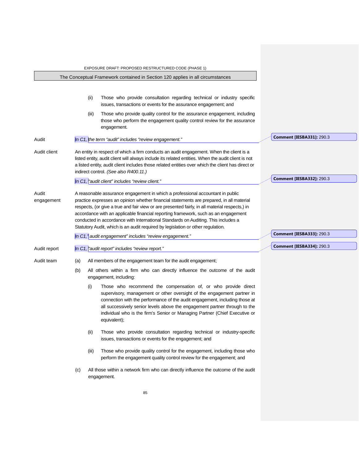|                     |     | EXPOSURE DRAFT: PROPOSED RESTRUCTURED CODE (PHASE 1)                                                                                                                                                                                                                                                                                                                                                                                                                                                                                       |                                  |
|---------------------|-----|--------------------------------------------------------------------------------------------------------------------------------------------------------------------------------------------------------------------------------------------------------------------------------------------------------------------------------------------------------------------------------------------------------------------------------------------------------------------------------------------------------------------------------------------|----------------------------------|
|                     |     | The Conceptual Framework contained in Section 120 applies in all circumstances                                                                                                                                                                                                                                                                                                                                                                                                                                                             |                                  |
|                     |     | Those who provide consultation regarding technical or industry specific<br>(ii)<br>issues, transactions or events for the assurance engagement; and<br>Those who provide quality control for the assurance engagement, including<br>(iii)                                                                                                                                                                                                                                                                                                  |                                  |
|                     |     | those who perform the engagement quality control review for the assurance<br>engagement.                                                                                                                                                                                                                                                                                                                                                                                                                                                   |                                  |
| Audit               |     | In C1, the term "audit" includes "review engagement."                                                                                                                                                                                                                                                                                                                                                                                                                                                                                      | <b>Comment [IESBA331]: 290.3</b> |
| Audit client        |     | An entity in respect of which a firm conducts an audit engagement. When the client is a<br>listed entity, audit client will always include its related entities. When the audit client is not<br>a listed entity, audit client includes those related entities over which the client has direct or<br>indirect control. (See also R400.11.)                                                                                                                                                                                                |                                  |
|                     |     | In C1, "audit client" includes "review client."                                                                                                                                                                                                                                                                                                                                                                                                                                                                                            | <b>Comment [IESBA332]: 290.3</b> |
| Audit<br>engagement |     | A reasonable assurance engagement in which a professional accountant in public<br>practice expresses an opinion whether financial statements are prepared, in all material<br>respects, (or give a true and fair view or are presented fairly, in all material respects,) in<br>accordance with an applicable financial reporting framework, such as an engagement<br>conducted in accordance with International Standards on Auditing. This includes a<br>Statutory Audit, which is an audit required by legislation or other regulation. |                                  |
|                     |     | In C1," audit engagement" includes "review engagement."                                                                                                                                                                                                                                                                                                                                                                                                                                                                                    | <b>Comment [IESBA333]: 290.3</b> |
| Audit report        |     | In C1, "audit report" includes "review report."                                                                                                                                                                                                                                                                                                                                                                                                                                                                                            | <b>Comment [IESBA334]: 290.3</b> |
| Audit team          | (a) | All members of the engagement team for the audit engagement;                                                                                                                                                                                                                                                                                                                                                                                                                                                                               |                                  |
|                     | (b) | All others within a firm who can directly influence the outcome of the audit<br>engagement, including:                                                                                                                                                                                                                                                                                                                                                                                                                                     |                                  |
|                     |     | (i)<br>Those who recommend the compensation of, or who provide direct<br>supervisory, management or other oversight of the engagement partner in<br>connection with the performance of the audit engagement, including those at<br>all successively senior levels above the engagement partner through to the<br>individual who is the firm's Senior or Managing Partner (Chief Executive or<br>equivalent);                                                                                                                               |                                  |
|                     |     | (ii)<br>Those who provide consultation regarding technical or industry-specific<br>issues, transactions or events for the engagement; and                                                                                                                                                                                                                                                                                                                                                                                                  |                                  |
|                     |     | Those who provide quality control for the engagement, including those who<br>(iii)<br>perform the engagement quality control review for the engagement; and                                                                                                                                                                                                                                                                                                                                                                                |                                  |
|                     | (c) | All those within a network firm who can directly influence the outcome of the audit<br>engagement.                                                                                                                                                                                                                                                                                                                                                                                                                                         |                                  |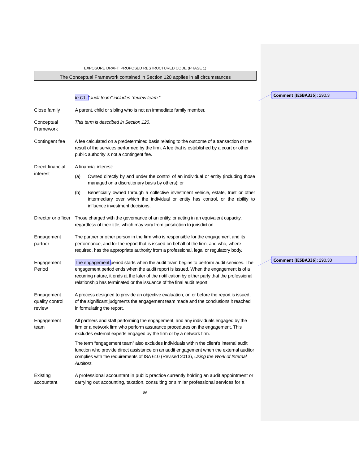# EXPOSURE DRAFT: PROPOSED RESTRUCTURED CODE (PHASE 1)

# The Conceptual Framework contained in Section 120 applies in all circumstances

|                                         | In C1, "audit team" includes "review team."                                                                                                                                                                                                                                             |  | <b>Comment [IESBA335]: 290.3</b>  |  |  |  |  |  |
|-----------------------------------------|-----------------------------------------------------------------------------------------------------------------------------------------------------------------------------------------------------------------------------------------------------------------------------------------|--|-----------------------------------|--|--|--|--|--|
| Close family                            | A parent, child or sibling who is not an immediate family member.                                                                                                                                                                                                                       |  |                                   |  |  |  |  |  |
| Conceptual<br>Framework                 | This term is described in Section 120.                                                                                                                                                                                                                                                  |  |                                   |  |  |  |  |  |
| Contingent fee                          | A fee calculated on a predetermined basis relating to the outcome of a transaction or the<br>result of the services performed by the firm. A fee that is established by a court or other<br>public authority is not a contingent fee.                                                   |  |                                   |  |  |  |  |  |
| Direct financial                        | A financial interest:                                                                                                                                                                                                                                                                   |  |                                   |  |  |  |  |  |
| interest                                | (a)<br>Owned directly by and under the control of an individual or entity (including those<br>managed on a discretionary basis by others); or                                                                                                                                           |  |                                   |  |  |  |  |  |
|                                         | (b)<br>Beneficially owned through a collective investment vehicle, estate, trust or other<br>intermediary over which the individual or entity has control, or the ability to<br>influence investment decisions.                                                                         |  |                                   |  |  |  |  |  |
|                                         | Director or officer Those charged with the governance of an entity, or acting in an equivalent capacity,<br>regardless of their title, which may vary from jurisdiction to jurisdiction.                                                                                                |  |                                   |  |  |  |  |  |
| Engagement<br>partner                   | The partner or other person in the firm who is responsible for the engagement and its<br>performance, and for the report that is issued on behalf of the firm, and who, where<br>required, has the appropriate authority from a professional, legal or regulatory body.                 |  |                                   |  |  |  |  |  |
| Engagement                              | The engagement period starts when the audit team begins to perform audit services. The                                                                                                                                                                                                  |  | <b>Comment [IESBA336]: 290.30</b> |  |  |  |  |  |
| Period                                  | engagement period ends when the audit report is issued. When the engagement is of a<br>recurring nature, it ends at the later of the notification by either party that the professional<br>relationship has terminated or the issuance of the final audit report.                       |  |                                   |  |  |  |  |  |
| Engagement<br>quality control<br>review | A process designed to provide an objective evaluation, on or before the report is issued,<br>of the significant judgments the engagement team made and the conclusions it reached<br>in formulating the report.                                                                         |  |                                   |  |  |  |  |  |
| Engagement<br>team                      | All partners and staff performing the engagement, and any individuals engaged by the<br>firm or a network firm who perform assurance procedures on the engagement. This<br>excludes external experts engaged by the firm or by a network firm.                                          |  |                                   |  |  |  |  |  |
|                                         | The term "engagement team" also excludes individuals within the client's internal audit<br>function who provide direct assistance on an audit engagement when the external auditor<br>complies with the requirements of ISA 610 (Revised 2013), Using the Work of Internal<br>Auditors. |  |                                   |  |  |  |  |  |
| Existing<br>accountant                  | A professional accountant in public practice currently holding an audit appointment or<br>carrying out accounting, taxation, consulting or similar professional services for a                                                                                                          |  |                                   |  |  |  |  |  |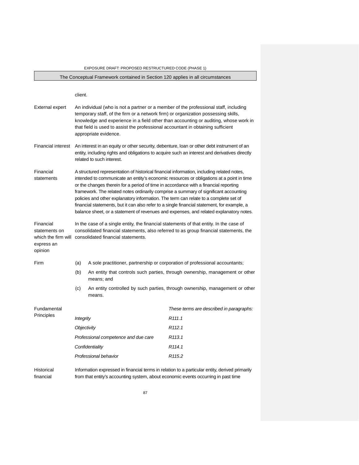EXPOSURE DRAFT: PROPOSED RESTRUCTURED CODE (PHASE 1)

#### The Conceptual Framework contained in Section 120 applies in all circumstances

client. External expert An individual (who is not a partner or a member of the professional staff, including temporary staff, of the firm or a network firm) or organization possessing skills, knowledge and experience in a field other than accounting or auditing, whose work in that field is used to assist the professional accountant in obtaining sufficient appropriate evidence. Financial interest An interest in an equity or other security, debenture, loan or other debt instrument of an entity, including rights and obligations to acquire such an interest and derivatives directly related to such interest. Financial statements A structured representation of historical financial information, including related notes, intended to communicate an entity's economic resources or obligations at a point in time or the changes therein for a period of time in accordance with a financial reporting framework. The related notes ordinarily comprise a summary of significant accounting policies and other explanatory information. The term can relate to a complete set of financial statements, but it can also refer to a single financial statement, for example, a balance sheet, or a statement of revenues and expenses, and related explanatory notes. Financial statements on which the firm will consolidated financial statements. express an opinion In the case of a single entity, the financial statements of that entity. In the case of consolidated financial statements, also referred to as group financial statements, the Firm (a) A sole practitioner, partnership or corporation of professional accountants; (b) An entity that controls such parties, through ownership, management or other means; and (c) An entity controlled by such parties, through ownership, management or other means. Fundamental Principles *Integrity Objectivity Professional competence and due care Confidentiality Professional behavior These terms are described in paragraphs: R111.1 R112.1 R113.1 R114.1 R115.2* Historical Information expressed in financial terms in relation to a particular entity, derived primarily

financial

from that entity's accounting system, about economic events occurring in past time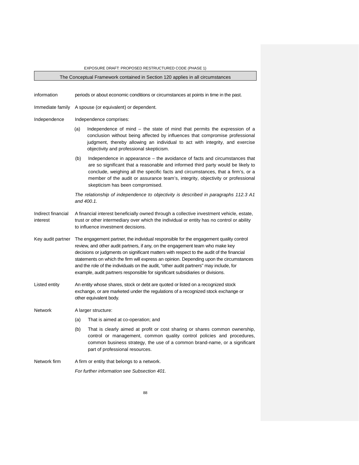information periods or about economic conditions or circumstances at points in time in the past.

Immediate family A spouse (or equivalent) or dependent.

#### Independence Independence comprises:

- (a) Independence of mind the state of mind that permits the expression of a conclusion without being affected by influences that compromise professional judgment, thereby allowing an individual to act with integrity, and exercise objectivity and professional skepticism.
- (b) Independence in appearance the avoidance of facts and circumstances that are so significant that a reasonable and informed third party would be likely to conclude, weighing all the specific facts and circumstances, that a firm's, or a member of the audit or assurance team's, integrity, objectivity or professional skepticism has been compromised.

*The relationship of independence to objectivity is described in paragraphs 112.3 A1 and 400.1.*

- Indirect financial interest A financial interest beneficially owned through a collective investment vehicle, estate, trust or other intermediary over which the individual or entity has no control or ability to influence investment decisions.
- Key audit partner The engagement partner, the individual responsible for the engagement quality control review, and other audit partners, if any, on the engagement team who make key decisions or judgments on significant matters with respect to the audit of the financial statements on which the firm will express an opinion. Depending upon the circumstances and the role of the individuals on the audit, "other audit partners" may include, for example, audit partners responsible for significant subsidiaries or divisions.
- Listed entity An entity whose shares, stock or debt are quoted or listed on a recognized stock exchange, or are marketed under the regulations of a recognized stock exchange or other equivalent body.

Network A larger structure:

- (a) That is aimed at co-operation; and
- (b) That is clearly aimed at profit or cost sharing or shares common ownership, control or management, common quality control policies and procedures, common business strategy, the use of a common brand-name, or a significant part of professional resources.
- Network firm A firm or entity that belongs to a network. *For further information see Subsection 401.*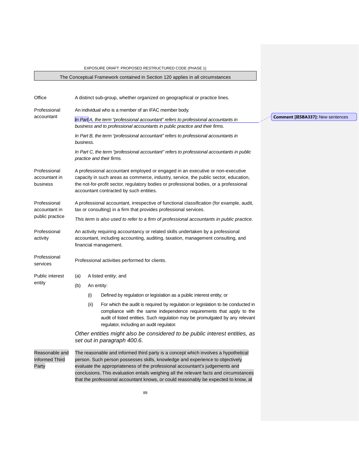|  | EXPOSURE DRAFT: PROPOSED RESTRUCTURED CODE (PHASE 1) |  |  |
|--|------------------------------------------------------|--|--|
|--|------------------------------------------------------|--|--|

| Office                                           |                                                       |            | A distinct sub-group, whether organized on geographical or practice lines.                                                                                                                                                                                                                                                                                                                                                           |  |                                   |  |  |
|--------------------------------------------------|-------------------------------------------------------|------------|--------------------------------------------------------------------------------------------------------------------------------------------------------------------------------------------------------------------------------------------------------------------------------------------------------------------------------------------------------------------------------------------------------------------------------------|--|-----------------------------------|--|--|
| Professional                                     | An individual who is a member of an IFAC member body. |            |                                                                                                                                                                                                                                                                                                                                                                                                                                      |  |                                   |  |  |
| accountant                                       |                                                       |            | In Part A, the term "professional accountant" refers to professional accountants in<br>business and to professional accountants in public practice and their firms.                                                                                                                                                                                                                                                                  |  | Comment [IESBA337]: New sentences |  |  |
|                                                  | business.                                             |            | In Part B, the term "professional accountant" refers to professional accountants in                                                                                                                                                                                                                                                                                                                                                  |  |                                   |  |  |
|                                                  |                                                       |            | In Part C, the term "professional accountant" refers to professional accountants in public<br>practice and their firms.                                                                                                                                                                                                                                                                                                              |  |                                   |  |  |
| Professional<br>accountant in<br>business        |                                                       |            | A professional accountant employed or engaged in an executive or non-executive<br>capacity in such areas as commerce, industry, service, the public sector, education,<br>the not-for-profit sector, regulatory bodies or professional bodies, or a professional<br>accountant contracted by such entities.                                                                                                                          |  |                                   |  |  |
| Professional<br>accountant in                    |                                                       |            | A professional accountant, irrespective of functional classification (for example, audit,<br>tax or consulting) in a firm that provides professional services.                                                                                                                                                                                                                                                                       |  |                                   |  |  |
| public practice                                  |                                                       |            | This term is also used to refer to a firm of professional accountants in public practice.                                                                                                                                                                                                                                                                                                                                            |  |                                   |  |  |
| Professional<br>activity                         |                                                       |            | An activity requiring accountancy or related skills undertaken by a professional<br>accountant, including accounting, auditing, taxation, management consulting, and<br>financial management.                                                                                                                                                                                                                                        |  |                                   |  |  |
| Professional<br>services                         |                                                       |            | Professional activities performed for clients.                                                                                                                                                                                                                                                                                                                                                                                       |  |                                   |  |  |
| Public interest                                  | A listed entity; and<br>(a)                           |            |                                                                                                                                                                                                                                                                                                                                                                                                                                      |  |                                   |  |  |
| entity                                           | (b)                                                   | An entity: |                                                                                                                                                                                                                                                                                                                                                                                                                                      |  |                                   |  |  |
|                                                  |                                                       | (i)        | Defined by regulation or legislation as a public interest entity; or                                                                                                                                                                                                                                                                                                                                                                 |  |                                   |  |  |
|                                                  |                                                       | (ii)       | For which the audit is required by regulation or legislation to be conducted in<br>compliance with the same independence requirements that apply to the<br>audit of listed entities. Such regulation may be promulgated by any relevant<br>regulator, including an audit regulator.                                                                                                                                                  |  |                                   |  |  |
|                                                  |                                                       |            | Other entities might also be considered to be public interest entities, as<br>set out in paragraph 400.6.                                                                                                                                                                                                                                                                                                                            |  |                                   |  |  |
| Reasonable and<br><b>Informed Third</b><br>Party |                                                       |            | The reasonable and informed third party is a concept which involves a hypothetical<br>person. Such person possesses skills, knowledge and experience to objectively<br>evaluate the appropriateness of the professional accountant's judgements and<br>conclusions. This evaluation entails weighing all the relevant facts and circumstances<br>that the professional accountant knows, or could reasonably be expected to know, at |  |                                   |  |  |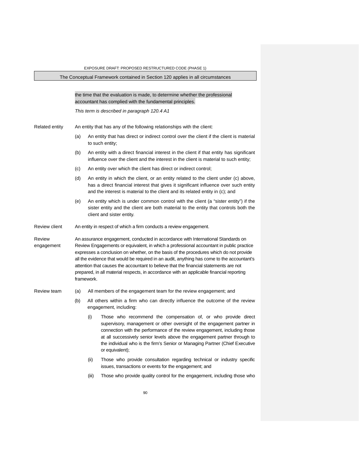| EXPOSURE DRAFT: PROPOSED RESTRUCTURED CODE (PHASE 1) |                                                                                                                                                                                                                                                                                                                                                                                                                                                                                                                                                                        |                                                                                                                                                                                                                                                                                                                                                                                                               |  |  |  |
|------------------------------------------------------|------------------------------------------------------------------------------------------------------------------------------------------------------------------------------------------------------------------------------------------------------------------------------------------------------------------------------------------------------------------------------------------------------------------------------------------------------------------------------------------------------------------------------------------------------------------------|---------------------------------------------------------------------------------------------------------------------------------------------------------------------------------------------------------------------------------------------------------------------------------------------------------------------------------------------------------------------------------------------------------------|--|--|--|
|                                                      |                                                                                                                                                                                                                                                                                                                                                                                                                                                                                                                                                                        | The Conceptual Framework contained in Section 120 applies in all circumstances                                                                                                                                                                                                                                                                                                                                |  |  |  |
|                                                      |                                                                                                                                                                                                                                                                                                                                                                                                                                                                                                                                                                        |                                                                                                                                                                                                                                                                                                                                                                                                               |  |  |  |
|                                                      | the time that the evaluation is made, to determine whether the professional<br>accountant has complied with the fundamental principles.                                                                                                                                                                                                                                                                                                                                                                                                                                |                                                                                                                                                                                                                                                                                                                                                                                                               |  |  |  |
|                                                      |                                                                                                                                                                                                                                                                                                                                                                                                                                                                                                                                                                        | This term is described in paragraph 120.4 A1                                                                                                                                                                                                                                                                                                                                                                  |  |  |  |
| <b>Related entity</b>                                |                                                                                                                                                                                                                                                                                                                                                                                                                                                                                                                                                                        | An entity that has any of the following relationships with the client:                                                                                                                                                                                                                                                                                                                                        |  |  |  |
|                                                      | (a)                                                                                                                                                                                                                                                                                                                                                                                                                                                                                                                                                                    | An entity that has direct or indirect control over the client if the client is material<br>to such entity;                                                                                                                                                                                                                                                                                                    |  |  |  |
|                                                      | (b)                                                                                                                                                                                                                                                                                                                                                                                                                                                                                                                                                                    | An entity with a direct financial interest in the client if that entity has significant<br>influence over the client and the interest in the client is material to such entity;                                                                                                                                                                                                                               |  |  |  |
|                                                      | (c)                                                                                                                                                                                                                                                                                                                                                                                                                                                                                                                                                                    | An entity over which the client has direct or indirect control;                                                                                                                                                                                                                                                                                                                                               |  |  |  |
|                                                      | (d)                                                                                                                                                                                                                                                                                                                                                                                                                                                                                                                                                                    | An entity in which the client, or an entity related to the client under (c) above,<br>has a direct financial interest that gives it significant influence over such entity<br>and the interest is material to the client and its related entity in (c); and                                                                                                                                                   |  |  |  |
|                                                      | (e)                                                                                                                                                                                                                                                                                                                                                                                                                                                                                                                                                                    | An entity which is under common control with the client (a "sister entity") if the<br>sister entity and the client are both material to the entity that controls both the<br>client and sister entity.                                                                                                                                                                                                        |  |  |  |
| Review client                                        |                                                                                                                                                                                                                                                                                                                                                                                                                                                                                                                                                                        | An entity in respect of which a firm conducts a review engagement.                                                                                                                                                                                                                                                                                                                                            |  |  |  |
| Review<br>engagement                                 | An assurance engagement, conducted in accordance with International Standards on<br>Review Engagements or equivalent, in which a professional accountant in public practice<br>expresses a conclusion on whether, on the basis of the procedures which do not provide<br>all the evidence that would be required in an audit, anything has come to the accountant's<br>attention that causes the accountant to believe that the financial statements are not<br>prepared, in all material respects, in accordance with an applicable financial reporting<br>framework. |                                                                                                                                                                                                                                                                                                                                                                                                               |  |  |  |
| Review team                                          | (a)                                                                                                                                                                                                                                                                                                                                                                                                                                                                                                                                                                    | All members of the engagement team for the review engagement; and                                                                                                                                                                                                                                                                                                                                             |  |  |  |
|                                                      | (b)                                                                                                                                                                                                                                                                                                                                                                                                                                                                                                                                                                    | All others within a firm who can directly influence the outcome of the review<br>engagement, including:                                                                                                                                                                                                                                                                                                       |  |  |  |
|                                                      |                                                                                                                                                                                                                                                                                                                                                                                                                                                                                                                                                                        | (i)<br>Those who recommend the compensation of, or who provide direct<br>supervisory, management or other oversight of the engagement partner in<br>connection with the performance of the review engagement, including those<br>at all successively senior levels above the engagement partner through to<br>the individual who is the firm's Senior or Managing Partner (Chief Executive<br>or equivalent); |  |  |  |
|                                                      |                                                                                                                                                                                                                                                                                                                                                                                                                                                                                                                                                                        | (ii)<br>Those who provide consultation regarding technical or industry specific<br>issues, transactions or events for the engagement; and                                                                                                                                                                                                                                                                     |  |  |  |
|                                                      |                                                                                                                                                                                                                                                                                                                                                                                                                                                                                                                                                                        | (iii)<br>Those who provide quality control for the engagement, including those who                                                                                                                                                                                                                                                                                                                            |  |  |  |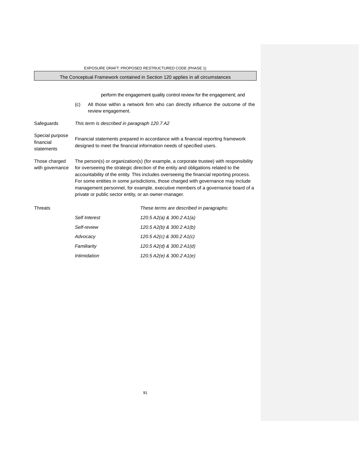| The Conceptual Framework contained in Section 120 applies in all circumstances |                                                                                                                                                                                                                                                                                                                                                                                                                                                                                                             |                                                                               |  |  |  |
|--------------------------------------------------------------------------------|-------------------------------------------------------------------------------------------------------------------------------------------------------------------------------------------------------------------------------------------------------------------------------------------------------------------------------------------------------------------------------------------------------------------------------------------------------------------------------------------------------------|-------------------------------------------------------------------------------|--|--|--|
|                                                                                |                                                                                                                                                                                                                                                                                                                                                                                                                                                                                                             |                                                                               |  |  |  |
|                                                                                |                                                                                                                                                                                                                                                                                                                                                                                                                                                                                                             | perform the engagement quality control review for the engagement; and         |  |  |  |
|                                                                                | (c)<br>review engagement.                                                                                                                                                                                                                                                                                                                                                                                                                                                                                   | All those within a network firm who can directly influence the outcome of the |  |  |  |
| Safeguards                                                                     | This term is described in paragraph 120.7 A2                                                                                                                                                                                                                                                                                                                                                                                                                                                                |                                                                               |  |  |  |
| Special purpose<br>financial<br>statements                                     | Financial statements prepared in accordance with a financial reporting framework<br>designed to meet the financial information needs of specified users.                                                                                                                                                                                                                                                                                                                                                    |                                                                               |  |  |  |
| Those charged<br>with governance                                               | The person(s) or organization(s) (for example, a corporate trustee) with responsibility<br>for overseeing the strategic direction of the entity and obligations related to the<br>accountability of the entity. This includes overseeing the financial reporting process.<br>For some entities in some jurisdictions, those charged with governance may include<br>management personnel, for example, executive members of a governance board of a<br>private or public sector entity, or an owner-manager. |                                                                               |  |  |  |
| <b>Threats</b>                                                                 |                                                                                                                                                                                                                                                                                                                                                                                                                                                                                                             | These terms are described in paragraphs:                                      |  |  |  |
|                                                                                | Self Interest                                                                                                                                                                                                                                                                                                                                                                                                                                                                                               | 120.5 A2(a) & 300.2 A1(a)                                                     |  |  |  |
|                                                                                | Self-review                                                                                                                                                                                                                                                                                                                                                                                                                                                                                                 | 120.5 A2(b) & 300.2 A1(b)                                                     |  |  |  |
|                                                                                | Advocacy                                                                                                                                                                                                                                                                                                                                                                                                                                                                                                    | 120.5 A2(c) & 300.2 A1(c)                                                     |  |  |  |

*120.5 A2(d) & 300.2 A1(d) 120.5 A2(e) & 300.2 A1(e)*

*Familiarity Intimidation*

T

EXPOSURE DRAFT: PROPOSED RESTRUCTURED CODE (PHASE 1)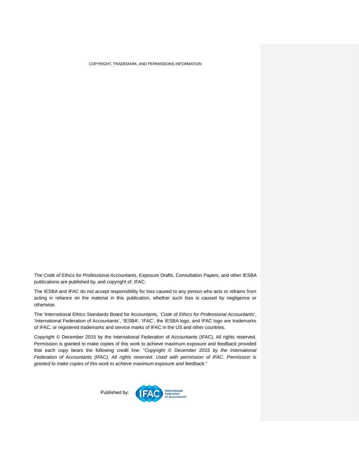COPYRIGHT, TRADEMARK, AND PERMISSIONS INFORMATION

The *Code of Ethics for Professional Accountants*, Exposure Drafts, Consultation Papers, and other IESBA publications are published by, and copyright of, IFAC.

The IESBA and IFAC do not accept responsibility for loss caused to any person who acts or refrains from acting in reliance on the material in this publication, whether such loss is caused by negligence or otherwise.

The 'International Ethics Standards Board for Accountants, '*Code of Ethics for Professional Accountants*', 'International Federation of Accountants', 'IESBA', 'IFAC', the IESBA logo, and IFAC logo are trademarks of IFAC, or registered trademarks and service marks of IFAC in the US and other countries.

Copyright © December 2015 by the International Federation of Accountants (IFAC). All rights reserved. Permission is granted to make copies of this work to achieve maximum exposure and feedback provided that each copy bears the following credit line: "*Copyright © December 2015 by the International Federation of Accountants (IFAC). All rights reserved. Used with permission of IFAC. Permission is granted to make copies of this work to achieve maximum exposure and feedback*."